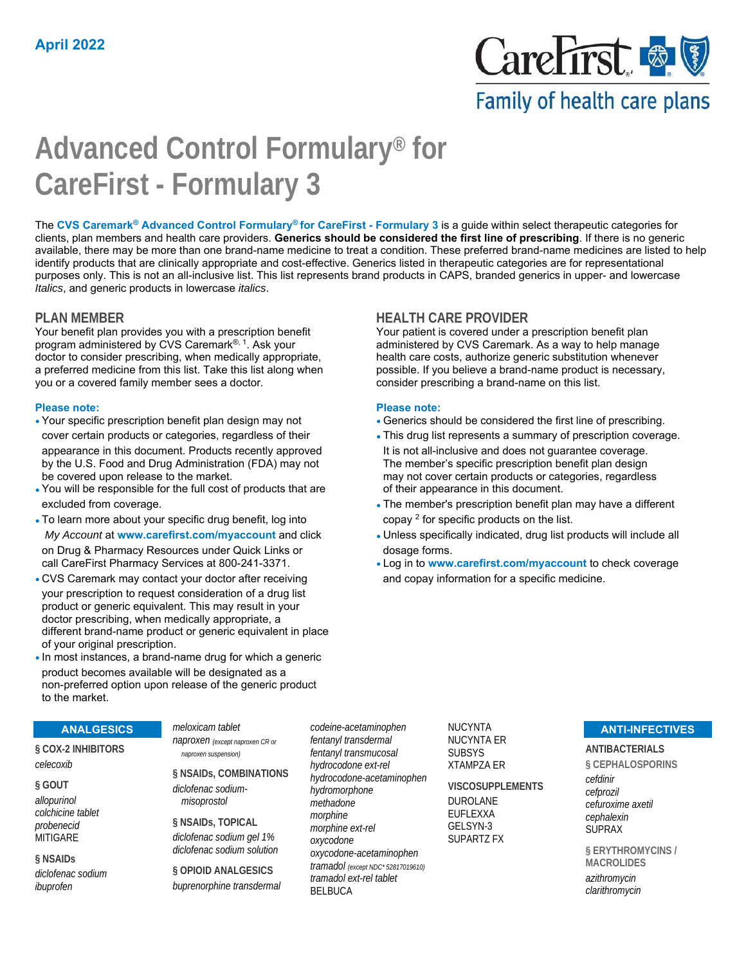

Family of health care plans

# **Advanced Control Formulary® for CareFirst - Formulary 3**

The **CVS Caremark® Advanced Control Formulary® for CareFirst - Formulary 3** is a guide within select therapeutic categories for clients, plan members and health care providers. **Generics should be considered the first line of prescribing**. If there is no generic available, there may be more than one brand-name medicine to treat a condition. These preferred brand-name medicines are listed to help identify products that are clinically appropriate and cost-effective. Generics listed in therapeutic categories are for representational purposes only. This is not an all-inclusive list. This list represents brand products in CAPS, branded generics in upper- and lowercase *Italics*, and generic products in lowercase *italics*.

Your benefit plan provides you with a prescription benefit program administered by CVS Caremark®, 1. Ask your doctor to consider prescribing, when medically appropriate, a preferred medicine from this list. Take this list along when you or a covered family member sees a doctor.

#### **Please note: Please note:**

- appearance in this document. Products recently approved It is not all-inclusive and does not guarantee coverage. by the U.S. Food and Drug Administration (FDA) may not The member's specific prescription benefit plan design
- You will be responsible for the full cost of products that are of their appearance in this document.
- To learn more about your specific drug benefit, log into  $\log^2 2$  for specific products on the list. on Drug & Pharmacy Resources under Quick Links or dosage forms.
- CVS Caremark may contact your doctor after receiving and copay information for a specific medicine. your prescription to request consideration of a drug list product or generic equivalent. This may result in your doctor prescribing, when medically appropriate, a different brand-name product or generic equivalent in place of your original prescription.
- •In most instances, a brand-name drug for which a generic product becomes available will be designated as a non-preferred option upon release of the generic product to the market.

## **PLAN MEMBER HEALTH CARE PROVIDER**

Your patient is covered under a prescription benefit plan administered by CVS Caremark. As a way to help manage health care costs, authorize generic substitution whenever possible. If you believe a brand-name product is necessary, consider prescribing a brand-name on this list.

- Your specific prescription benefit plan design may not Generics should be considered the first line of prescribing.
- cover certain products or categories, regardless of their This drug list represents a summary of prescription coverage. be covered upon release to the market. The may not cover certain products or categories, regardless
- excluded from coverage. The member's prescription benefit plan may have a different
- *My Account* at **www.carefirst.com/myaccount** and click Unless specifically indicated, drug list products will include all
- call CareFirst Pharmacy Services at 800-241-3371. Log in to **www.carefirst.com/myaccount** to check coverage

#### **ANALGESICS**

**§ COX-2 INHIBITORS**  *celecoxib*

**§ GOUT**  *allopurinol colchicine tablet probenecid* MITIGARE

**§ NSAIDs**  *diclofenac sodium*

*ibuprofen*

*naproxen (except naproxen CR or naproxen suspension)* **§ NSAIDs, COMBINATIONS**  *diclofenac sodiummisoprostol* **§ NSAIDs, TOPICAL** 

*meloxicam tablet*

*diclofenac sodium gel 1% diclofenac sodium solution*

**§ OPIOID ANALGESICS**  *buprenorphine transdermal* *codeine-acetaminophen fentanyl transdermal fentanyl transmucosal hydrocodone ext-rel hydrocodone-acetaminophen hydromorphone methadone morphine morphine ext-rel oxycodone oxycodone-acetaminophen tramadol (except NDC\* 52817019610) tramadol ext-rel tablet* BELBUCA

NUCYNTA NUCYNTA ER SUBSYS XTAMPZA ER

**VISCOSUPPLEMENTS**  DUROLANE EUFLEXXA GELSYN-3 SUPARTZ FX

#### **ANTI-INFECTIVES**

**ANTIBACTERIALS** 

**§ CEPHALOSPORINS**  *cefdinir cefprozil cefuroxime axetil cephalexin* SUPRAX

**§ ERYTHROMYCINS / MACROLIDES**  *azithromycin clarithromycin*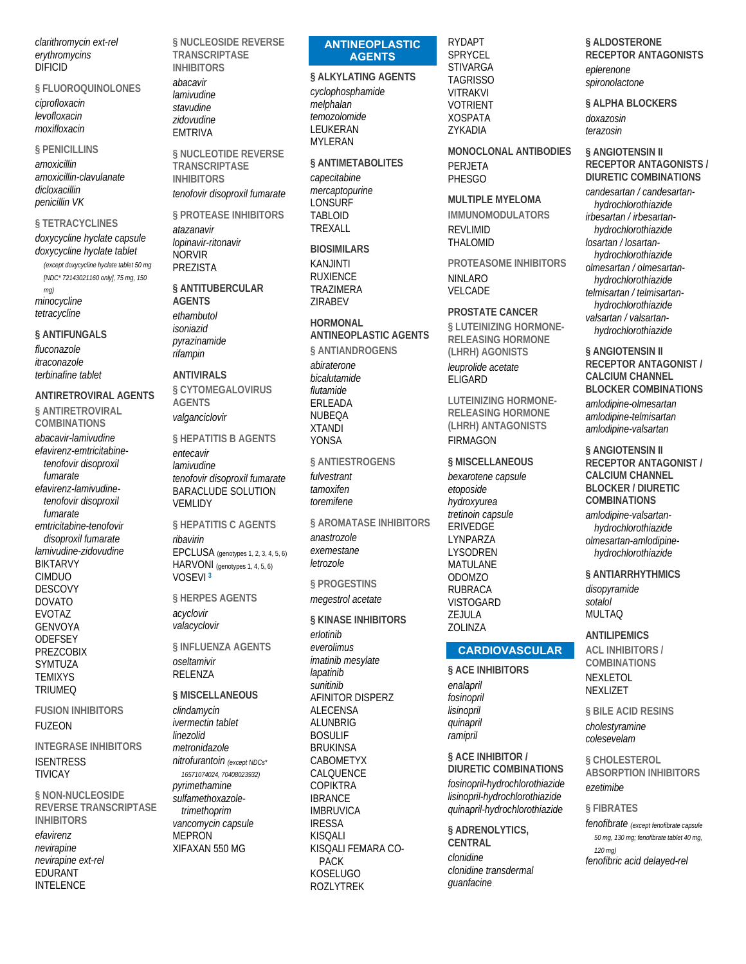*clarithromycin ext-rel erythromycins* DIFICID

#### **§ FLUOROQUINOLONES**

*ciprofloxacin levofloxacin moxifloxacin*

#### **§ PENICILLINS**

*amoxicillin amoxicillin-clavulanate dicloxacillin penicillin VK*

#### **§ TETRACYCLINES**

*doxycycline hyclate capsule doxycycline hyclate tablet (except doxycycline hyclate tablet 50 mg* 

*[NDC\* 72143021160 only], 75 mg, 150 mg) minocycline tetracycline*

#### **§ ANTIFUNGALS**

*fluconazole itraconazole terbinafine tablet*

#### **ANTIRETROVIRAL AGENTS**

**§ ANTIRETROVIRAL COMBINATIONS** 

*abacavir-lamivudine efavirenz-emtricitabinetenofovir disoproxil fumarate efavirenz-lamivudinetenofovir disoproxil fumarate emtricitabine-tenofovir disoproxil fumarate lamivudine-zidovudine* BIKTARVY CIMDUO DESCOVY DOVATO EVOTAZ GENVOYA **ODEFSEY** PREZCOBIX SYMTUZA TEMIXYS TRIUMEQ

#### **FUSION INHIBITORS**  FUZEON

#### **INTEGRASE INHIBITORS ISENTRESS** TIVICAY

**§ NON-NUCLEOSIDE REVERSE TRANSCRIPTASE INHIBITORS**  *efavirenz nevirapine nevirapine ext-rel* EDURANT INTELENCE

**§ NUCLEOSIDE REVERSE TRANSCRIPTASE INHIBITORS** 

*abacavir lamivudine stavudine zidovudine* EMTRIVA

**§ NUCLEOTIDE REVERSE TRANSCRIPTASE INHIBITORS** 

*tenofovir disoproxil fumarate*

**§ PROTEASE INHIBITORS**  *atazanavir lopinavir-ritonavir* NORVIR PREZISTA

#### **§ ANTITUBERCULAR AGENTS**

*ethambutol isoniazid pyrazinamide rifampin*

### **ANTIVIRALS**

**§ CYTOMEGALOVIRUS AGENTS**  *valganciclovir*

## **§ HEPATITIS B AGENTS**

*entecavir lamivudine tenofovir disoproxil fumarate* BARACLUDE SOLUTION VEMLIDY

**§ HEPATITIS C AGENTS**  *ribavirin* EPCLUSA (genotypes 1, 2, 3, 4, 5, 6) HARVONI (genotypes 1, 4, 5, 6) VOSEVI **<sup>3</sup>**

# **§ HERPES AGENTS**

*acyclovir valacyclovir*

#### **§ INFLUENZA AGENTS**  *oseltamivir*

**RELENZA** 

# **§ MISCELLANEOUS**

*clindamycin ivermectin tablet linezolid metronidazole nitrofurantoin (except NDCs\* 16571074024, 70408023932) pyrimethamine sulfamethoxazoletrimethoprim vancomycin capsule* **MEPRON** XIFAXAN 550 MG

### **ANTINEOPLASTIC AGENTS**

**§ ALKYLATING AGENTS**  *cyclophosphamide*

*melphalan temozolomide* LEUKERAN MYLERAN

**§ ANTIMETABOLITES**  *capecitabine mercaptopurine* **LONSURF** TABLOID TREXALL

**BIOSIMILARS**  KANJINTI RUXIENCE TRAZIMERA ZIRABEV

#### **HORMONAL**

**ANTINEOPLASTIC AGENTS § ANTIANDROGENS**  *abiraterone bicalutamide flutamide* ERLEADA NUBEQA XTANDI YONSA

**§ ANTIESTROGENS**  *fulvestrant tamoxifen toremifene*

**§ AROMATASE INHIBITORS**  *anastrozole exemestane letrozole*

**§ PROGESTINS**  *megestrol acetate*

#### **§ KINASE INHIBITORS**  *erlotinib everolimus imatinib mesylate lapatinib sunitinib* AFINITOR DISPERZ ALECENSA ALUNBRIG BOSULIF BRUKINSA CABOMETYX CALQUENCE **COPIKTRA**

IBRANCE IMBRUVICA IRESSA KISQALI KISQALI FEMARA CO-PACK KOSELUGO ROZLYTREK

RYDAPT SPRYCEL STIVARGA **TAGRISSO** VITRAKVI VOTRIENT XOSPATA ZYKADIA

**MONOCLONAL ANTIBODIES**  PERJETA **PHESGO** 

#### **MULTIPLE MYELOMA IMMUNOMODULATORS REVI IMID** THALOMID

**PROTEASOME INHIBITORS**  NINLARO VELCADE

#### **PROSTATE CANCER**

**§ LUTEINIZING HORMONE-RELEASING HORMONE (LHRH) AGONISTS**  *leuprolide acetate* ELIGARD

**LUTEINIZING HORMONE-RELEASING HORMONE (LHRH) ANTAGONISTS**  FIRMAGON

### **§ MISCELLANEOUS**

*bexarotene capsule etoposide hydroxyurea tretinoin capsule* ERIVEDGE LYNPARZA LYSODREN MATULANE ODOMZO RUBRACA VISTOGARD ZEJULA ZOLINZA

#### **CARDIOVASCULAR**

**§ ACE INHIBITORS**  *enalapril fosinopril lisinopril quinapril ramipril*

#### **§ ACE INHIBITOR /**

**DIURETIC COMBINATIONS**  *fosinopril-hydrochlorothiazide lisinopril-hydrochlorothiazide quinapril-hydrochlorothiazide*

**§ ADRENOLYTICS, CENTRAL**  *clonidine clonidine transdermal guanfacine*

**§ ALDOSTERONE RECEPTOR ANTAGONISTS**  *eplerenone*

*spironolactone*

**§ ALPHA BLOCKERS**  *doxazosin terazosin*

#### **§ ANGIOTENSIN II RECEPTOR ANTAGONISTS / DIURETIC COMBINATIONS**

*candesartan / candesartanhydrochlorothiazide irbesartan / irbesartanhydrochlorothiazide losartan / losartanhydrochlorothiazide olmesartan / olmesartanhydrochlorothiazide telmisartan / telmisartanhydrochlorothiazide valsartan / valsartanhydrochlorothiazide*

**§ ANGIOTENSIN II RECEPTOR ANTAGONIST / CALCIUM CHANNEL BLOCKER COMBINATIONS** 

*amlodipine-olmesartan amlodipine-telmisartan amlodipine-valsartan*

**§ ANGIOTENSIN II RECEPTOR ANTAGONIST / CALCIUM CHANNEL BLOCKER / DIURETIC COMBINATIONS** 

*amlodipine-valsartanhydrochlorothiazide olmesartan-amlodipinehydrochlorothiazide*

**§ ANTIARRHYTHMICS** 

*disopyramide sotalol* MULTAQ

#### **ANTILIPEMICS**

**ACL INHIBITORS / COMBINATIONS**  NEXLETOL NEXLIZET

**§ BILE ACID RESINS**  *cholestyramine colesevelam*

**§ CHOLESTEROL ABSORPTION INHIBITORS**  *ezetimibe*

#### **§ FIBRATES**

*fenofibrate (except fenofibrate capsule 50 mg, 130 mg; fenofibrate tablet 40 mg, 120 mg) fenofibric acid delayed-rel*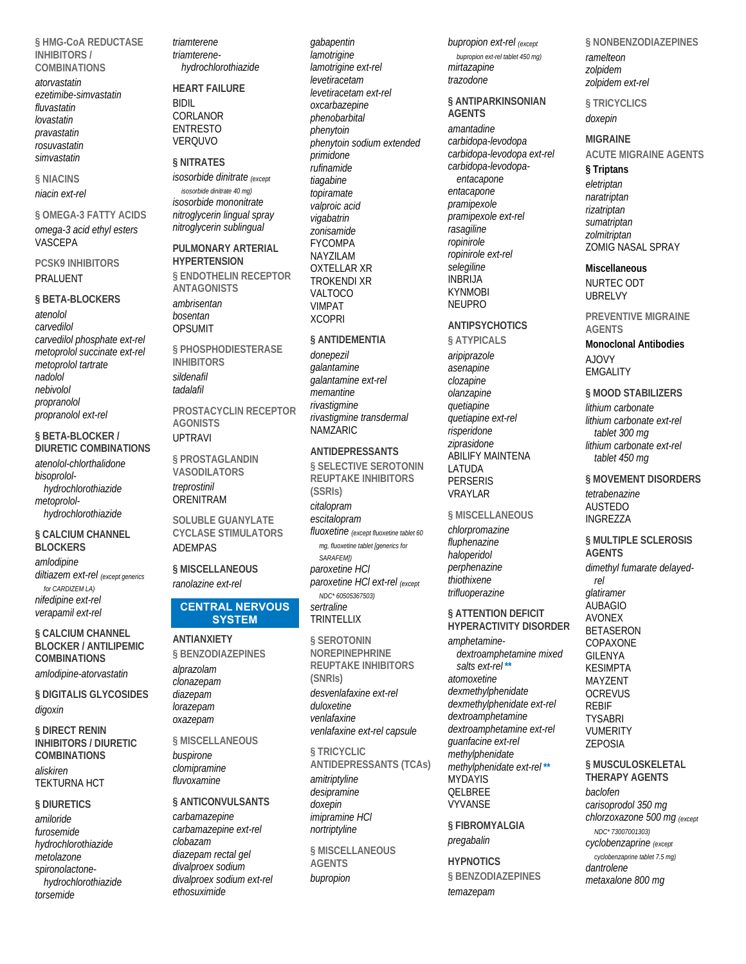§ HMG-CoA REDUCTASE **INHIBITORS/ COMBINATIONS** 

atonyastatin ezetimibe-simvastatin fluvastatin lovastatin pravastatin rosuvastatin simvastatin

§ NIACINS niacin ext-rel

§ OMEGA-3 FATTY ACIDS omega-3 acid ethyl esters VASCEPA

#### **PCSK9 INHIBITORS PRAI UFNT**

#### § BETA-BLOCKERS

 $atomolol$ carvedilol carvedilol phosphate ext-rel metoprolol succinate ext-rel metoprolol tartrate nadolol nebivolol propranolol propranolol ext-rel

§ BETA-BLOCKER / **DIURETIC COMBINATIONS** atenolol-chlorthalidone bisoprololhydrochlorothiazide metoprolol-

hydrochlorothiazide

§ CALCIUM CHANNEL **BLOCKERS** amlodipine diltiazem ext-rel (except generics for CARDIZEM LA) nifedipine ext-rel verapamil ext-rel

§ CALCIUM CHANNEL **BI OCKER / ANTILIPEMIC COMBINATIONS** amlodipine-atorvastatin

§ DIGITALIS GLYCOSIDES digoxin

**§ DIRECT RENIN INHIBITORS / DIURETIC COMBINATIONS** aliskiren **TEKTURNA HCT** 

### **§ DIURETICS**

amiloride furnsemide hydrochlorothiazide metolazone spironolactonehydrochlorothiazide torsemide

triamterene triamterenehydrochlorothiazide

#### **HEART FAILURE BIDIL** CORLANOR **ENTRESTO** VERQUVO

#### **§ NITRATES**

isosorbide dinitrate (except isosorbide dinitrate 40 mq) isosorbide mononitrate nitroglycerin lingual spray nitroglycerin sublingual

#### PULMONARY ARTERIAL **HYPERTENSION § ENDOTHELIN RECEPTOR ANTAGONISTS** ambrisentan

bosentan **OPSUMIT** 

§ PHOSPHODIESTERASE **INHIBITORS** sildenafil tadalafil

PROSTACYCLIN RECEPTOR **AGONISTS UPTRAVI** 

§ PROSTAGLANDIN **VASODILATORS** treprostinil ORENITRAM

**SOLUBLE GUANYLATE CYCLASE STIMULATORS ADEMPAS** 

§ MISCELLANEOUS ranolazine ext-rel

#### **CENTRAL NERVOUS SYSTEM**

**ANTIANXIETY** § BENZODIAZEPINES alprazolam clonazepam

**§ MISCELLANEOUS** 

diazepam

lorazepam

oxazepam

### buspirone clomipramine fluvoxamine

§ ANTICONVULSANTS

#### carbamazepine carbamazepine ext-rel clobazam diazepam rectal gel divalproex sodium divalproex sodium ext-rel  $athosuvimida$

gabapentin lamotrigine lamotrigine ext-rel levetiracetam levetiracetam ext-rel oxcarbazepine phenobarbital phenytoin phenytoin sodium extended .<br>primidone .<br>rufinamide tiagabine topiramate valproic acid vigabatrin zonisamide **FYCOMPA** NAYZILAM **OXTELLAR XR TROKENDI XR** VAI TOCO **VIMPAT XCOPRI** 

#### § ANTIDEMENTIA

donepezil galantamine galantamine ext-rel memantine rivastiamine rivastigmine transdermal NAMZARIC

#### **ANTIDEPRESSANTS**

§ SELECTIVE SEROTONIN **REUPTAKE INHIBITORS**  $(SSRIs)$ citalopram escitalopram fluoxetine (except fluoxetine tablet 60 ma, fluoxetine tablet [generics for SARAFFMI) paroxetine HCI paroxetine HCI ext-rel (except NDC\* 60505367503) sertraline

**TRINTELLIX** 

**§ SEROTONIN NOREPINEPHRINE REUPTAKE INHIBITORS** (SNRIs) desvenlafaxine ext-rel dulovetine venlafaxine venlafaxine ext-rel capsule

§ TRICYCLIC **ANTIDEPRESSANTS (TCAs)** amitriptyline desipramine doxepin imipramine HCI nortriptyline

§ MISCELLANEOUS **AGENTS** bupropion

bupropion ext-rel (except bupropion ext-rel tablet 450 mg) mirtazapine trazodone

#### § ANTIPARKINSONIAN **AGENTS**

amantadine carbidopa-levodopa carbidopa-levodopa ext-rel carbidopa-levodopaentacapone entacapone pramipexole pramipexole ext-rel rasagiline ropinirole ropinirole ext-rel selegiline **INBRIJA KYNMOBI NEUPRO** 

# **ANTIPSYCHOTICS**

§ ATYPICALS aripiprazole asenapine clozapine olanzapine quetiapine quetiapine ext-rel risperidone ziprasidone ABILIFY MAINTENA LATUDA **PERSERIS** VRAYLAR

#### § MISCELLANEOUS

chlorpromazine fluphenazine haloperidol perphenazine thiothixene trifluoperazine

#### **§ ATTENTION DEFICIT HYPERACTIVITY DISORDER**

dextroamphetamine mixed salts ext-rel\*\* **VYVANSE** 

§ FIBROMYALGIA pregabalin

**HYPNOTICS** § BENZODIAZEPINES temazepam

§ NONBENZODIAZEPINES ramelteon zolpidem zolpidem ext-rel

§ TRICYCLICS doxepin

#### **MIGRAINE ACUTE MIGRAINE AGENTS**

§ Triptans eletriptan naratriptan rizatriptan sumatriptan zolmitriptan ZOMIG NASAL SPRAY

**Miscellaneous** NURTEC ODT **UBRELVY** 

**PREVENTIVE MIGRAINE AGENTS** 

**Monoclonal Antibodies AIOVY EMGALITY** 

§ MOOD STABILIZERS lithium carbonate lithium carbonate ext-rel tablet 300 mg lithium carbonate ext-rel tablet 450 mg

§ MOVEMENT DISORDERS tetrahenazine **AUSTEDO INGREZZA** 

§ MULTIPLE SCLEROSIS **AGENTS** dimethyl fumarate delayed-

 $r \rho$ glatiramer **AUBAGIO AVONEX BETASERON** COPAXONE **GILENYA KESIMPTA MAYZENT OCREVUS REBIF TYSABRI VUMERITY ZEPOSIA** 

§ MUSCULOSKELETAL **THERAPY AGENTS** baclofen carisoprodol 350 mg chlorzoxazone 500 mg (except NDC\* 73007001303) cyclobenzaprine (except cyclobenzaprine tablet 7.5 mg)

dantrolene metaxalone 800 mg

# amphetamine-

atomoxetine dexmethylphenidate dexmethylphenidate ext-rel dextroamphetamine dextroamphetamine ext-rel guanfacine ext-rel methylphenidate methylphenidate ext-rel\*\* **MYDAYIS** OFI BRFF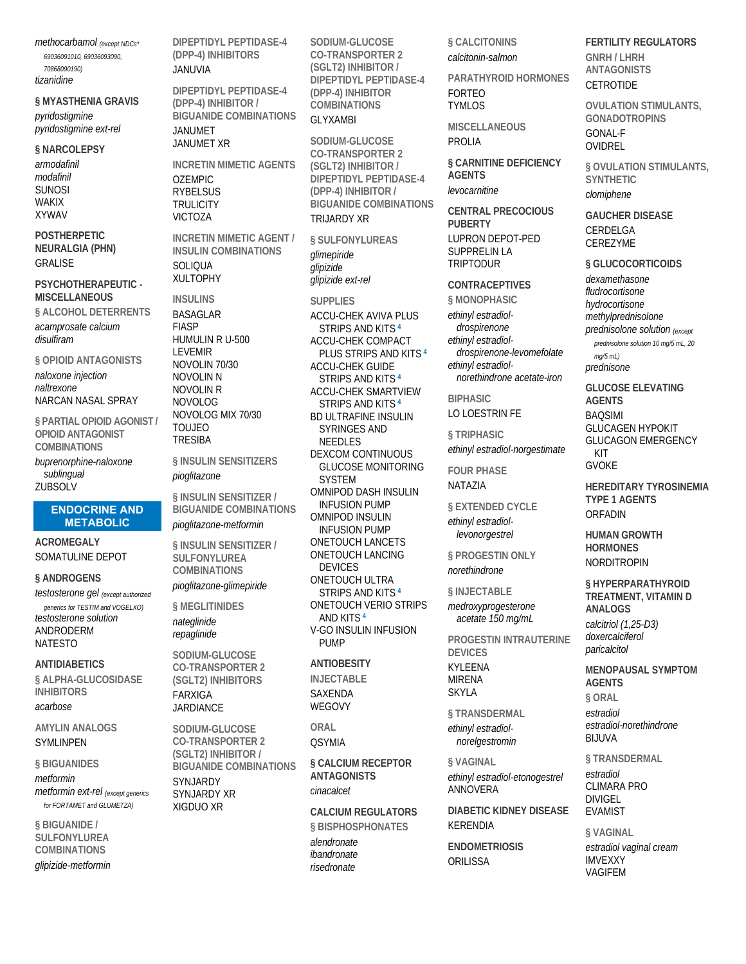methocarbamol (except NDCs\* 69036091010 69036093090 708680901901 tizanidine

#### § MYASTHENIA GRAVIS pyridostigmine

pyridostigmine ext-rel

§ NARCOLEPSY armodafinil modafinil **SUNOSI WAKIX XYWAV** 

**POSTHERPETIC NEURALGIA (PHN) GRALISE** 

#### PSYCHOTHERAPEUTIC -**MISCELLANEOUS**

**§ ALCOHOL DETERRENTS** acamprosate calcium disulfiram

§ OPIOID ANTAGONISTS naloxone injection naltrexone NARCAN NASAL SPRAY

§ PARTIAL OPIOID AGONIST / **OPIOID ANTAGONIST COMBINATIONS** 

buprenorphine-naloxone sublingual **ZURSOLV** 

#### **ENDOCRINE AND METABOLIC**

**ACROMEGALY** SOMATULINE DEPOT

#### § ANDROGENS

testosterone gel (except authorized generics for TESTIM and VOGELXO) testosterone solution **ANDRODERM NATESTO** 

**ANTIDIABETICS** § ALPHA-GLUCOSIDASE **INHIBITORS** acarbose

#### **AMYLIN ANALOGS SYMLINPEN**

§ BIGUANIDES metformin metformin ext-rel (except generics for FORTAMET and GLUMETZA)

§ BIGUANIDE / SULFONYLUREA **COMBINATIONS** glipizide-metformin DIPEPTIDYL PEPTIDASE-4 (DPP-4) INHIBITORS

#### JANUVIA

DIPEPTIDYL PEPTIDASE-4 (DPP-4) INHIBITOR / **BIGUANIDE COMBINATIONS** JANUMET

**JANUMET XR** 

**INCRETIN MIMETIC AGENTS OZEMPIC RYBELSUS TRULICITY VICTOZA** 

**INCRETIN MIMETIC AGENT / INSULIN COMBINATIONS SOLIOLIA XULTOPHY** 

**INSULINS BASAGLAR FIASP** HUMULIN R U-500 **I FVFMIR** NOVOLIN 70/30 **NOVOLIN N NOVOLIN R NOVOLOG** NOVOLOG MIX 70/30 **TOUJEO TRESIBA** 

§ INSULIN SENSITIZERS pioglitazone

§ INSULIN SENSITIZER / **BIGUANIDE COMBINATIONS** pioalitazone-metformin

§ INSULIN SENSITIZER / **SULFONYLUREA COMBINATIONS** pioglitazone-glimepiride

§ MEGLITINIDES nateglinide repaglinide

SODIUM-GLUCOSE **CO-TRANSPORTER 2** (SGLT2) INHIBITORS **FARXIGA JARDIANCE** 

SODIUM-GLUCOSE **CO-TRANSPORTER 2** (SGLT2) INHIBITOR / **BIGUANIDE COMBINATIONS SYN JARDY SYNJARDY XR XIGDUO XR** 

SODIUM-GLUCOSE **CO-TRANSPORTER 2** (SGLT2) INHIBITOR / DIPEPTIDYL PEPTIDASE-4 (DPP-4) INHIBITOR **COMBINATIONS** 

#### **GI YXAMBI**

SODIUM-GLUCOSE **CO-TRANSPORTER 2** (SGLT2) INHIBITOR / DIPEPTIDYL PEPTIDASE-4 (DPP-4) INHIBITOR / **BIGUANIDE COMBINATIONS TRUARDY XR** 

§ SULFONYLUREAS *alimepiride* glipizide glipizide ext-rel

**SUPPLIES** 

**ACCU-CHEK AVIVA PLUS STRIPS AND KITS 4 ACCU-CHEK COMPACT** PLUS STRIPS AND KITS<sup>4</sup> **ACCU-CHEK GUIDE** STRIPS AND KITS<sup>4</sup> **ACCU-CHEK SMARTVIEW** STRIPS AND KITS<sup>4</sup> BD ULTRAFINE INSULIN **SYRINGES AND NFFDIFS** DEXCOM CONTINUOUS **GLUCOSE MONITORING SYSTEM OMNIPOD DASH INSULIN INFUSION PUMP OMNIPOD INSULIN INFUSION PUMP ONETOUCH LANCETS ONETOUCH LANCING DEVICES** ONETOUCH ULTRA STRIPS AND KITS 4 **ONETOUCH VERIO STRIPS** AND KITS<sup>4</sup> **V-GO INSULIN INFUSION PUMP** 

# **ANTIORESITY**

**INJECTABLE** SAXFNDA WEGOVY

**OSYMIA** 

**§ CALCIUM RECEPTOR ANTAGONISTS** 

**CALCIUM REGULATORS** 

§ CALCITONINS calcitonin-salmon

PARATHYROID HORMONES **FORTEO TYMLOS** 

MISCELLANEOUS PROLIA

**§ CARNITINE DEFICIFNCY AGENTS** levocarnitine

**CENTRAL PRECOCIOUS PUBERTY I UPRON DEPOT-PED SUPPRELIN LA TRIPTODUR** 

**CONTRACEPTIVES** 

§ MONOPHASIC ethinyl estradioldrospirenone ethinyl estradioldrospirenone-levomefolate ethinyl estradiolnorethindrone acetate-iron

**BIPHASIC** LO LOESTRIN FE

§ TRIPHASIC ethinyl estradiol-norgestimate

**FOUR PHASE** NATA7IA

**§ EXTENDED CYCLE** ethinyl estradiollevonorgestrel

§ PROGESTIN ONLY norethindrone

#### § INJECTABLE

medroxyprogesterone acetate 150 mg/mL

PROGESTIN INTRAUTERINE **DEVICES KYI FFNA MIRFNA** SKYI A

§ TRANSDERMAL ethinyl estradiolnorelgestromin

§ VAGINAL ethinyl estradiol-etonogestrel ANNOVERA

**DIABETIC KIDNEY DISEASE KERENDIA** 

**ENDOMETRIOSIS** ORILISSA

**FERTILITY REGULATORS GNRH/I HRH ANTAGONISTS CETROTIDE** 

**OVULATION STIMULANTS. GONADOTROPINS GONAL-F** OVIDREL

§ OVULATION STIMULANTS. **SYNTHETIC** clomiphene

**GAUCHER DISEASE** CERDELGA CEREZYME

§ GLUCOCORTICOIDS dexamethasone fludrocortisone hydrocortisone methylprednisolone prednisolone solution (except prednisolone solution 10 mg/5 mL, 20  $mg/5$  mL) prednisone

**GLUCOSE ELEVATING AGENTS BAOSIMI GLUCAGEN HYPOKIT GLUCAGON EMERGENCY** KIT **GVOKE** 

**HEREDITARY TYROSINEMIA TYPE 1 AGENTS** ORFADIN

**HUMAN GROWTH HORMONES NORDITROPIN** 

§ HYPERPARATHYROID TREATMENT, VITAMIN D **ANALOGS** calcitriol (1,25-D3) doxercalciferol paricalcitol

**MENOPALISAL SYMPTOM AGFNTS** § ORAL estradiol estradiol-norethindrone **RI II IVA** 

§ TRANSDERMAL estradiol **CLIMARA PRO DIVIGEL EVAMIST** 

§ VAGINAL estradiol vaginal cream **IMVEXXY VAGIFFM** 

ORAI

cinacalcet

§ BISPHOSPHONATES alendronate ibandronate risedronate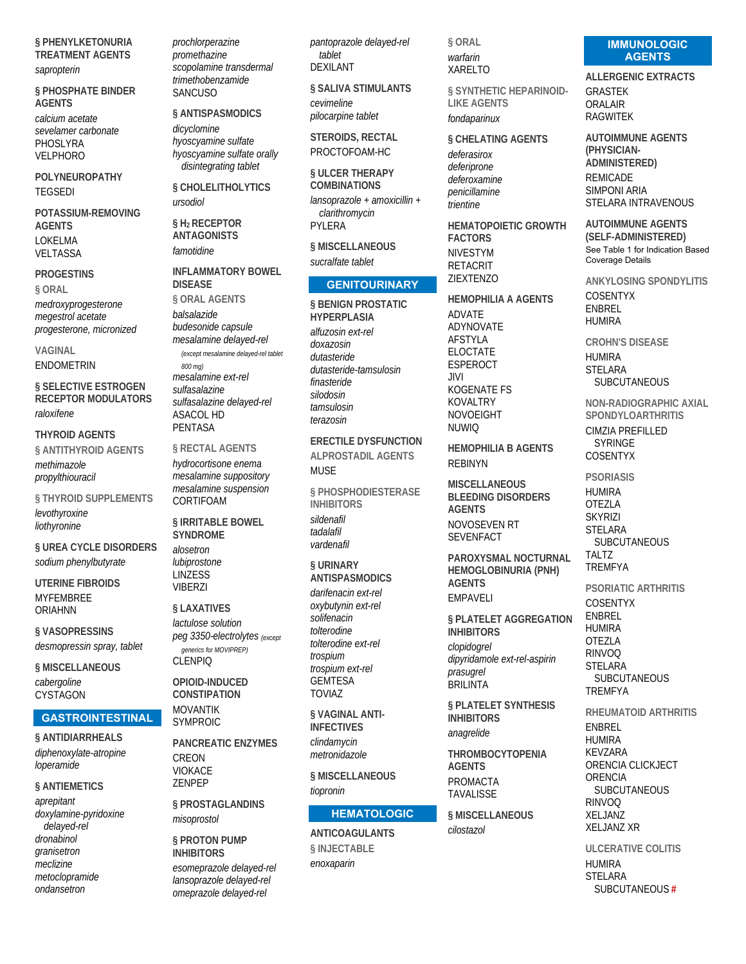§ PHENYLKETONURIA **TREATMENT AGENTS** 

#### sapropterin

§ PHOSPHATE BINDER **AGENTS** calcium acetate sevelamer carbonate PHOSLYRA **VELPHORO** 

POLYNEUROPATHY **TEGSEDI** 

POTASSIUM-REMOVING **AGENTS LOKELMA** VELTASSA

#### **PROGESTINS**

§ ORAL medroxyprogesterone megestrol acetate progesterone, micronized

VAGINAL **FNDOMFTRIN** 

**§ SELECTIVE ESTROGEN RECEPTOR MODULATORS** raloxifene

**THYROID AGENTS** § ANTITHYROID AGENTS methimazole propylthiouracil

§ THYROID SUPPLEMENTS levothyroxine liothyronine

**§ UREA CYCLE DISORDERS** sodium phenylbutyrate

**UTERINE FIBROIDS MYFEMBREE ORIAHNN** 

§ VASOPRESSINS desmopressin spray, tablet

§ MISCELLANEOUS cabergoline CYSTAGON

# **GASTROINTESTINAL**

§ ANTIDIARRHEALS diphenoxylate-atropine loperamide

§ ANTIEMETICS

aprepitant doxylamine-pyridoxine delaved-rel dronabinol granisetron meclizine metoclopramide ondansetron

prochlorperazine promethazine .<br>scopolamine transdermal trimethobenzamide **SANCUSO** 

§ ANTISPASMODICS

dicyclomine hyoscyamine sulfate hyoscyamine sulfate orally disintegrating tablet

**§ CHOLELITHOLYTICS** ursodiol

§ H<sub>2</sub> RECEPTOR **ANTAGONISTS** famotidine

**INFI AMMATORY BOWEL DISFASE** § ORAL AGENTS halsalazide budesonide capsule mesalamine delayed-rel (except mesalamine delayed-rel tablet 800 mg) mesalamine ext-rel sulfasalazine sulfasalazine delayed-rel **ASACOL HD** 

§ RECTAL AGENTS

**PENTASA** 

hydrocortisone enema mesalamine suppository mesalamine suspension CORTIFOAM

**SIRRITABLE BOWEL SYNDROMF** alosetron lubiprostone **LINZESS** 

#### § LAXATIVES

**VIBERZI** 

lactulose solution peg 3350-electrolytes (except generics for MOVIPREP) CL ENPIO

OPIOID-INDUCED **CONSTIPATION MOVANTIK** 

**SYMPROIC PANCREATIC ENZYMES** CREON **VIOKACE 7FNPFP** 

§ PROSTAGLANDINS misoprostol

**§ PROTON PUMP INHIBITORS** 

esomeprazole delaved-rel lansoprazole delayed-rel omeprazole delayed-rel

pantoprazole delayed-rel tablet **DEXILANT** 

§ SALIVA STIMULANTS cevimeline pilocarpine tablet

**STEROIDS, RECTAL** PROCTOFOAM-HC

§ ULCER THERAPY **COMBINATIONS** lansoprazole + amoxicillin + clarithromycin PYLERA

**§ MISCELLANEOUS** sucralfate tablet

#### **GENITOURINARY**

§ BENIGN PROSTATIC **HYPERPLASIA** alfuzosin ext-rel *doxazosin* dutasteride dutasteride-tamsulosin finasteride silodosin tamsulosin terazosin

**ERECTILE DYSFUNCTION ALPROSTADIL AGENTS MUSF** 

**§ PHOSPHODIESTERASE INHIBITORS** sildenafil tadalafil vardenafil

#### **§URINARY ANTISPASMODICS**

darifenacin ext-rel oxybutynin ext-rel solifenacin tolterodine tolterodine ext-rel trospium trospium ext-rel **GEMTESA TOVIAZ** 

*SVAGINAI ANTI-***INFFCTIVES** clindamycin metronidazole

§ MISCELLANEOUS

#### **HEMATOLOGIC**

**ANTICOAGUI ANTS** § INJECTABLE enoxaparin

§ ORAL warfarin **XARELTO** 

§ SYNTHETIC HEPARINOID-**LIKE AGENTS** fondaparinux

§ CHELATING AGENTS deferasirox deferiprone deferoxamine penicillamine .<br>trientine

**HEMATOPOIETIC GROWTH FACTORS NIVESTYM RETACRIT** ZIEXTENZO

**HEMOPHILIA A AGENTS** ADVATF ADYNOVATE **AFSTYLA FLOCTATE ESPEROCT**  $III$ **KOGENATE FS KOVALTRY NOVOEIGHT NUWIO** 

**HEMOPHILIA B AGENTS REBINYN** 

**MISCELLANEOUS BLEEDING DISORDERS AGENTS NOVOSEVEN RT SEVENFACT** 

PAROXYSMAL NOCTURNAL **HEMOGLOBINURIA (PNH) AGFNTS EMPAVELI** 

§ PLATELET AGGREGATION **INHIBITORS** clopidogrel dipyridamole ext-rel-aspirin prasuarel **BRILINTA** 

§ PLATELET SYNTHESIS **INHIBITORS** anagrelide

**THROMBOCYTOPENIA AGFNTS PROMACTA TAVALISSE** 

§ MISCELLANEOUS cilostazol

#### **IMMUNOLOGIC AGENTS**

**ALLERGENIC EXTRACTS GRASTEK** ORAI AIR **RAGWITEK** 

**AUTOIMMUNE AGENTS** (PHYSICIAN-**ADMINISTERED) REMICADE** SIMPONI ARIA STELARA INTRAVENOUS

**AUTOIMMUNE AGENTS** (SELF-ADMINISTERED) See Table 1 for Indication Based **Coverage Details** 

ANKYI OSING SPONDYLITIS **COSENTYX ENBREL HUMIRA** 

**CROHN'S DISFASE HUMIRA STELARA SUBCUTANEOUS** 

**NON-RADIOGRAPHIC AXIAL SPONDYLOARTHRITIS CIMZIA PREFILLED SYRINGE** COSENTYX

**PSORIASIS HUMIRA** 

**OTEZLA SKYRIZI STELARA SUBCUTANEOUS** TAI T7 **TREMFYA** 

**PSORIATIC ARTHRITIS COSENTYX ENBREL HUMIRA** OTF7LA **RINVOO STFI ARA SUBCUTANEOUS TREMFYA** 

RHEUMATOID ARTHRITIS

**FNBRFI HUMIRA KEVZARA** ORENCIA CLICKJECT **ORENCIA SUBCUTANEOUS RINVOO** XFI JAN7 **XELJANZ XR** 

**ULCERATIVE COLITIS HI IMIRA STELARA** SUBCUTANEOUS#

tiopronin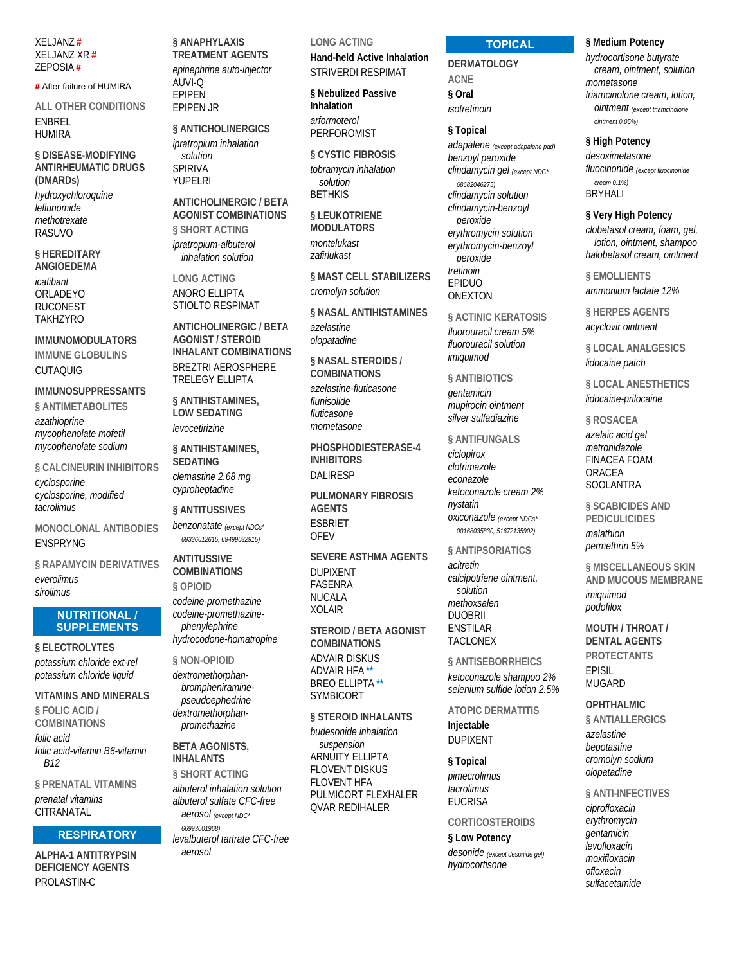**XELJANZ# XELJANZ XR#** ZEPOSIA#

#### # After failure of HUMIRA

**ALL OTHER CONDITIONS FNRRFI HUMIRA** 

§ DISEASE-MODIFYING **ANTIRHEUMATIC DRUGS** (DMARDs) hydroxychloroquine

leflunomide methotrexate **RASLIVO** 

**§HEREDITARY ANGIOEDEMA** icatibant ORLADEYO **RUCONEST TAKH7YRO** 

**IMMUNOMODULATORS** IMMUNE GLOBULINS **CUTAQUIG** 

**IMMUNOSUPPRESSANTS** 

§ ANTIMETABOLITES

azathioprine mycophenolate mofetil mycophenolate sodium

§ CALCINEURIN INHIBITORS

cyclosporine cyclosporine, modified tacrolimus

**MONOCLONAL ANTIBODIES ENSPRYNG** 

§ RAPAMYCIN DERIVATIVES everolimus sirolimus

#### **NUTRITIONAL / SUPPLEMENTS**

**§ ELECTROLYTES** potassium chloride ext-rel potassium chloride liquid

**VITAMINS AND MINFRALS** 

§ FOLIC ACID / **COMBINATIONS** folic acid folic acid-vitamin B6-vitamin  $R12$ 

§ PRENATAL VITAMINS prenatal vitamins CITRANATAL

#### **RESPIRATORY**

**ALPHA-1 ANTITRYPSIN DEFICIENCY AGENTS** PROLASTIN-C

§ ANAPHYLAXIS **TREATMENT AGENTS** epinephrine auto-injector AUVI-O **EPIPEN FPIPFN JR** 

§ ANTICHOLINERGICS ipratropium inhalation solution **SPIRIVA** YUPELRI

**ANTICHOLINERGIC / BETA AGONIST COMBINATIONS** § SHORT ACTING ipratropium-albuterol inhalation solution

**LONG ACTING** ANORO ELLIPTA STIOLTO RESPIMAT

**ANTICHOLINERGIC / BETA AGONIST / STEROID INHALANT COMBINATIONS BREZTRI AEROSPHERE TRELEGY ELLIPTA** 

§ ANTIHISTAMINES. **LOW SEDATING** levocetirizine

§ ANTIHISTAMINES, **SEDATING** clemastine 2.68 mo cyproheptadine

#### § ANTITUSSIVES

benzonatate (except NDCs\* 69336012615, 69499032915)

# **ANTITUSSIVE**

**COMBINATIONS** § OPIOID codeine-promethazine codeine-promethazinephenylephrine hydrocodone-homatropine

§ NON-OPIOID

dextromethorphanbrompheniraminepseudoephedrine dextromethorphanpromethazine

#### **BETA AGONISTS. INHALANTS**

§ SHORT ACTING albuterol inhalation solution albuterol sulfate CFC-free aerosol (except NDC\* 66993001968 levalbuterol tartrate CFC-free aerosol

#### **LONG ACTING**

**Hand-held Active Inhalation STRIVERDI RESPIMAT** 

§ Nebulized Passive Inhalation arformoterol PERFOROMIST

§ CYSTIC FIBROSIS tobramycin inhalation solution **RETHKIS** 

§ LEUKOTRIENE **MODULATORS** montelukast zafirlukast

§ MAST CELL STABILIZERS cromolyn solution

§ NASAL ANTIHISTAMINES azelastine olopatadine

§ NASAL STEROIDS / **COMBINATIONS** azelastine-fluticasone flunisolide fluticasone mometasone

PHOSPHODIESTERASE-4 **INHIBITORS DALIRESP** 

**PULMONARY FIBROSIS AGENTS ESBRIET OFFV** 

**SEVERE ASTHMA AGENTS** 

**DUPIXENT FASENRA NUCALA XOLAIR** 

**STEROID / BETA AGONIST COMBINATIONS ADVAIR DISKUS** ADVAIR HFA\* **BREO ELLIPTA\*** SYMBICORT

§ STEROID INHALANTS budesonide inhalation suspension **ARNUITY ELLIPTA FLOVENT DISKUS** FI OVENT HEA PUI MICORT FLEXHALER **OVAR REDIHALER** 

#### **TOPICAL**

**DERMATOLOGY ACNF** § Oral isotretinoin

§ Topical

adapalene (except adapalene pad) benzovl peroxide clindamycin gel (except NDC\* 68682046275) clindamycin solution clindamycin-benzoyl peroxide erythromycin solution erythromycin-benzoyl peroxide tretinoin EPIDUO **ONEXTON** 

#### **& ACTINIC KERATOSIS**

fluorouracil cream 5% fluorouracil solution imiquimod

§ ANTIBIOTICS

gentamicin mupirocin ointment silver sulfadiazine

#### § ANTIFUNGALS

ciclopirox clotrimazole econazole ketoconazole cream 2% nystatin oxiconazole (except NDCs\* 00168035830, 51672135902)

#### § ANTIPSORIATICS

acitretin calcipotriene ointment, solution methoxsalen **DUOBRII FNSTILAR TACI ONFX** 

§ ANTISEBORRHEICS ketoconazole shampoo 2%

selenium sulfide lotion 2.5%

**ATOPIC DERMATITIS** 

Injectable **DUPIXENT** 

#### § Topical

pimecrolimus tacrolimus **FUCRISA** 

#### **CORTICOSTEROIDS**

§ Low Potency desonide (except desonide gel) hydrocortisone

#### § Medium Potency

hydrocortisone butyrate cream, ointment, solution mometasone triamcinolone cream, lotion, ointment (except triamcinolone ointment 0.05%)

§ High Potency

desoximetasone fluocinonide (except fluocinonide  $c$ roam  $(192)$ **BRYHALI** 

#### § Very High Potency

clobetasol cream, foam, gel, lotion, ointment, shampoo halobetasol cream, ointment

§ EMOLLIENTS ammonium lactate 12%

§ HERPES AGENTS acyclovir ointment

**§LOCAL ANALGESICS** lidocaine patch

§ LOCAL ANESTHETICS lidocaine-prilocaine

§ ROSACEA

azelaic acid gel metronidazole **FINACEA FOAM** ORACEA **SOOLANTRA** 

§ SCABICIDES AND **PEDICULICIDES** 

malathion permethrin 5%

§ MISCELLANEOUS SKIN AND MUCOUS MEMBRANE imiguimod

podofilox

MOUTH / THROAT / **DENTAL AGENTS PROTECTANTS EPISIL MUGARD** 

### **OPHTHALMIC**

**§ ANTIALLERGICS** azelastine bepotastine cromolyn sodium olopatadine

#### § ANTI-INFECTIVES

ciprofloxacin erythromycin dentamicin *.<br>Ievofloxacin* moxifloxacin ofloxacin sulfacetamide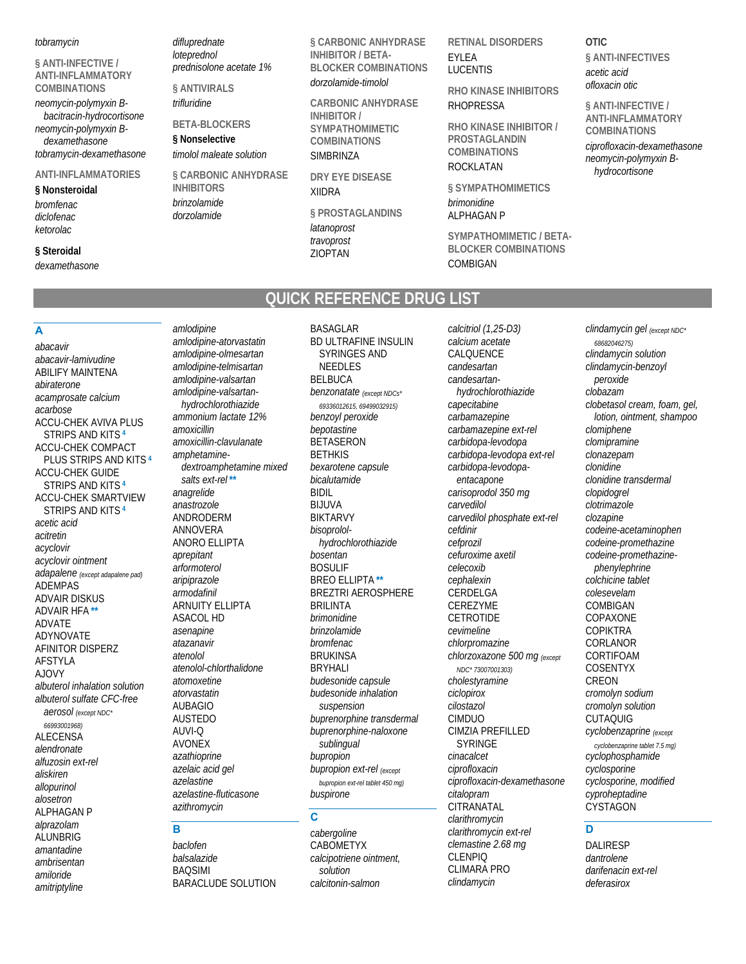#### *tobramycin*

**§ ANTI-INFECTIVE / ANTI-INFLAMMATORY COMBINATIONS**  *neomycin-polymyxin Bbacitracin-hydrocortisone*

*neomycin-polymyxin Bdexamethasone tobramycin-dexamethasone*

#### **ANTI-INFLAMMATORIES**

**§ Nonsteroidal**  *bromfenac diclofenac ketorolac*

#### **§ Steroidal**

*dexamethasone*

*difluprednate loteprednol prednisolone acetate 1%*

**§ ANTIVIRALS**  *trifluridine*

*dorzolamide*

*amlodipine*

*amlodipine-atorvastatin amlodipine-olmesartan*

**BETA-BLOCKERS** 

**§ Nonselective**  *timolol maleate solution*

**§ CARBONIC ANHYDRASE INHIBITORS**  *brinzolamide*

**§ CARBONIC ANHYDRASE INHIBITOR / BETA-BLOCKER COMBINATIONS**  *dorzolamide-timolol*

**CARBONIC ANHYDRASE INHIBITOR / SYMPATHOMIMETIC COMBINATIONS SIMBRINZA** 

**DRY EYE DISEASE**  XIIDRA

**§ PROSTAGLANDINS**  *latanoprost travoprost* ZIOPTAN

BASAGLAR

**RETINAL DISORDERS**  EYLEA LUCENTIS

**RHO KINASE INHIBITORS**  RHOPRESSA

**RHO KINASE INHIBITOR / PROSTAGLANDIN COMBINATIONS**  ROCKLATAN

**§ SYMPATHOMIMETICS**  *brimonidine* ALPHAGAN P

**SYMPATHOMIMETIC / BETA-BLOCKER COMBINATIONS**  COMBIGAN

**OTIC § ANTI-INFECTIVES**  *acetic acid ofloxacin otic*

**§ ANTI-INFECTIVE / ANTI-INFLAMMATORY COMBINATIONS**  *ciprofloxacin-dexamethasone neomycin-polymyxin Bhydrocortisone*

# **QUICK REFERENCE DRUG LIST**

# **A**

*abacavir abacavir-lamivudine* ABILIFY MAINTENA *abiraterone acamprosate calcium acarbose* ACCU-CHEK AVIVA PLUS STRIPS AND KITS **<sup>4</sup>** ACCU-CHEK COMPACT PLUS STRIPS AND KITS **<sup>4</sup>** ACCU-CHEK GUIDE STRIPS AND KITS **<sup>4</sup>** ACCU-CHEK SMARTVIEW STRIPS AND KITS **<sup>4</sup>** *acetic acid acitretin acyclovir acyclovir ointment adapalene (except adapalene pad)* ADEMPAS ADVAIR DISKUS ADVAIR HFA **\*\*** ADVATE ADYNOVATE AFINITOR DISPERZ AFSTYLA AJOVY *albuterol inhalation solution albuterol sulfate CFC-free aerosol (except NDC\* 66993001968)* ALECENSA *alendronate alfuzosin ext-rel aliskiren allopurinol alosetron* ALPHAGAN P *alprazolam* **ALUNBRIG** *amantadine ambrisentan amiloride amitriptyline*

*amlodipine-telmisartan amlodipine-valsartan amlodipine-valsartanhydrochlorothiazide ammonium lactate 12% amoxicillin amoxicillin-clavulanate amphetaminedextroamphetamine mixed salts ext-rel* **\*\*** *anagrelide anastrozole* ANDRODERM ANNOVERA ANORO ELLIPTA *aprepitant arformoterol aripiprazole armodafinil* ARNUITY ELLIPTA ASACOL HD *asenapine atazanavir atenolol atenolol-chlorthalidone atomoxetine atorvastatin* AUBAGIO AUSTEDO AUVI-Q AVONEX *azathioprine azelaic acid gel azelastine azelastine-fluticasone azithromycin* **B** 

*baclofen balsalazide* BAQSIMI BARACLUDE SOLUTION

BD ULTRAFINE INSULIN SYRINGES AND NEEDLES BELBUCA *benzonatate (except NDCs\* 69336012615, 69499032915) benzoyl peroxide bepotastine* **BETASERON BETHKIS** *bexarotene capsule bicalutamide* BIDIL BIJUVA BIKTARVY *bisoprololhydrochlorothiazide bosentan* BOSULIF BREO ELLIPTA **\*\*** BREZTRI AEROSPHERE BRILINTA *brimonidine brinzolamide bromfenac* BRUKINSA BRYHALI *budesonide capsule budesonide inhalation suspension buprenorphine transdermal buprenorphine-naloxone sublingual bupropion bupropion ext-rel (except bupropion ext-rel tablet 450 mg) buspirone*

#### **C**

*cabergoline* CABOMETYX *calcipotriene ointment, solution calcitonin-salmon*

*calcitriol (1,25-D3) calcium acetate* CALQUENCE *candesartan candesartanhydrochlorothiazide capecitabine carbamazepine carbamazepine ext-rel carbidopa-levodopa carbidopa-levodopa ext-rel carbidopa-levodopaentacapone carisoprodol 350 mg carvedilol carvedilol phosphate ext-rel cefdinir cefprozil cefuroxime axetil celecoxib cephalexin* **CERDELGA** CEREZYME **CETROTIDE** *cevimeline chlorpromazine chlorzoxazone 500 mg (except NDC\* 73007001303) cholestyramine ciclopirox cilostazol* CIMDUO CIMZIA PREFILLED SYRINGE *cinacalcet ciprofloxacin ciprofloxacin-dexamethasone citalopram* **CITRANATAL** *clarithromycin clarithromycin ext-rel clemastine 2.68 mg* CLENPIQ CLIMARA PRO *clindamycin*

*clindamycin gel (except NDC\* 68682046275) clindamycin solution clindamycin-benzoyl peroxide clobazam clobetasol cream, foam, gel, lotion, ointment, shampoo clomiphene clomipramine clonazepam clonidine clonidine transdermal clopidogrel clotrimazole clozapine codeine-acetaminophen codeine-promethazine codeine-promethazinephenylephrine colchicine tablet colesevelam* COMBIGAN COPAXONE **COPIKTRA** CORLANOR CORTIFOAM COSENTYX CREON *cromolyn sodium cromolyn solution* CUTAQUIG *cyclobenzaprine (except cyclobenzaprine tablet 7.5 mg) cyclophosphamide cyclosporine cyclosporine, modified cyproheptadine* CYSTAGON

### **D**

DALIRESP *dantrolene darifenacin ext-rel deferasirox*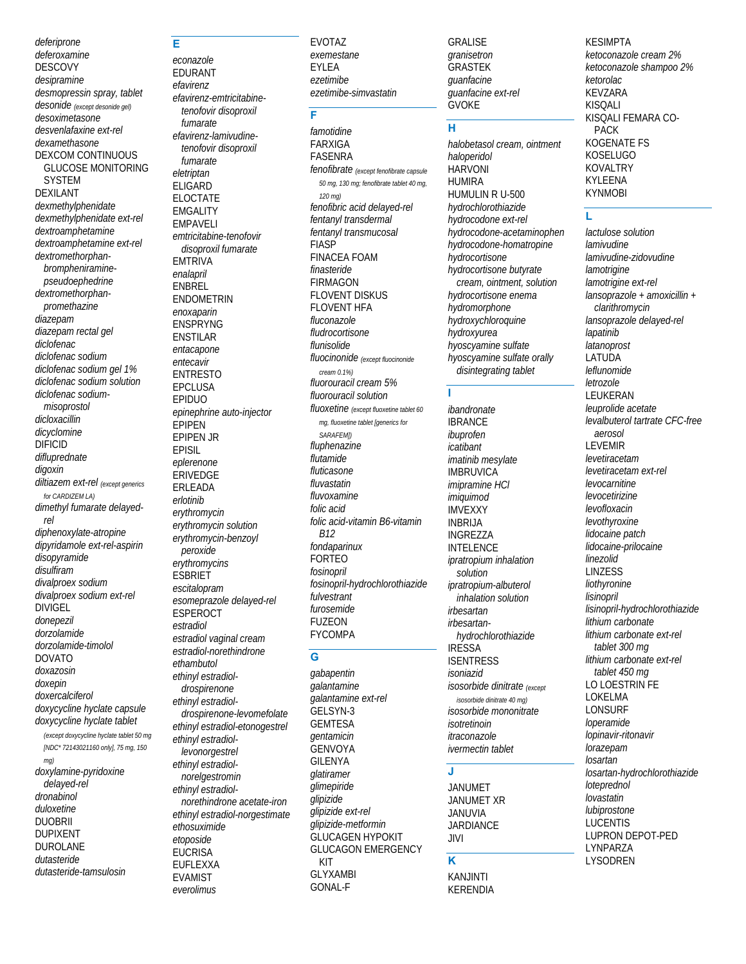deferiprone deferoxamine **DESCOVY** desipramine desmopressin spray, tablet desonide (except desonide gel) desoximetasone desvenlafaxine ext-rel dexamethasone **DEXCOM CONTINUOUS GLUCOSE MONITORING SYSTEM DEXILANT** dexmethylphenidate dexmethylphenidate ext-rel dextroamphetamine dextroamphetamine ext-rel dextromethorphanbrompheniraminepseudoephedrine dextromethorphanpromethazine diazepam diazepam rectal gel diclofenac diclofenac sodium diclofenac sodium gel 1% diclofenac sodium solution diclofenac sodiummisoprostol dicloxacillin dicyclomine **DIFICID** difluprednate digoxin diltiazem ext-rel (except generics for CARDIZEM LA) dimethyl fumarate delayedrel diphenoxylate-atropine dipyridamole ext-rel-aspirin disopyramide disulfiram divalproex sodium divalproex sodium ext-rel **DIVIGEL** donepezil dorzolamide dorzolamide-timolol **DOVATO** doxazosin doxepin doxercalciferol doxycycline hyclate capsule doxycycline hyclate tablet (except doxycycline hyclate tablet 50 mg [NDC\* 72143021160 only], 75 mg, 150 doxylamine-pyridoxine delayed-rel dronabinol duloxetine **DUOBRII DUPIXENT DUROLANE** dutasteride dutasteride-tamsulosin

#### econazole EDURANT efavirenz efavirenz-emtricitabinetenofovir disoproxil fumarate efavirenz-lamivudinetenofovir disoproxil fumarate eletriptan **ELIGARD ELOCTATE EMGALITY EMPAVELI** emtricitabine-tenofovir disoproxil fumarate **EMTRIVA** enalapril **ENBREL ENDOMETRIN** enoxaparin **ENSPRYNG ENSTILAR** entacapone entecavir **ENTRESTO FPCLUSA FPIDUO** epinephrine auto-injector EPIPEN **EPIPEN JR EPISIL** eplerenone **ERIVEDGE** ERLEADA  $P$ crl $P$ ntinih erythromycin erythromycin solution erythromycin-benzoyl peroxide ervthromvcins **ESBRIET** escitalopram esomeprazole delayed-rel **ESPEROCT** estradiol estradiol vaginal cream estradiol-norethindrone ethambutol ethinyl estradioldrospirenone ethinyl estradioldrospirenone-levomefolate ethinyl estradiol-etonogestrel ethinvl estradiollevonorgestrel ethinyl estradiolnorelgestromin ethinyl estradiolnorethindrone acetate-iron ethinyl estradiol-norgestimate ethosuximide etoposide **EUCRISA** EUFLEXXA

**EVAMIST** 

everolimus

Е

**EVOTAZ** exemestane **EYLEA** ezetimibe ezetimibe-simvastatin

#### F

famotidine **FARXIGA FASENRA** fenofibrate (except fenofibrate capsule 50 mg, 130 mg; fenofibrate tablet 40 mg,  $120 \text{ ma}$ fenofibric acid delayed-rel fentanyl transdermal fentanyl transmucosal **FIASP FINACEA FOAM** finasteride **FIRMAGON FLOVENT DISKUS FLOVENT HFA** fluconazole fludrocortisone flunisolide fluocinonide (except fluocinonide cream 0.1%) fluorouracil cream 5% fluorouracil solution fluoxetine (except fluoxetine tablet 60 mg, fluoxetine tablet [generics for SARAFEM]) fluphenazine flutamide fluticasone fluvastatin fluvoxamine folic acid folic acid-vitamin B6-vitamin **B12** fondaparinux **FORTEO** fosinopril fosinopril-hydrochlorothiazide fulvestrant furosemide **FUZFON FYCOMPA** 

#### G

gabapentin galantamine galantamine ext-rel GELSYN-3 **GEMTESA** *aentamicin* **GENVOYA GILENYA** glatiramer glimepiride glipizide glipizide ext-rel glipizide-metformin GLUCAGEN HYPOKIT **GLUCAGON EMERGENCY** KIT **GLYXAMBI GONAL-F** 

**GRALISE** granisetron **GRASTEK** quanfacine guanfacine ext-rel **GVOKE** 

#### $\overline{H}$

halobetasol cream, ointment haloperidol **HARVONI HIIMIRA** HUMULIN R U-500 hydrochlorothiazide hydrocodone ext-rel hydrocodone-acetaminophen hydrocodone-homatropine hydrocortisone hydrocortisone butvrate cream, ointment, solution hvdrocortisone enema hydromorphone hydroxychloroquine hydroxyurea hyoscyamine sulfate hyoscyamine sulfate orally disintegrating tablet

 $\mathbf{I}$ 

ibandronate **IBRANCE** ibuprofen icatibant imatinib mesylate **IMBRUVICA** *imipramine HCI* imiguimod **IMVEXXY INBRIJA INGREZZA INTELENCE** ipratropium inhalation solution ipratropium-albuterol inhalation solution irbesartan irbesartanhydrochlorothiazide **IRESSA ISENTRESS** *isoniazid* isosorbide dinitrate (except isosorbide dinitrate 40 mg) isosorbide mononitrate isotretinoin itraconazole ivermectin tablet

#### J

**JANUMET JANUMET XR JANUVIA JARDIANCE JIVI** 

#### K

**KANJINTI KERENDIA**  **KESIMPTA** ketoconazole cream 2% ketoconazole shampoo 2% ketorolac **KEVZARA KISOALI** KISQALI FEMARA CO-**PACK KOGENATE FS** KOSELUGO **KOVALTRY KYLEENA KYNMOBI** 

# Ĺ

lactulose solution *lamivudine* lamivudine-zidovudine lamotrigine lamotrigine ext-rel lansoprazole + amoxicillin + clarithromycin lansoprazole delayed-rel lapatinib **latanoprost** LATUDA leflunomide letrozole LEUKERAN leuprolide acetate levalbuterol tartrate CFC-free aerosol **LEVEMIR** levetiracetam levetiracetam ext-rel levocarnitine levocetirizine levofloxacin levothyroxine lidocaine patch lidocaine-prilocaine linezolid **LINZESS** liothyronine lisinopril lisinopril-hydrochlorothiazide lithium carbonate lithium carbonate ext-rel tablet 300 ma lithium carbonate ext-rel tablet 450 mo LO LOESTRIN FE **LOKELMA LONSURF** loperamide lopinavir-ritonavir lorazepam losartan losartan-hydrochlorothiazide **loteprednol** lovastatin lubiprostone **LUCENTIS LUPRON DEPOT-PED LYNPARZA LYSODREN**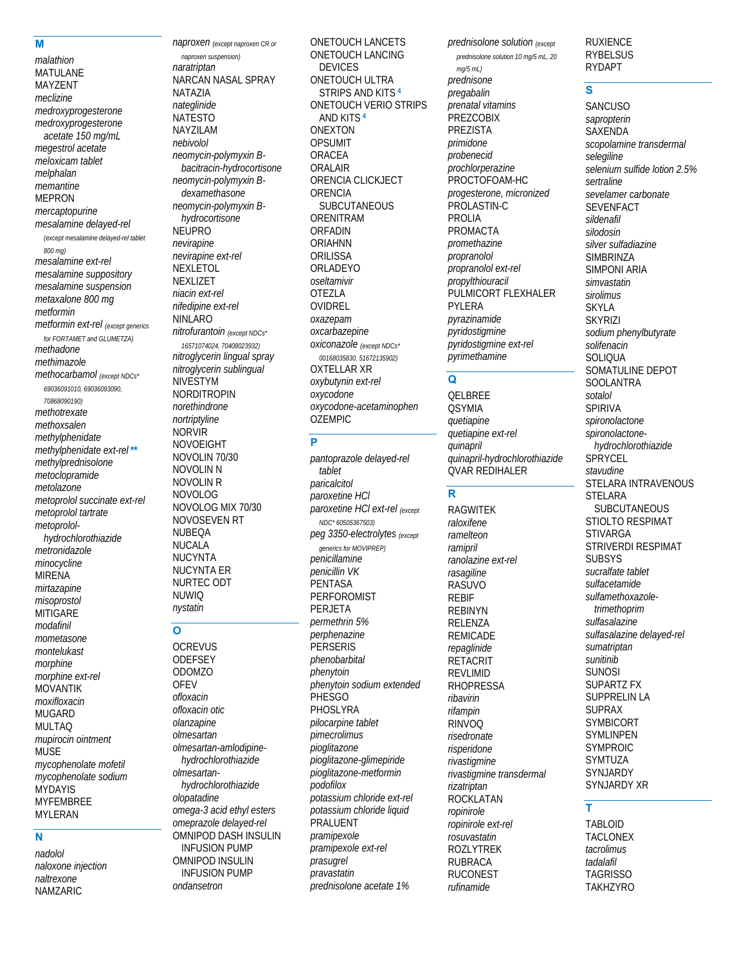#### **M**

*malathion* MATULANE MAYZENT *meclizine medroxyprogesterone medroxyprogesterone acetate 150 mg/mL megestrol acetate meloxicam tablet melphalan memantine* MEPRON *mercaptopurine mesalamine delayed-rel (except mesalamine delayed-rel tablet 800 mg) mesalamine ext-rel mesalamine suppository mesalamine suspension metaxalone 800 mg metformin metformin ext-rel (except generics for FORTAMET and GLUMETZA) methadone methimazole methocarbamol (except NDCs\* 69036091010, 69036093090, 70868090190) methotrexate methoxsalen methylphenidate methylphenidate ext-rel* **\*\*** *methylprednisolone metoclopramide metolazone metoprolol succinate ext-rel metoprolol tartrate metoprololhydrochlorothiazide metronidazole minocycline* MIRENA *mirtazapine misoprostol* **MITIGARE** *modafinil mometasone montelukast morphine morphine ext-rel* MOVANTIK *moxifloxacin* MUGARD MULTAQ *mupirocin ointment* MUSE *mycophenolate mofetil mycophenolate sodium* **MYDAYIS** MYFEMBREE MYLERAN **N** 

*naproxen (except naproxen CR or naproxen suspension) naratriptan* NARCAN NASAL SPRAY NATAZIA *nateglinide* NATESTO NAYZILAM *nebivolol neomycin-polymyxin Bbacitracin-hydrocortisone neomycin-polymyxin Bdexamethasone neomycin-polymyxin Bhydrocortisone* NEUPRO *nevirapine nevirapine ext-rel* NEXLETOL NEXLIZET *niacin ext-rel nifedipine ext-rel* NINLARO *nitrofurantoin (except NDCs\* 16571074024, 70408023932) nitroglycerin lingual spray nitroglycerin sublingual* NIVESTYM NORDITROPIN *norethindrone nortriptyline* NORVIR NOVOEIGHT NOVOLIN 70/30 NOVOLIN N NOVOLIN R NOVOLOG NOVOLOG MIX 70/30 NOVOSEVEN RT NUBEQA NUCALA NUCYNTA NUCYNTA ER NURTEC ODT NUWIQ *nystatin* **O OCREVUS** 

**ODEFSEY** ODOMZO **OFEV** *ofloxacin ofloxacin otic olanzapine olmesartan olmesartan-amlodipinehydrochlorothiazide olmesartanhydrochlorothiazide olopatadine omega-3 acid ethyl esters omeprazole delayed-rel* OMNIPOD DASH INSULIN INFUSION PUMP OMNIPOD INSULIN INFUSION PUMP *ondansetron*

ONETOUCH LANCETS ONETOUCH LANCING DEVICES ONETOUCH ULTRA STRIPS AND KITS **<sup>4</sup>** ONETOUCH VERIO STRIPS AND KITS **<sup>4</sup>** ONEXTON **OPSUMIT** ORACEA ORALAIR ORENCIA CLICKJECT **ORENCIA** SUBCUTANEOUS ORENITRAM ORFADIN ORIAHNN **ORILISSA** ORLADEYO *oseltamivir* OTEZLA OVIDREL *oxazepam oxcarbazepine oxiconazole (except NDCs\* 00168035830, 51672135902)* OXTELLAR XR *oxybutynin ext-rel oxycodone oxycodone-acetaminophen* OZEMPIC

# **P**

*pantoprazole delayed-rel tablet paricalcitol paroxetine HCl paroxetine HCl ext-rel (except NDC\* 60505367503) peg 3350-electrolytes (except generics for MOVIPREP) penicillamine penicillin VK* PENTASA PERFOROMIST PERJETA *permethrin 5% perphenazine* **PERSERIS** *phenobarbital phenytoin phenytoin sodium extended* **PHESGO** PHOSLYRA *pilocarpine tablet pimecrolimus pioglitazone pioglitazone-glimepiride pioglitazone-metformin podofilox potassium chloride ext-rel potassium chloride liquid* PRALUENT *pramipexole pramipexole ext-rel prasugrel pravastatin prednisolone acetate 1%*

*prednisolone solution 10 mg/5 mL, 20 mg/5 mL) prednisone pregabalin prenatal vitamins* **PREZCOBIX** PREZISTA *primidone probenecid prochlorperazine* PROCTOFOAM-HC *progesterone, micronized* PROLASTIN-C PROLIA PROMACTA *promethazine propranolol propranolol ext-rel propylthiouracil* PULMICORT FLEXHALER PYLERA *pyrazinamide pyridostigmine pyridostigmine ext-rel pyrimethamine*

*prednisolone solution (except* 

#### **Q**

QELBREE **OSYMIA** *quetiapine quetiapine ext-rel quinapril quinapril-hydrochlorothiazide* QVAR REDIHALER

## **R**

RAGWITEK *raloxifene ramelteon ramipril ranolazine ext-rel rasagiline* RASUVO REBIF REBINYN RELENZA REMICADE *repaglinide* **RETACRIT REVI IMID** RHOPRESSA *ribavirin rifampin* RINVOQ *risedronate risperidone rivastigmine rivastigmine transdermal rizatriptan* **ROCKLATAN** *ropinirole ropinirole ext-rel rosuvastatin* ROZLYTREK RUBRACA RUCONEST *rufinamide*

RUXIENCE RYBELSUS RYDAPT

#### **S**

**SANCUSO** *sapropterin* SAXENDA *scopolamine transdermal selegiline selenium sulfide lotion 2.5% sertraline sevelamer carbonate* SEVENFACT *sildenafil silodosin silver sulfadiazine* **SIMBRINZA** SIMPONI ARIA *simvastatin sirolimus* SKYLA **SKYRIZI** *sodium phenylbutyrate solifenacin* **SOLIQUA** SOMATULINE DEPOT **SOOLANTRA** *sotalol* SPIRIVA *spironolactone spironolactonehydrochlorothiazide* **SPRYCEL** *stavudine* STELARA INTRAVENOUS STELARA **SUBCUTANEOUS** STIOLTO RESPIMAT STIVARGA STRIVERDI RESPIMAT SUBSYS *sucralfate tablet sulfacetamide sulfamethoxazoletrimethoprim sulfasalazine sulfasalazine delayed-rel sumatriptan sunitinib* SUNOSI SUPARTZ FX SUPPRELIN LA SUPRAX SYMBICORT SYMLINPEN SYMPROIC SYMTUZA **SYNJARDY** SYNJARDY XR

#### **T**

TABLOID TACLONEX *tacrolimus tadalafil* **TAGRISSO TAKHZYRO** 

#### *nadolol naloxone injection naltrexone* NAMZARIC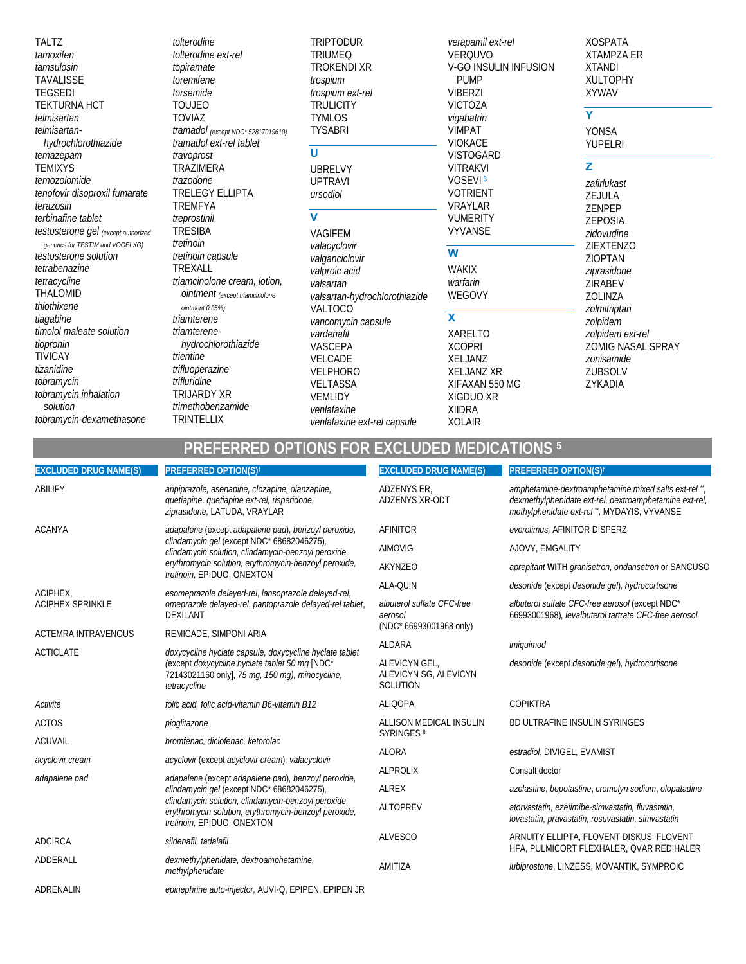**TALTZ** tamoxifen tamsulosin **TAVALISSE TEGSEDI TEKTURNA HCT** telmisartan telmisartanhydrochlorothiazide temazepam **TEMIXYS** temozolomide tenofovir disoproxil fumarate terazosin terbinafine tablet testosterone gel (except authorized generics for TESTIM and VOGELXO) testosterone solution tetrabenazine tetracycline THALOMID thiothixene tiagabine timolol maleate solution tiopronin **TIVICAY** tizanidine tobramycin tobramycin inhalation solution tobramycin-dexamethasone

tolterodine tolterodine ext-rel topiramate toremifene torsemide **TOUJEO TOVIAZ** tramadol (except NDC\* 52817019610) tramadol ext-rel tablet travoprost **TRAZIMERA** trazodone **TRELEGY ELLIPTA** TREMFYA treprostinil **TRESIBA** tretinoin tretinoin capsule TREXALL triamcinolone cream, lotion, **ointment** (except triamcinolone ointment 0.05%) triamterene triamterenehvdrochlorothiazide trientine trifluoperazine trifluridine TRIJARDY XR trimethobenzamide TRINTELLIX

**TRIPTODUR TRIUMEQ TROKENDI XR** trospium trospium ext-rel **TRULICITY TYMLOS TYSABRI** 

#### $\mathbf U$

**UBRELVY UPTRAVI** ursodiol

### $\overline{\mathsf{v}}$

VAGIFEM valacyclovir valganciclovir valproic acid valsartan valsartan-hydrochlorothiazide **VALTOCO** vancomycin capsule vardenafil VASCEPA VELCADE **VELPHORO** VELTASSA **VEMLIDY** venlafaxine venlafaxine ext-rel capsule

verapamil ext-rel **VERQUVO** V-GO INSULIN INFUSION **PUMP VIBERZI VICTOZA** vigabatrin VIMPAT **VIOKACE VISTOGARD VITRAKVI** VOSEVI<sup>3</sup> **VOTRIENT** VRAYLAR **VUMERITY VYVANSE** 

#### $\overline{w}$

**WAKIX** warfarin WEGOVY

# $\mathbf{x}$

**XARELTO XCOPRI** XELJANZ **XELJANZ XR** XIFAXAN 550 MG XIGDUO XR **XIIDRA XOLAIR** 

**XOSPATA XTAMPZA ER XTANDI XULTOPHY XYWAV** 

#### $\overline{\mathsf{Y}}$

**YONSA YUPELRI** 

# Z

zafirlukast ZEJULA ZENPEP ZEPOSIA zidovudine ZIEXTENZO ZIOPTAN ziprasidone **ZIRABEV** ZOLINZA zolmitriptan zolpidem zolpidem ext-rel ZOMIG NASAL SPRAY zonisamide ZUBSOLV ZYKADIA

# **PREFERRED OPTIONS FOR EXCLUDED MEDICATIONS 5**

| <b>EXCLUDED DRUG NAME(S)</b> | PREFERRED OPTION(S) <sup>t</sup>                                                                                                                                                         | <b>EXCLUDED DRUG NAME(S)</b>                       | PREFERRED OPTION(S) <sup>t</sup>                                                                                                                            |
|------------------------------|------------------------------------------------------------------------------------------------------------------------------------------------------------------------------------------|----------------------------------------------------|-------------------------------------------------------------------------------------------------------------------------------------------------------------|
| ABILIFY                      | aripiprazole, asenapine, clozapine, olanzapine,<br>quetiapine, quetiapine ext-rel, risperidone,<br>ziprasidone, LATUDA, VRAYLAR                                                          | <b>ADZENYS ER.</b><br><b>ADZENYS XR-ODT</b>        | amphetamine-dextroamphetamine mixed salts ext-rel",<br>dexmethylphenidate ext-rel, dextroamphetamine ext-rel,<br>methylphenidate ext-rel", MYDAYIS, VYVANSE |
| <b>ACANYA</b>                | adapalene (except adapalene pad), benzoyl peroxide,                                                                                                                                      | AFINITOR                                           | everolimus, AFINITOR DISPERZ                                                                                                                                |
|                              | clindamycin gel (except NDC* 68682046275),<br>clindamycin solution, clindamycin-benzoyl peroxide,                                                                                        | <b>AIMOVIG</b>                                     | AJOVY, EMGALITY                                                                                                                                             |
|                              | erythromycin solution, erythromycin-benzoyl peroxide,<br>tretinoin, EPIDUO, ONEXTON                                                                                                      | AKYNZEO                                            | aprepitant WITH granisetron, ondansetron or SANCUSO                                                                                                         |
| ACIPHEX,                     | esomeprazole delayed-rel, lansoprazole delayed-rel,                                                                                                                                      | ALA-QUIN                                           | desonide (except desonide gel), hydrocortisone                                                                                                              |
| <b>ACIPHEX SPRINKLE</b>      | omeprazole delayed-rel, pantoprazole delayed-rel tablet,<br><b>DEXILANT</b>                                                                                                              | albuterol sulfate CFC-free<br>aerosol              | albuterol sulfate CFC-free aerosol (except NDC*<br>66993001968), levalbuterol tartrate CFC-free aerosol                                                     |
| <b>ACTEMRA INTRAVENOUS</b>   | REMICADE, SIMPONI ARIA                                                                                                                                                                   | (NDC* 66993001968 only)                            |                                                                                                                                                             |
| <b>ACTICLATE</b>             | doxycycline hyclate capsule, doxycycline hyclate tablet<br>(except doxycycline hyclate tablet 50 mg [NDC*<br>72143021160 only], 75 mg, 150 mg), minocycline,<br>tetracycline             | ALDARA                                             | imiquimod                                                                                                                                                   |
|                              |                                                                                                                                                                                          | ALEVICYN GEL,<br>ALEVICYN SG, ALEVICYN<br>SOLUTION | desonide (except desonide gel), hydrocortisone                                                                                                              |
| Activite                     | folic acid, folic acid-vitamin B6-vitamin B12                                                                                                                                            | <b>ALIQOPA</b>                                     | <b>COPIKTRA</b>                                                                                                                                             |
| <b>ACTOS</b>                 | pioglitazone                                                                                                                                                                             | ALLISON MEDICAL INSULIN                            | BD ULTRAFINE INSULIN SYRINGES                                                                                                                               |
| <b>ACUVAIL</b>               | bromfenac, diclofenac, ketorolac                                                                                                                                                         | SYRINGES <sup>6</sup>                              |                                                                                                                                                             |
| acyclovir cream              | acyclovir (except acyclovir cream), valacyclovir                                                                                                                                         | <b>ALORA</b>                                       | estradiol, DIVIGEL, EVAMIST                                                                                                                                 |
| adapalene pad                | adapalene (except adapalene pad), benzoyl peroxide,                                                                                                                                      | <b>ALPROLIX</b>                                    | Consult doctor                                                                                                                                              |
|                              | clindamycin gel (except NDC* 68682046275),<br>clindamycin solution, clindamycin-benzoyl peroxide,<br>erythromycin solution, erythromycin-benzoyl peroxide,<br>tretinoin, EPIDUO, ONEXTON | <b>ALREX</b>                                       | azelastine, bepotastine, cromolyn sodium, olopatadine                                                                                                       |
|                              |                                                                                                                                                                                          | <b>ALTOPREV</b>                                    | atorvastatin, ezetimibe-simvastatin, fluvastatin,<br>lovastatin, pravastatin, rosuvastatin, simvastatin                                                     |
| <b>ADCIRCA</b>               | sildenafil, tadalafil                                                                                                                                                                    | <b>ALVESCO</b>                                     | ARNUITY ELLIPTA, FLOVENT DISKUS, FLOVENT<br>HFA, PULMICORT FLEXHALER, QVAR REDIHALER                                                                        |
| ADDERALL                     | dexmethylphenidate, dextroamphetamine,<br>methylphenidate                                                                                                                                | AMITIZA                                            | lubiprostone, LINZESS, MOVANTIK, SYMPROIC                                                                                                                   |
| ADRENALIN                    | epinephrine auto-injector, AUVI-Q, EPIPEN, EPIPEN JR                                                                                                                                     |                                                    |                                                                                                                                                             |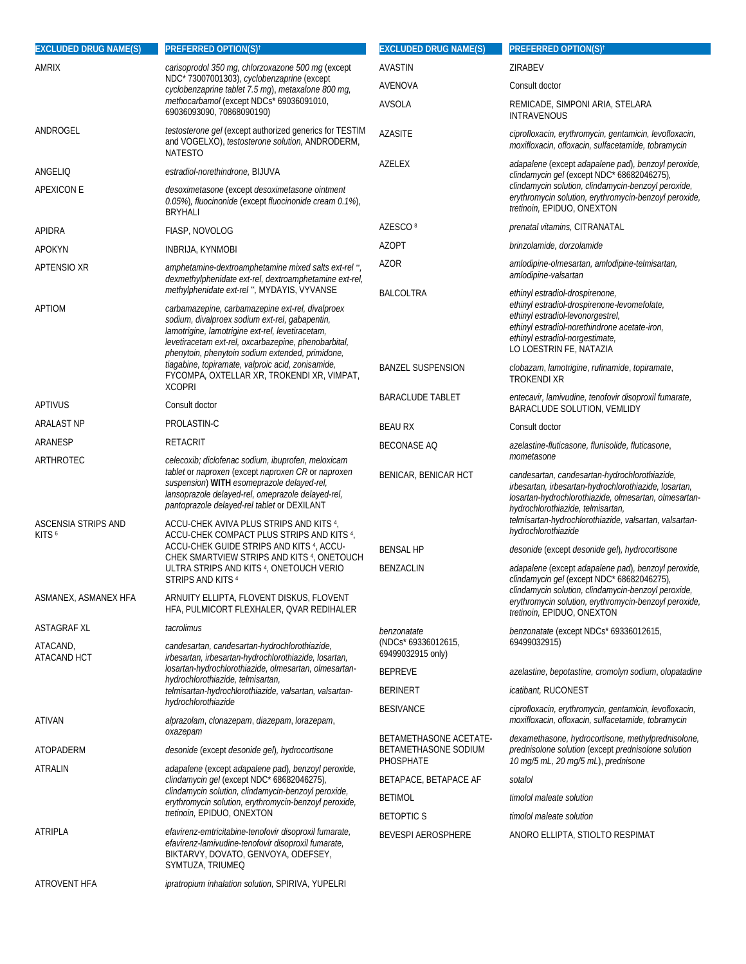| <b>EXCLUDED DRUG NAME(S)</b>     | <b>PREFERRED OPTION(S)<sup>t</sup></b>                                                                                                                                                                                                                                                                             | <b>EXCLUDED DRUG NAME(S)</b>                                | PREFERRED OPTION(S) <sup>†</sup>                                                                                                                                                                                                                                                                    |
|----------------------------------|--------------------------------------------------------------------------------------------------------------------------------------------------------------------------------------------------------------------------------------------------------------------------------------------------------------------|-------------------------------------------------------------|-----------------------------------------------------------------------------------------------------------------------------------------------------------------------------------------------------------------------------------------------------------------------------------------------------|
| <b>AMRIX</b>                     | carisoprodol 350 mg, chlorzoxazone 500 mg (except                                                                                                                                                                                                                                                                  | AVASTIN                                                     | ZIRABEV                                                                                                                                                                                                                                                                                             |
|                                  | NDC* 73007001303), cyclobenzaprine (except<br>cyclobenzaprine tablet 7.5 mg), metaxalone 800 mg,                                                                                                                                                                                                                   | AVENOVA                                                     | Consult doctor                                                                                                                                                                                                                                                                                      |
|                                  | methocarbamol (except NDCs* 69036091010,<br>69036093090, 70868090190)                                                                                                                                                                                                                                              | AVSOLA                                                      | REMICADE, SIMPONI ARIA, STELARA<br><b>INTRAVENOUS</b>                                                                                                                                                                                                                                               |
| ANDROGEL                         | testosterone gel (except authorized generics for TESTIM<br>and VOGELXO), testosterone solution, ANDRODERM,<br><b>NATESTO</b>                                                                                                                                                                                       | <b>AZASITE</b>                                              | ciprofloxacin, erythromycin, gentamicin, levofloxacin,<br>moxifloxacin, ofloxacin, sulfacetamide, tobramycin                                                                                                                                                                                        |
| ANGELIO                          | estradiol-norethindrone, BIJUVA                                                                                                                                                                                                                                                                                    | AZELEX                                                      | adapalene (except adapalene pad), benzoyl peroxide,<br>clindamycin gel (except NDC* 68682046275),                                                                                                                                                                                                   |
| <b>APEXICON E</b>                | desoximetasone (except desoximetasone ointment<br>0.05%), fluocinonide (except fluocinonide cream 0.1%),<br><b>BRYHALI</b>                                                                                                                                                                                         |                                                             | clindamycin solution, clindamycin-benzoyl peroxide,<br>erythromycin solution, erythromycin-benzoyl peroxide,<br>tretinoin, EPIDUO, ONEXTON                                                                                                                                                          |
| APIDRA                           | FIASP, NOVOLOG                                                                                                                                                                                                                                                                                                     | AZESCO <sup>8</sup>                                         | prenatal vitamins, CITRANATAL                                                                                                                                                                                                                                                                       |
| APOKYN                           | <b>INBRIJA, KYNMOBI</b>                                                                                                                                                                                                                                                                                            | <b>AZOPT</b>                                                | brinzolamide, dorzolamide                                                                                                                                                                                                                                                                           |
| APTENSIO XR                      | amphetamine-dextroamphetamine mixed salts ext-rel",<br>dexmethylphenidate ext-rel, dextroamphetamine ext-rel,                                                                                                                                                                                                      | <b>AZOR</b>                                                 | amlodipine-olmesartan, amlodipine-telmisartan,<br>amlodipine-valsartan                                                                                                                                                                                                                              |
| APTIOM                           | methylphenidate ext-rel **, MYDAYIS, VYVANSE<br>carbamazepine, carbamazepine ext-rel, divalproex<br>sodium, divalproex sodium ext-rel, gabapentin,<br>lamotrigine, lamotrigine ext-rel, levetiracetam,<br>levetiracetam ext-rel, oxcarbazepine, phenobarbital,<br>phenytoin, phenytoin sodium extended, primidone, | <b>BALCOLTRA</b>                                            | ethinyl estradiol-drospirenone,<br>ethinyl estradiol-drospirenone-levomefolate,<br>ethinyl estradiol-levonorgestrel,<br>ethinyl estradiol-norethindrone acetate-iron,<br>ethinyl estradiol-norgestimate,<br>LO LOESTRIN FE, NATAZIA                                                                 |
|                                  | tiagabine, topiramate, valproic acid, zonisamide,<br>FYCOMPA, OXTELLAR XR, TROKENDI XR, VIMPAT,<br><b>XCOPRI</b>                                                                                                                                                                                                   | <b>BANZEL SUSPENSION</b>                                    | clobazam, lamotrigine, rufinamide, topiramate,<br><b>TROKENDI XR</b>                                                                                                                                                                                                                                |
| APTIVUS                          | Consult doctor                                                                                                                                                                                                                                                                                                     | <b>BARACLUDE TABLET</b>                                     | entecavir, lamivudine, tenofovir disoproxil fumarate,<br>BARACLUDE SOLUTION, VEMLIDY                                                                                                                                                                                                                |
| <b>ARALAST NP</b>                | PROLASTIN-C                                                                                                                                                                                                                                                                                                        | <b>BEAU RX</b>                                              | Consult doctor                                                                                                                                                                                                                                                                                      |
| ARANESP                          | <b>RETACRIT</b>                                                                                                                                                                                                                                                                                                    | <b>BECONASE AQ</b>                                          | azelastine-fluticasone, flunisolide, fluticasone,                                                                                                                                                                                                                                                   |
| ARTHROTEC<br>ASCENSIA STRIPS AND | celecoxib; diclofenac sodium, ibuprofen, meloxicam<br>tablet or naproxen (except naproxen CR or naproxen<br>suspension) WITH esomeprazole delayed-rel,<br>lansoprazole delayed-rel, omeprazole delayed-rel,<br>pantoprazole delayed-rel tablet or DEXILANT<br>ACCU-CHEK AVIVA PLUS STRIPS AND KITS 4,              | BENICAR, BENICAR HCT                                        | mometasone<br>candesartan, candesartan-hydrochlorothiazide,<br>irbesartan, irbesartan-hydrochlorothiazide, losartan,<br>losartan-hydrochlorothiazide, olmesartan, olmesartan-<br>hydrochlorothiazide, telmisartan,<br>telmisartan-hydrochlorothiazide, valsartan, valsartan-<br>hydrochlorothiazide |
| KITS <sup>6</sup>                | ACCU-CHEK COMPACT PLUS STRIPS AND KITS 4,<br>ACCU-CHEK GUIDE STRIPS AND KITS <sup>4</sup> , ACCU-<br>CHEK SMARTVIEW STRIPS AND KITS 4, ONETOUCH<br>ULTRA STRIPS AND KITS 4, ONETOUCH VERIO<br>STRIPS AND KITS 4                                                                                                    | <b>BENSAL HP</b>                                            | desonide (except desonide gel), hydrocortisone                                                                                                                                                                                                                                                      |
|                                  |                                                                                                                                                                                                                                                                                                                    | <b>BENZACLIN</b>                                            | adapalene (except adapalene pad), benzoyl peroxide,<br>clindamycin gel (except NDC* 68682046275),                                                                                                                                                                                                   |
| ASMANEX, ASMANEX HFA             | ARNUITY ELLIPTA, FLOVENT DISKUS, FLOVENT<br>HFA, PULMICORT FLEXHALER, QVAR REDIHALER                                                                                                                                                                                                                               |                                                             | clindamycin solution, clindamycin-benzoyl peroxide,<br>erythromycin solution, erythromycin-benzoyl peroxide,<br>tretinoin, EPIDUO, ONEXTON                                                                                                                                                          |
| ASTAGRAF XL                      | tacrolimus                                                                                                                                                                                                                                                                                                         | benzonatate                                                 | benzonatate (except NDCs* 69336012615,                                                                                                                                                                                                                                                              |
| ATACAND,<br>ATACAND HCT          | candesartan, candesartan-hydrochlorothiazide,<br>irbesartan, irbesartan-hydrochlorothiazide, losartan,<br>losartan-hydrochlorothiazide, olmesartan, olmesartan-<br>hydrochlorothiazide, telmisartan,<br>telmisartan-hydrochlorothiazide, valsartan, valsartan-                                                     | (NDCs* 69336012615,<br>69499032915 only)                    | 69499032915)                                                                                                                                                                                                                                                                                        |
|                                  |                                                                                                                                                                                                                                                                                                                    | <b>BEPREVE</b>                                              | azelastine, bepotastine, cromolyn sodium, olopatadine                                                                                                                                                                                                                                               |
|                                  |                                                                                                                                                                                                                                                                                                                    | <b>BERINERT</b>                                             | <i>icatibant</i> , RUCONEST                                                                                                                                                                                                                                                                         |
| ATIVAN                           | hydrochlorothiazide<br>alprazolam, clonazepam, diazepam, lorazepam,                                                                                                                                                                                                                                                | <b>BESIVANCE</b>                                            | ciprofloxacin, erythromycin, gentamicin, levofloxacin,<br>moxifloxacin, ofloxacin, sulfacetamide, tobramycin                                                                                                                                                                                        |
| ATOPADERM                        | oxazepam<br>desonide (except desonide gel), hydrocortisone                                                                                                                                                                                                                                                         | BETAMETHASONE ACETATE-<br>BETAMETHASONE SODIUM<br>PHOSPHATE | dexamethasone, hydrocortisone, methylprednisolone,<br>prednisolone solution (except prednisolone solution<br>10 mg/5 mL, 20 mg/5 mL), prednisone                                                                                                                                                    |
| ATRALIN                          | adapalene (except adapalene pad), benzoyl peroxide,<br>clindamycin gel (except NDC* 68682046275),                                                                                                                                                                                                                  | BETAPACE, BETAPACE AF                                       | sotalol                                                                                                                                                                                                                                                                                             |
|                                  | clindamycin solution, clindamycin-benzoyl peroxide,<br>erythromycin solution, erythromycin-benzoyl peroxide,<br>tretinoin, EPIDUO, ONEXTON                                                                                                                                                                         | <b>BETIMOL</b>                                              | timolol maleate solution                                                                                                                                                                                                                                                                            |
|                                  |                                                                                                                                                                                                                                                                                                                    | <b>BETOPTIC S</b>                                           | timolol maleate solution                                                                                                                                                                                                                                                                            |
| ATRIPLA                          | efavirenz-emtricitabine-tenofovir disoproxil fumarate,                                                                                                                                                                                                                                                             | <b>BEVESPI AEROSPHERE</b>                                   | ANORO ELLIPTA, STIOLTO RESPIMAT                                                                                                                                                                                                                                                                     |
|                                  | efavirenz-lamivudine-tenofovir disoproxil fumarate,<br>BIKTARVY, DOVATO, GENVOYA, ODEFSEY,<br>SYMTUZA, TRIUMEQ                                                                                                                                                                                                     |                                                             |                                                                                                                                                                                                                                                                                                     |
| <b>ATROVENT HFA</b>              | ipratropium inhalation solution, SPIRIVA, YUPELRI                                                                                                                                                                                                                                                                  |                                                             |                                                                                                                                                                                                                                                                                                     |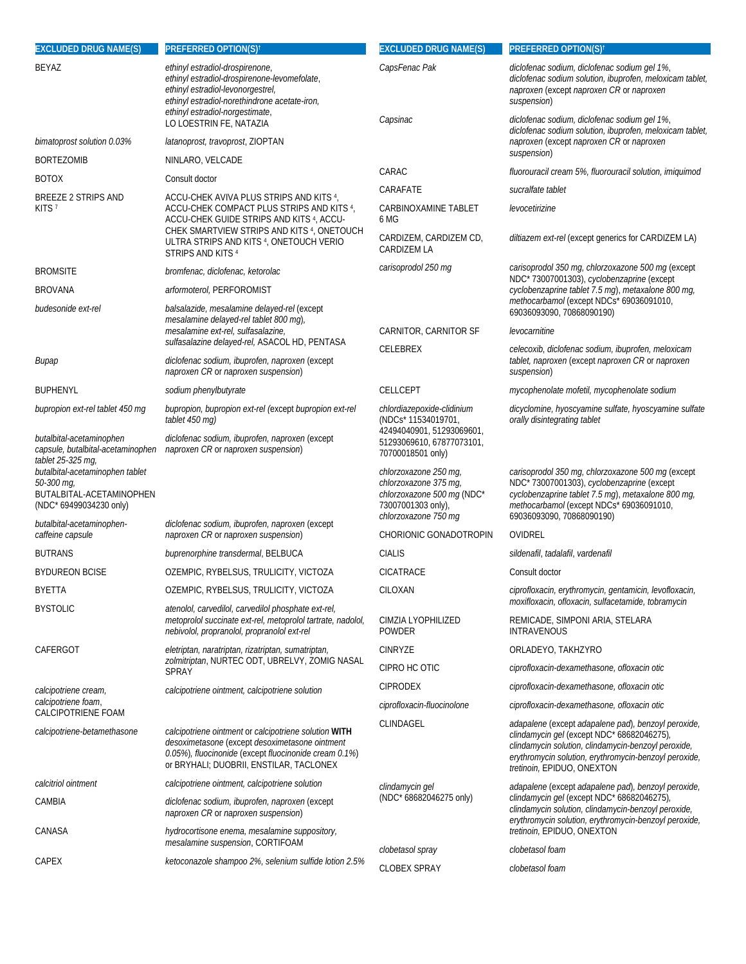| <b>EXCLUDED DRUG NAME(S)</b>                                                                         | <b>PREFERRED OPTION(S)<sup>†</sup></b>                                                                                                                                                                                              | <b>EXCLUDED DRUG NAME(S)</b>                                                                                               | <b>PREFERRED OPTION(S)<sup>†</sup></b>                                                                                                                                                                                                          |
|------------------------------------------------------------------------------------------------------|-------------------------------------------------------------------------------------------------------------------------------------------------------------------------------------------------------------------------------------|----------------------------------------------------------------------------------------------------------------------------|-------------------------------------------------------------------------------------------------------------------------------------------------------------------------------------------------------------------------------------------------|
| <b>BEYAZ</b>                                                                                         | ethinyl estradiol-drospirenone,<br>ethinyl estradiol-drospirenone-levomefolate,<br>ethinyl estradiol-levonorgestrel,<br>ethinyl estradiol-norethindrone acetate-iron,<br>ethinyl estradiol-norgestimate,<br>LO LOESTRIN FE, NATAZIA | CapsFenac Pak<br>Capsinac                                                                                                  | diclofenac sodium, diclofenac sodium gel 1%,<br>diclofenac sodium solution, ibuprofen, meloxicam tablet,<br>naproxen (except naproxen CR or naproxen<br>suspension)<br>diclofenac sodium, diclofenac sodium gel 1%,                             |
| bimatoprost solution 0.03%                                                                           | latanoprost, travoprost, ZIOPTAN                                                                                                                                                                                                    |                                                                                                                            | diclofenac sodium solution, ibuprofen, meloxicam tablet,<br>naproxen (except naproxen CR or naproxen<br>suspension)                                                                                                                             |
| <b>BORTEZOMIB</b>                                                                                    | NINLARO, VELCADE                                                                                                                                                                                                                    |                                                                                                                            |                                                                                                                                                                                                                                                 |
| <b>BOTOX</b>                                                                                         | Consult doctor                                                                                                                                                                                                                      | CARAC                                                                                                                      | fluorouracil cream 5%, fluorouracil solution, imiquimod                                                                                                                                                                                         |
| <b>BREEZE 2 STRIPS AND</b>                                                                           | ACCU-CHEK AVIVA PLUS STRIPS AND KITS 4,                                                                                                                                                                                             | CARAFATE                                                                                                                   | sucralfate tablet                                                                                                                                                                                                                               |
| KITS <sub>7</sub>                                                                                    | ACCU-CHEK COMPACT PLUS STRIPS AND KITS 4,<br>ACCU-CHEK GUIDE STRIPS AND KITS <sup>4</sup> , ACCU-<br>CHEK SMARTVIEW STRIPS AND KITS 4, ONETOUCH<br>ULTRA STRIPS AND KITS 4, ONETOUCH VERIO<br>STRIPS AND KITS 4                     | <b>CARBINOXAMINE TABLET</b><br>6 MG<br>CARDIZEM, CARDIZEM CD,<br>CARDIZEM LA                                               | levocetirizine<br>diltiazem ext-rel (except generics for CARDIZEM LA)                                                                                                                                                                           |
| <b>BROMSITE</b>                                                                                      | bromfenac, diclofenac, ketorolac                                                                                                                                                                                                    | carisoprodol 250 mg                                                                                                        | carisoprodol 350 mg, chlorzoxazone 500 mg (except                                                                                                                                                                                               |
| <b>BROVANA</b>                                                                                       | arformoterol, PERFOROMIST                                                                                                                                                                                                           |                                                                                                                            | NDC* 73007001303), cyclobenzaprine (except<br>cyclobenzaprine tablet 7.5 mg), metaxalone 800 mg,                                                                                                                                                |
| budesonide ext-rel                                                                                   | balsalazide, mesalamine delayed-rel (except<br>mesalamine delayed-rel tablet 800 mg),                                                                                                                                               |                                                                                                                            | methocarbamol (except NDCs* 69036091010,<br>69036093090, 70868090190)                                                                                                                                                                           |
|                                                                                                      | mesalamine ext-rel, sulfasalazine,                                                                                                                                                                                                  | CARNITOR, CARNITOR SF                                                                                                      | levocarnitine                                                                                                                                                                                                                                   |
| Bupap                                                                                                | sulfasalazine delayed-rel, ASACOL HD, PENTASA<br>diclofenac sodium, ibuprofen, naproxen (except<br>naproxen CR or naproxen suspension)                                                                                              | CELEBREX                                                                                                                   | celecoxib, diclofenac sodium, ibuprofen, meloxicam<br>tablet, naproxen (except naproxen CR or naproxen<br>suspension)                                                                                                                           |
| <b>BUPHENYL</b>                                                                                      | sodium phenylbutyrate                                                                                                                                                                                                               | <b>CELLCEPT</b>                                                                                                            | mycophenolate mofetil, mycophenolate sodium                                                                                                                                                                                                     |
| bupropion ext-rel tablet 450 mg                                                                      | bupropion, bupropion ext-rel (except bupropion ext-rel<br>tablet 450 mg)                                                                                                                                                            | chlordiazepoxide-clidinium<br>(NDCs* 11534019701,                                                                          | dicyclomine, hyoscyamine sulfate, hyoscyamine sulfate<br>orally disintegrating tablet                                                                                                                                                           |
| butalbital-acetaminophen<br>capsule, butalbital-acetaminophen<br>tablet 25-325 mg,                   | diclofenac sodium, ibuprofen, naproxen (except<br>naproxen CR or naproxen suspension)                                                                                                                                               | 42494040901, 51293069601,<br>51293069610, 67877073101,<br>70700018501 only)                                                |                                                                                                                                                                                                                                                 |
| butalbital-acetaminophen tablet<br>50-300 mg,<br>BUTALBITAL-ACETAMINOPHEN<br>(NDC* 69499034230 only) |                                                                                                                                                                                                                                     | chlorzoxazone 250 mq,<br>chlorzoxazone 375 mg,<br>chlorzoxazone 500 mg (NDC*<br>73007001303 only),<br>chlorzoxazone 750 mg | carisoprodol 350 mg, chlorzoxazone 500 mg (except<br>NDC* 73007001303), cyclobenzaprine (except<br>cyclobenzaprine tablet 7.5 mg), metaxalone 800 mg,<br>methocarbamol (except NDCs* 69036091010,<br>69036093090, 70868090190)                  |
| butalbital-acetaminophen-<br>caffeine capsule                                                        | diclofenac sodium, ibuprofen, naproxen (except<br>naproxen CR or naproxen suspension)                                                                                                                                               | CHORIONIC GONADOTROPIN                                                                                                     | OVIDREL                                                                                                                                                                                                                                         |
| <b>BUTRANS</b>                                                                                       | buprenorphine transdermal, BELBUCA                                                                                                                                                                                                  | <b>CIALIS</b>                                                                                                              | sildenafil, tadalafil, vardenafil                                                                                                                                                                                                               |
| <b>BYDUREON BCISE</b>                                                                                | OZEMPIC, RYBELSUS, TRULICITY, VICTOZA                                                                                                                                                                                               | <b>CICATRACE</b>                                                                                                           | Consult doctor                                                                                                                                                                                                                                  |
| <b>BYETTA</b>                                                                                        | OZEMPIC, RYBELSUS, TRULICITY, VICTOZA                                                                                                                                                                                               | CILOXAN                                                                                                                    | ciprofloxacin, erythromycin, gentamicin, levofloxacin,                                                                                                                                                                                          |
| <b>BYSTOLIC</b>                                                                                      | atenolol, carvedilol, carvedilol phosphate ext-rel,<br>metoprolol succinate ext-rel, metoprolol tartrate, nadolol,<br>nebivolol, propranolol, propranolol ext-rel                                                                   | CIMZIA LYOPHILIZED<br><b>POWDER</b>                                                                                        | moxifloxacin, ofloxacin, sulfacetamide, tobramycin<br>REMICADE, SIMPONI ARIA, STELARA<br><b>INTRAVENOUS</b>                                                                                                                                     |
| CAFERGOT                                                                                             | eletriptan, naratriptan, rizatriptan, sumatriptan,<br>zolmitriptan, NURTEC ODT, UBRELVY, ZOMIG NASAL<br><b>SPRAY</b>                                                                                                                | <b>CINRYZE</b>                                                                                                             | ORLADEYO, TAKHZYRO                                                                                                                                                                                                                              |
|                                                                                                      |                                                                                                                                                                                                                                     | CIPRO HC OTIC                                                                                                              | ciprofloxacin-dexamethasone, ofloxacin otic                                                                                                                                                                                                     |
| calcipotriene cream,                                                                                 | calcipotriene ointment, calcipotriene solution                                                                                                                                                                                      | <b>CIPRODEX</b>                                                                                                            | ciprofloxacin-dexamethasone, ofloxacin otic                                                                                                                                                                                                     |
| calcipotriene foam,<br>CALCIPOTRIENE FOAM                                                            |                                                                                                                                                                                                                                     | ciprofloxacin-fluocinolone                                                                                                 | ciprofloxacin-dexamethasone, ofloxacin otic                                                                                                                                                                                                     |
| calcipotriene-betamethasone                                                                          | calcipotriene ointment or calcipotriene solution WITH<br>desoximetasone (except desoximetasone ointment<br>0.05%), fluocinonide (except fluocinonide cream 0.1%)<br>or BRYHALI; DUOBRII, ENSTILAR, TACLONEX                         | CLINDAGEL                                                                                                                  | adapalene (except adapalene pad), benzoyl peroxide,<br>clindamycin gel (except NDC* 68682046275),<br>clindamycin solution, clindamycin-benzoyl peroxide,<br>erythromycin solution, erythromycin-benzoyl peroxide,<br>tretinoin, EPIDUO, ONEXTON |
| calcitriol ointment                                                                                  | calcipotriene ointment, calcipotriene solution                                                                                                                                                                                      | clindamycin gel                                                                                                            | adapalene (except adapalene pad), benzoyl peroxide,                                                                                                                                                                                             |
| CAMBIA                                                                                               | diclofenac sodium, ibuprofen, naproxen (except<br>naproxen CR or naproxen suspension)                                                                                                                                               | (NDC* 68682046275 only)                                                                                                    | clindamycin gel (except NDC* 68682046275),<br>clindamycin solution, clindamycin-benzoyl peroxide,<br>erythromycin solution, erythromycin-benzoyl peroxide,                                                                                      |
| CANASA                                                                                               | hydrocortisone enema, mesalamine suppository,<br>mesalamine suspension, CORTIFOAM                                                                                                                                                   |                                                                                                                            | tretinoin, EPIDUO, ONEXTON                                                                                                                                                                                                                      |
| CAPEX                                                                                                | ketoconazole shampoo 2%, selenium sulfide lotion 2.5%                                                                                                                                                                               | clobetasol spray                                                                                                           | clobetasol foam                                                                                                                                                                                                                                 |
|                                                                                                      |                                                                                                                                                                                                                                     | <b>CLOBEX SPRAY</b>                                                                                                        | clobetasol foam                                                                                                                                                                                                                                 |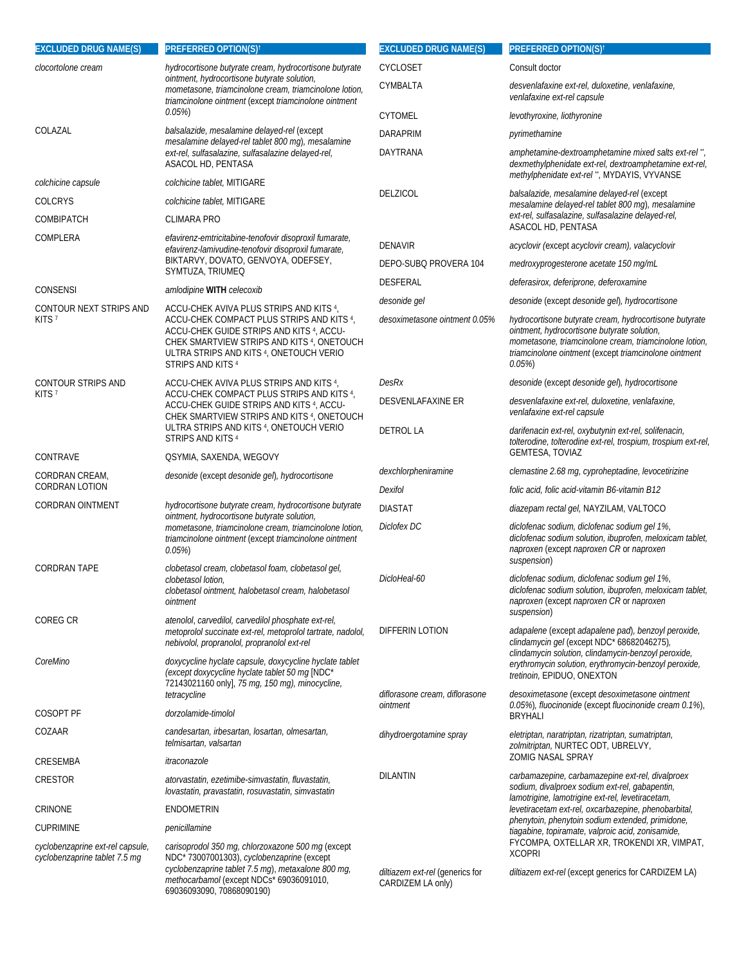| <b>EXCLUDED DRUG NAME(S)</b>                                      | <b>PREFERRED OPTION(S)<sup>†</sup></b>                                                                                                                                                                                                                     | <b>EXCLUDED DRUG NAME(S)</b>                         | <b>PREFERRED OPTION(S)<sup>t</sup></b>                                                                                                                                                                                               |
|-------------------------------------------------------------------|------------------------------------------------------------------------------------------------------------------------------------------------------------------------------------------------------------------------------------------------------------|------------------------------------------------------|--------------------------------------------------------------------------------------------------------------------------------------------------------------------------------------------------------------------------------------|
| clocortolone cream                                                | hydrocortisone butyrate cream, hydrocortisone butyrate<br>ointment, hydrocortisone butyrate solution,<br>mometasone, triamcinolone cream, triamcinolone lotion,<br>triamcinolone ointment (except triamcinolone ointment                                   | CYCLOSET                                             | Consult doctor                                                                                                                                                                                                                       |
|                                                                   |                                                                                                                                                                                                                                                            | CYMBALTA                                             | desvenlafaxine ext-rel, duloxetine, venlafaxine,<br>venlafaxine ext-rel capsule                                                                                                                                                      |
|                                                                   | 0.05%)                                                                                                                                                                                                                                                     | <b>CYTOMEL</b>                                       | levothyroxine, liothyronine                                                                                                                                                                                                          |
| COLAZAL                                                           | balsalazide, mesalamine delayed-rel (except                                                                                                                                                                                                                | <b>DARAPRIM</b>                                      | pyrimethamine                                                                                                                                                                                                                        |
|                                                                   | mesalamine delayed-rel tablet 800 mg), mesalamine<br>ext-rel, sulfasalazine, sulfasalazine delayed-rel,<br>ASACOL HD, PENTASA                                                                                                                              | DAYTRANA                                             | amphetamine-dextroamphetamine mixed salts ext-rel",<br>dexmethylphenidate ext-rel, dextroamphetamine ext-rel,<br>methylphenidate ext-rel", MYDAYIS, VYVANSE                                                                          |
| colchicine capsule                                                | colchicine tablet, MITIGARE                                                                                                                                                                                                                                | DELZICOL                                             | balsalazide, mesalamine delayed-rel (except                                                                                                                                                                                          |
| <b>COLCRYS</b>                                                    | colchicine tablet, MITIGARE                                                                                                                                                                                                                                |                                                      | mesalamine delayed-rel tablet 800 mg), mesalamine<br>ext-rel, sulfasalazine, sulfasalazine delayed-rel,                                                                                                                              |
| <b>COMBIPATCH</b>                                                 | <b>CLIMARA PRO</b>                                                                                                                                                                                                                                         |                                                      | ASACOL HD, PENTASA                                                                                                                                                                                                                   |
| COMPLERA                                                          | efavirenz-emtricitabine-tenofovir disoproxil fumarate,<br>efavirenz-lamivudine-tenofovir disoproxil fumarate,<br>BIKTARVY, DOVATO, GENVOYA, ODEFSEY,                                                                                                       | <b>DENAVIR</b>                                       | acyclovir (except acyclovir cream), valacyclovir                                                                                                                                                                                     |
|                                                                   | SYMTUZA, TRIUMEQ                                                                                                                                                                                                                                           | DEPO-SUBQ PROVERA 104                                | medroxyprogesterone acetate 150 mg/mL                                                                                                                                                                                                |
| CONSENSI                                                          | amlodipine WITH celecoxib                                                                                                                                                                                                                                  | DESFERAL                                             | deferasirox, deferiprone, deferoxamine                                                                                                                                                                                               |
| CONTOUR NEXT STRIPS AND                                           | ACCU-CHEK AVIVA PLUS STRIPS AND KITS 4,                                                                                                                                                                                                                    | desonide gel                                         | desonide (except desonide gel), hydrocortisone                                                                                                                                                                                       |
| KITS <sub>7</sub>                                                 | ACCU-CHEK COMPACT PLUS STRIPS AND KITS 4,<br>ACCU-CHEK GUIDE STRIPS AND KITS <sup>4</sup> , ACCU-<br>CHEK SMARTVIEW STRIPS AND KITS 4, ONETOUCH<br>ULTRA STRIPS AND KITS 4, ONETOUCH VERIO<br>STRIPS AND KITS <sup>4</sup>                                 | desoximetasone ointment 0.05%                        | hydrocortisone butyrate cream, hydrocortisone butyrate<br>ointment, hydrocortisone butyrate solution,<br>mometasone, triamcinolone cream, triamcinolone lotion,<br>triamcinolone ointment (except triamcinolone ointment<br>$0.05\%$ |
| CONTOUR STRIPS AND                                                | ACCU-CHEK AVIVA PLUS STRIPS AND KITS 4,<br>ACCU-CHEK COMPACT PLUS STRIPS AND KITS 4,<br>ACCU-CHEK GUIDE STRIPS AND KITS <sup>4</sup> , ACCU-<br>CHEK SMARTVIEW STRIPS AND KITS 4, ONETOUCH<br>ULTRA STRIPS AND KITS 4, ONETOUCH VERIO<br>STRIPS AND KITS 4 | DesRx                                                | desonide (except desonide gel), hydrocortisone                                                                                                                                                                                       |
| KITS <sup>7</sup>                                                 |                                                                                                                                                                                                                                                            | DESVENLAFAXINE ER                                    | desvenlafaxine ext-rel, duloxetine, venlafaxine,<br>venlafaxine ext-rel capsule                                                                                                                                                      |
|                                                                   |                                                                                                                                                                                                                                                            | <b>DETROL LA</b>                                     | darifenacin ext-rel, oxybutynin ext-rel, solifenacin,<br>tolterodine, tolterodine ext-rel, trospium, trospium ext-rel,<br><b>GEMTESA, TOVIAZ</b>                                                                                     |
| CONTRAVE                                                          | QSYMIA, SAXENDA, WEGOVY                                                                                                                                                                                                                                    | dexchlorpheniramine                                  | clemastine 2.68 mg, cyproheptadine, levocetirizine                                                                                                                                                                                   |
| CORDRAN CREAM,<br><b>CORDRAN LOTION</b>                           | desonide (except desonide gel), hydrocortisone                                                                                                                                                                                                             | Dexifol                                              | folic acid, folic acid-vitamin B6-vitamin B12                                                                                                                                                                                        |
| <b>CORDRAN OINTMENT</b>                                           | hydrocortisone butyrate cream, hydrocortisone butyrate<br>ointment, hydrocortisone butyrate solution,<br>mometasone, triamcinolone cream, triamcinolone lotion,<br>triamcinolone ointment (except triamcinolone ointment<br>0.05%                          | <b>DIASTAT</b>                                       |                                                                                                                                                                                                                                      |
|                                                                   |                                                                                                                                                                                                                                                            | Diclofex DC                                          | diazepam rectal gel, NAYZILAM, VALTOCO<br>diclofenac sodium, diclofenac sodium gel 1%,                                                                                                                                               |
|                                                                   |                                                                                                                                                                                                                                                            |                                                      | diclofenac sodium solution, ibuprofen, meloxicam tablet,<br>naproxen (except naproxen CR or naproxen<br>suspension)                                                                                                                  |
| <b>CORDRAN TAPE</b>                                               | clobetasol cream, clobetasol foam, clobetasol gel,<br>clobetasol lotion,<br>clobetasol ointment, halobetasol cream, halobetasol<br>ointment                                                                                                                | DicloHeal-60                                         | diclofenac sodium, diclofenac sodium gel 1%,<br>diclofenac sodium solution, ibuprofen, meloxicam tablet,<br>naproxen (except naproxen CR or naproxen<br>suspension)                                                                  |
| <b>COREG CR</b>                                                   | atenolol, carvedilol, carvedilol phosphate ext-rel,<br>metoprolol succinate ext-rel, metoprolol tartrate, nadolol,<br>nebivolol, propranolol, propranolol ext-rel                                                                                          | DIFFERIN LOTION                                      | adapalene (except adapalene pad), benzoyl peroxide,<br>clindamycin gel (except NDC* 68682046275),                                                                                                                                    |
| CoreMino                                                          | doxycycline hyclate capsule, doxycycline hyclate tablet<br>(except doxycycline hyclate tablet 50 mg [NDC*<br>72143021160 only], 75 mg, 150 mg), minocycline,                                                                                               | diflorasone cream, diflorasone                       | clindamycin solution, clindamycin-benzoyl peroxide,<br>erythromycin solution, erythromycin-benzoyl peroxide,<br>tretinoin, EPIDUO, ONEXTON<br>desoximetasone (except desoximetasone ointment                                         |
| COSOPT PF                                                         | tetracycline<br>dorzolamide-timolol                                                                                                                                                                                                                        | ointment                                             | 0.05%), fluocinonide (except fluocinonide cream 0.1%),<br><b>BRYHALI</b>                                                                                                                                                             |
| COZAAR                                                            | candesartan, irbesartan, losartan, olmesartan,<br>telmisartan, valsartan                                                                                                                                                                                   | dihydroergotamine spray                              | eletriptan, naratriptan, rizatriptan, sumatriptan,<br>zolmitriptan, NURTEC ODT, UBRELVY,                                                                                                                                             |
| CRESEMBA                                                          | itraconazole                                                                                                                                                                                                                                               |                                                      | <b>ZOMIG NASAL SPRAY</b>                                                                                                                                                                                                             |
| CRESTOR                                                           | atorvastatin, ezetimibe-simvastatin, fluvastatin,<br>lovastatin, pravastatin, rosuvastatin, simvastatin                                                                                                                                                    | <b>DILANTIN</b>                                      | carbamazepine, carbamazepine ext-rel, divalproex<br>sodium, divalproex sodium ext-rel, gabapentin,                                                                                                                                   |
| CRINONE                                                           | ENDOMETRIN                                                                                                                                                                                                                                                 |                                                      | lamotrigine, lamotrigine ext-rel, levetiracetam,<br>levetiracetam ext-rel, oxcarbazepine, phenobarbital,                                                                                                                             |
| <b>CUPRIMINE</b>                                                  | penicillamine                                                                                                                                                                                                                                              |                                                      | phenytoin, phenytoin sodium extended, primidone,<br>tiagabine, topiramate, valproic acid, zonisamide,                                                                                                                                |
| cyclobenzaprine ext-rel capsule,<br>cyclobenzaprine tablet 7.5 mg | carisoprodol 350 mg, chlorzoxazone 500 mg (except<br>NDC* 73007001303), cyclobenzaprine (except                                                                                                                                                            | <b>XCOPRI</b>                                        | FYCOMPA, OXTELLAR XR, TROKENDI XR, VIMPAT,                                                                                                                                                                                           |
|                                                                   | cyclobenzaprine tablet 7.5 mg), metaxalone 800 mg,<br>methocarbamol (except NDCs* 69036091010,<br>69036093090, 70868090190)                                                                                                                                | diltiazem ext-rel (generics for<br>CARDIZEM LA only) | diltiazem ext-rel (except generics for CARDIZEM LA)                                                                                                                                                                                  |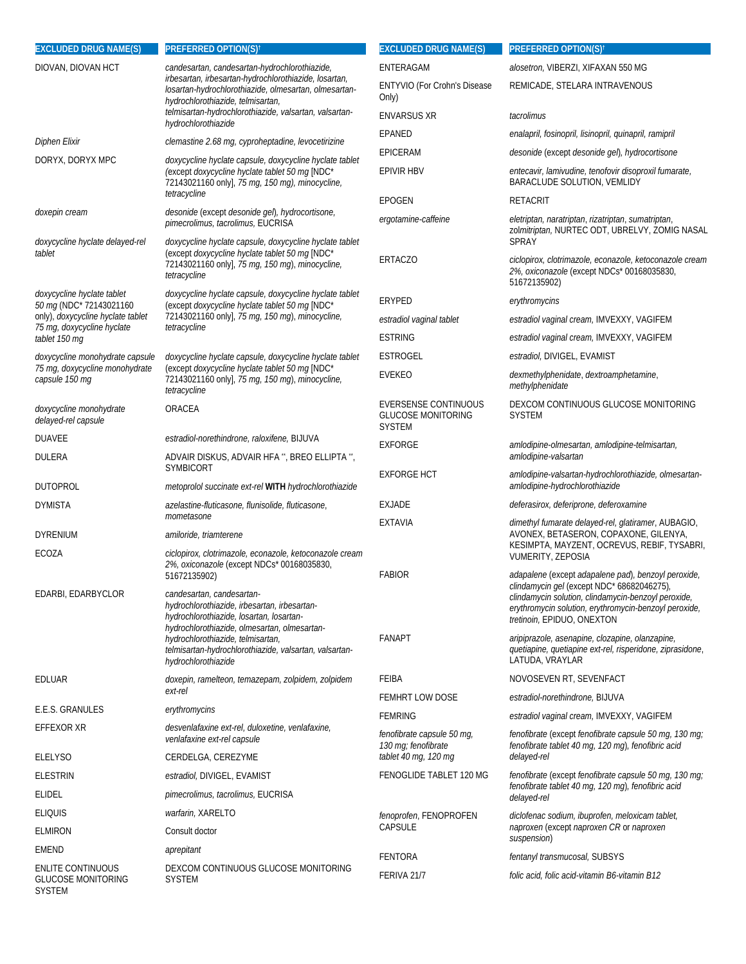| <b>EXCLUDED DRUG NAME(S)</b>                                    | PREFERRED OPTION(S) <sup>†</sup>                                                                                                                                                                     | <b>EXCLUDED DRUG NAME(S)</b>                                              | <b>PREFERRED OPTION(S)<sup>t</sup></b>                                                                                                                                                   |
|-----------------------------------------------------------------|------------------------------------------------------------------------------------------------------------------------------------------------------------------------------------------------------|---------------------------------------------------------------------------|------------------------------------------------------------------------------------------------------------------------------------------------------------------------------------------|
| DIOVAN, DIOVAN HCT                                              | candesartan, candesartan-hydrochlorothiazide,<br>irbesartan, irbesartan-hydrochlorothiazide, losartan,<br>losartan-hydrochlorothiazide, olmesartan, olmesartan-<br>hydrochlorothiazide, telmisartan, | ENTERAGAM                                                                 | alosetron, VIBERZI, XIFAXAN 550 MG                                                                                                                                                       |
|                                                                 |                                                                                                                                                                                                      | ENTYVIO (For Crohn's Disease<br>Only)                                     | REMICADE, STELARA INTRAVENOUS                                                                                                                                                            |
|                                                                 | telmisartan-hydrochlorothiazide, valsartan, valsartan-<br>hydrochlorothiazide                                                                                                                        | <b>ENVARSUS XR</b>                                                        | tacrolimus                                                                                                                                                                               |
| Diphen Elixir                                                   | clemastine 2.68 mg, cyproheptadine, levocetirizine                                                                                                                                                   | EPANED                                                                    | enalapril, fosinopril, lisinopril, quinapril, ramipril                                                                                                                                   |
| DORYX, DORYX MPC                                                |                                                                                                                                                                                                      | <b>EPICERAM</b>                                                           | desonide (except desonide gel), hydrocortisone                                                                                                                                           |
|                                                                 | doxycycline hyclate capsule, doxycycline hyclate tablet<br>(except doxycycline hyclate tablet 50 mq [NDC*<br>72143021160 only], 75 mg, 150 mg), minocycline,                                         | <b>EPIVIR HBV</b>                                                         | entecavir, lamivudine, tenofovir disoproxil fumarate,<br>BARACLUDE SOLUTION, VEMLIDY                                                                                                     |
|                                                                 | tetracycline                                                                                                                                                                                         | <b>EPOGEN</b>                                                             | <b>RETACRIT</b>                                                                                                                                                                          |
| doxepin cream<br>doxycycline hyclate delayed-rel                | desonide (except desonide gel), hydrocortisone,<br>pimecrolimus, tacrolimus, EUCRISA<br>doxycycline hyclate capsule, doxycycline hyclate tablet                                                      | ergotamine-caffeine                                                       | eletriptan, naratriptan, rizatriptan, sumatriptan,<br>zolmitriptan, NURTEC ODT, UBRELVY, ZOMIG NASAL<br><b>SPRAY</b>                                                                     |
| tablet                                                          | (except doxycycline hyclate tablet 50 mg [NDC*<br>72143021160 only], 75 mg, 150 mg), minocycline,<br>tetracycline                                                                                    | <b>ERTACZO</b>                                                            | ciclopirox, clotrimazole, econazole, ketoconazole cream<br>2%, oxiconazole (except NDCs* 00168035830,<br>51672135902)                                                                    |
| doxycycline hyclate tablet<br>50 mg (NDC* 72143021160           | doxycycline hyclate capsule, doxycycline hyclate tablet<br>(except doxycycline hyclate tablet 50 mg [NDC*                                                                                            | ERYPED                                                                    | erythromycins                                                                                                                                                                            |
| only), doxycycline hyclate tablet                               | 72143021160 only], 75 mg, 150 mg), minocycline,                                                                                                                                                      | estradiol vaginal tablet                                                  | estradiol vaginal cream, IMVEXXY, VAGIFEM                                                                                                                                                |
| 75 mg, doxycycline hyclate<br>tablet 150 mg                     | tetracycline                                                                                                                                                                                         | <b>ESTRING</b>                                                            | estradiol vaginal cream, IMVEXXY, VAGIFEM                                                                                                                                                |
| doxycycline monohydrate capsule                                 | doxycycline hyclate capsule, doxycycline hyclate tablet                                                                                                                                              | <b>ESTROGEL</b>                                                           | estradiol, DIVIGEL, EVAMIST                                                                                                                                                              |
| 75 mg, doxycycline monohydrate<br>capsule 150 mg                | (except doxycycline hyclate tablet 50 mg [NDC*<br>72143021160 only], 75 mg, 150 mg), minocycline,<br>tetracycline                                                                                    | <b>EVEKEO</b>                                                             | dexmethylphenidate, dextroamphetamine,<br>methylphenidate                                                                                                                                |
| doxycycline monohydrate<br>delayed-rel capsule                  | ORACEA                                                                                                                                                                                               | <b>EVERSENSE CONTINUOUS</b><br><b>GLUCOSE MONITORING</b><br><b>SYSTEM</b> | DEXCOM CONTINUOUS GLUCOSE MONITORING<br><b>SYSTEM</b>                                                                                                                                    |
| <b>DUAVEE</b>                                                   | estradiol-norethindrone, raloxifene, BIJUVA                                                                                                                                                          | <b>EXFORGE</b>                                                            | amlodipine-olmesartan, amlodipine-telmisartan,                                                                                                                                           |
| <b>DULERA</b>                                                   | ADVAIR DISKUS, ADVAIR HFA **, BREO ELLIPTA **,                                                                                                                                                       |                                                                           | amlodipine-valsartan                                                                                                                                                                     |
| <b>DUTOPROL</b>                                                 | <b>SYMBICORT</b><br>metoprolol succinate ext-rel WITH hydrochlorothiazide                                                                                                                            | <b>EXFORGE HCT</b>                                                        | amlodipine-valsartan-hydrochlorothiazide, olmesartan-<br>amlodipine-hydrochlorothiazide                                                                                                  |
| <b>DYMISTA</b>                                                  | azelastine-fluticasone, flunisolide, fluticasone,                                                                                                                                                    | <b>EXJADE</b>                                                             | deferasirox, deferiprone, deferoxamine                                                                                                                                                   |
|                                                                 | mometasone                                                                                                                                                                                           | <b>EXTAVIA</b>                                                            | dimethyl fumarate delayed-rel, glatiramer, AUBAGIO,                                                                                                                                      |
| <b>DYRENIUM</b>                                                 | amiloride, triamterene                                                                                                                                                                               |                                                                           | AVONEX, BETASERON, COPAXONE, GILENYA,<br>KESIMPTA, MAYZENT, OCREVUS, REBIF, TYSABRI,                                                                                                     |
| ECOZA                                                           | ciclopirox, clotrimazole, econazole, ketoconazole cream<br>2%, oxiconazole (except NDCs* 00168035830,<br>51672135902)                                                                                | <b>FABIOR</b>                                                             | VUMERITY, ZEPOSIA<br>adapalene (except adapalene pad), benzoyl peroxide,                                                                                                                 |
| EDARBI, EDARBYCLOR                                              | candesartan, candesartan-<br>hydrochlorothiazide, irbesartan, irbesartan-<br>hydrochlorothiazide, losartan, losartan-<br>hydrochlorothiazide, olmesartan, olmesartan-                                |                                                                           | clindamycin gel (except NDC* 68682046275),<br>clindamycin solution, clindamycin-benzoyl peroxide,<br>erythromycin solution, erythromycin-benzoyl peroxide,<br>tretinoin, EPIDUO, ONEXTON |
|                                                                 | hydrochlorothiazide, telmisartan,<br>telmisartan-hydrochlorothiazide, valsartan, valsartan-<br>hydrochlorothiazide                                                                                   | <b>FANAPT</b>                                                             | aripiprazole, asenapine, clozapine, olanzapine,<br>quetiapine, quetiapine ext-rel, risperidone, ziprasidone,<br>LATUDA, VRAYLAR                                                          |
| EDLUAR                                                          | doxepin, ramelteon, temazepam, zolpidem, zolpidem                                                                                                                                                    | FEIBA                                                                     | NOVOSEVEN RT, SEVENFACT                                                                                                                                                                  |
|                                                                 | ext-rel                                                                                                                                                                                              | <b>FEMHRT LOW DOSE</b>                                                    | estradiol-norethindrone, BIJUVA                                                                                                                                                          |
| E.E.S. GRANULES                                                 | erythromycins                                                                                                                                                                                        | <b>FEMRING</b>                                                            | estradiol vaginal cream, IMVEXXY, VAGIFEM                                                                                                                                                |
| EFFEXOR XR                                                      | desvenlafaxine ext-rel, duloxetine, venlafaxine,<br>venlafaxine ext-rel capsule                                                                                                                      | fenofibrate capsule 50 mg,<br>130 mg; fenofibrate                         | fenofibrate (except fenofibrate capsule 50 mg, 130 mg;<br>fenofibrate tablet 40 mg, 120 mg), fenofibric acid                                                                             |
| <b>ELELYSO</b>                                                  | CERDELGA, CEREZYME                                                                                                                                                                                   | tablet 40 mg, 120 mg                                                      | delayed-rel                                                                                                                                                                              |
| <b>ELESTRIN</b>                                                 | estradiol, DIVIGEL, EVAMIST                                                                                                                                                                          | FENOGLIDE TABLET 120 MG                                                   | fenofibrate (except fenofibrate capsule 50 mg, 130 mg;<br>fenofibrate tablet 40 mg, 120 mg), fenofibric acid                                                                             |
| ELIDEL                                                          | pimecrolimus, tacrolimus, EUCRISA                                                                                                                                                                    |                                                                           | delayed-rel                                                                                                                                                                              |
| <b>ELIQUIS</b>                                                  | warfarin, XARELTO                                                                                                                                                                                    | fenoprofen, FENOPROFEN                                                    | diclofenac sodium, ibuprofen, meloxicam tablet,                                                                                                                                          |
| <b>ELMIRON</b>                                                  | Consult doctor                                                                                                                                                                                       | CAPSULE                                                                   | naproxen (except naproxen CR or naproxen<br>suspension)                                                                                                                                  |
| EMEND                                                           | aprepitant                                                                                                                                                                                           | <b>FENTORA</b>                                                            | fentanyl transmucosal, SUBSYS                                                                                                                                                            |
| ENLITE CONTINUOUS<br><b>GLUCOSE MONITORING</b><br><b>SYSTEM</b> | DEXCOM CONTINUOUS GLUCOSE MONITORING<br><b>SYSTEM</b>                                                                                                                                                | FERIVA 21/7                                                               | folic acid, folic acid-vitamin B6-vitamin B12                                                                                                                                            |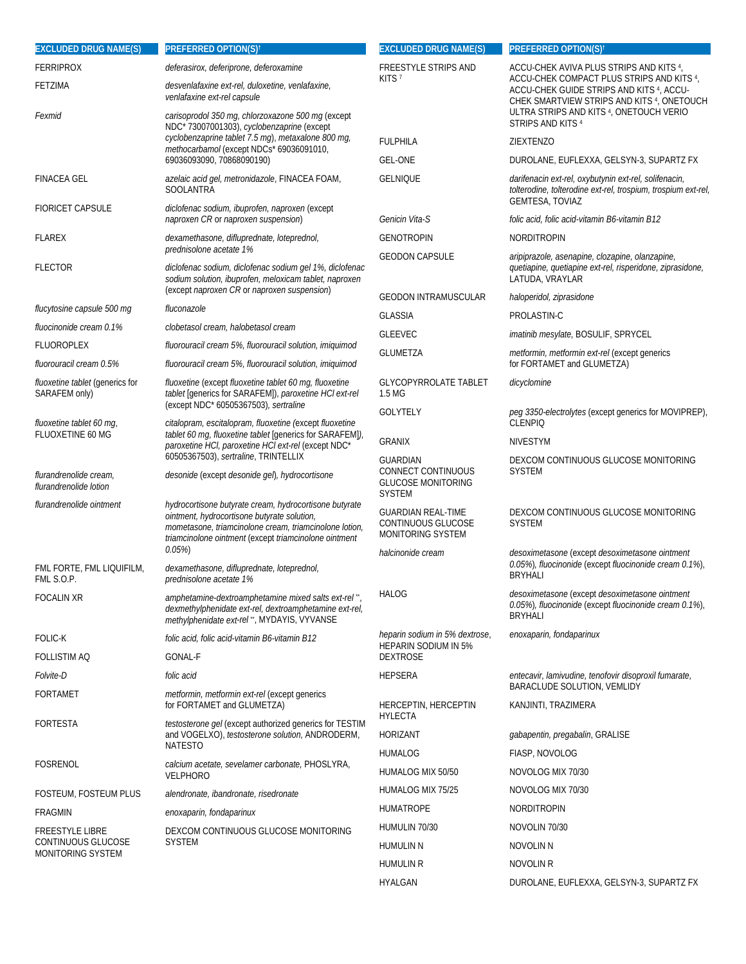| <b>EXCLUDED DRUG NAME(S)</b>                     | <b>PREFERRED OPTION(S)<sup>†</sup></b>                                                                                                                                                                                   | <b>EXCLUDED DRUG NAME(S)</b>                                                          | <b>PREFERRED OPTION(S)<sup>†</sup></b>                                                                                                          |
|--------------------------------------------------|--------------------------------------------------------------------------------------------------------------------------------------------------------------------------------------------------------------------------|---------------------------------------------------------------------------------------|-------------------------------------------------------------------------------------------------------------------------------------------------|
| <b>FERRIPROX</b>                                 | deferasirox, deferiprone, deferoxamine                                                                                                                                                                                   | <b>FREESTYLE STRIPS AND</b><br>KITS <sup>7</sup>                                      | ACCU-CHEK AVIVA PLUS STRIPS AND KITS 4,                                                                                                         |
| FETZIMA                                          | desvenlafaxine ext-rel, duloxetine, venlafaxine,<br>venlafaxine ext-rel capsule                                                                                                                                          |                                                                                       | ACCU-CHEK COMPACT PLUS STRIPS AND KITS 4,<br>ACCU-CHEK GUIDE STRIPS AND KITS 4, ACCU-<br>CHEK SMARTVIEW STRIPS AND KITS <sup>4</sup> , ONETOUCH |
| Fexmid                                           | carisoprodol 350 mg, chlorzoxazone 500 mg (except<br>NDC*73007001303), cyclobenzaprine (except                                                                                                                           |                                                                                       | ULTRA STRIPS AND KITS 4, ONETOUCH VERIO<br>STRIPS AND KITS <sup>4</sup>                                                                         |
|                                                  | cyclobenzaprine tablet 7.5 mg), metaxalone 800 mg,<br>methocarbamol (except NDCs* 69036091010,                                                                                                                           | <b>FULPHILA</b>                                                                       | ZIEXTENZO                                                                                                                                       |
|                                                  | 69036093090, 70868090190)                                                                                                                                                                                                | <b>GEL-ONE</b>                                                                        | DUROLANE, EUFLEXXA, GELSYN-3, SUPARTZ FX                                                                                                        |
| <b>FINACEA GEL</b>                               | azelaic acid gel, metronidazole, FINACEA FOAM,<br><b>SOOLANTRA</b>                                                                                                                                                       | <b>GELNIQUE</b>                                                                       | darifenacin ext-rel, oxybutynin ext-rel, solifenacin,<br>tolterodine, tolterodine ext-rel, trospium, trospium ext-rel,<br>GEMTESA, TOVIAZ       |
| <b>FIORICET CAPSULE</b>                          | diclofenac sodium, ibuprofen, naproxen (except<br>naproxen CR or naproxen suspension)                                                                                                                                    | Genicin Vita-S                                                                        | folic acid, folic acid-vitamin B6-vitamin B12                                                                                                   |
| <b>FLAREX</b>                                    | dexamethasone, difluprednate, loteprednol,                                                                                                                                                                               | <b>GENOTROPIN</b>                                                                     | <b>NORDITROPIN</b>                                                                                                                              |
| <b>FLECTOR</b>                                   | prednisolone acetate 1%<br>diclofenac sodium, diclofenac sodium gel 1%, diclofenac<br>sodium solution, ibuprofen, meloxicam tablet, naproxen<br>(except naproxen CR or naproxen suspension)                              | <b>GEODON CAPSULE</b>                                                                 | aripiprazole, asenapine, clozapine, olanzapine,<br>quetiapine, quetiapine ext-rel, risperidone, ziprasidone,<br>LATUDA, VRAYLAR                 |
| flucytosine capsule 500 mg                       | fluconazole                                                                                                                                                                                                              | <b>GEODON INTRAMUSCULAR</b>                                                           | haloperidol, ziprasidone                                                                                                                        |
| fluocinonide cream 0.1%                          | clobetasol cream, halobetasol cream                                                                                                                                                                                      | <b>GLASSIA</b>                                                                        | PROLASTIN-C                                                                                                                                     |
| FLUOROPLEX                                       | fluorouracil cream 5%, fluorouracil solution, imiquimod                                                                                                                                                                  | <b>GLEEVEC</b>                                                                        | imatinib mesylate, BOSULIF, SPRYCEL                                                                                                             |
| fluorouracil cream 0.5%                          | fluorouracil cream 5%, fluorouracil solution, imiquimod                                                                                                                                                                  | <b>GLUMETZA</b>                                                                       | metformin, metformin ext-rel (except generics<br>for FORTAMET and GLUMETZA)                                                                     |
| fluoxetine tablet (generics for<br>SARAFEM only) | fluoxetine (except fluoxetine tablet 60 mg, fluoxetine<br>tablet [generics for SARAFEM]), paroxetine HCI ext-rel                                                                                                         | <b>GLYCOPYRROLATE TABLET</b><br>1.5 MG                                                | dicyclomine                                                                                                                                     |
| fluoxetine tablet 60 mg,                         | (except NDC* 60505367503), sertraline<br>citalopram, escitalopram, fluoxetine (except fluoxetine                                                                                                                         | <b>GOLYTELY</b>                                                                       | peg 3350-electrolytes (except generics for MOVIPREP),<br><b>CLENPIQ</b>                                                                         |
| FLUOXETINE 60 MG                                 | tablet 60 mg, fluoxetine tablet [generics for SARAFEM]),<br>paroxetine HCI, paroxetine HCI ext-rel (except NDC*                                                                                                          | <b>GRANIX</b>                                                                         | <b>NIVESTYM</b>                                                                                                                                 |
| flurandrenolide cream,<br>flurandrenolide lotion | 60505367503), sertraline, TRINTELLIX<br>desonide (except desonide gel), hydrocortisone                                                                                                                                   | <b>GUARDIAN</b><br>CONNECT CONTINUOUS<br><b>GLUCOSE MONITORING</b>                    | DEXCOM CONTINUOUS GLUCOSE MONITORING<br><b>SYSTEM</b>                                                                                           |
| flurandrenolide ointment                         | hydrocortisone butyrate cream, hydrocortisone butyrate<br>ointment, hydrocortisone butyrate solution,<br>mometasone, triamcinolone cream, triamcinolone lotion,<br>triamcinolone ointment (except triamcinolone ointment | <b>SYSTEM</b><br><b>GUARDIAN REAL-TIME</b><br>CONTINUOUS GLUCOSE<br>MONITORING SYSTEM | DEXCOM CONTINUOUS GLUCOSE MONITORING<br><b>SYSTEM</b>                                                                                           |
| FML FORTE, FML LIQUIFILM,<br>FML S.O.P.          | 0.05%<br>dexamethasone, difluprednate, loteprednol,<br>prednisolone acetate 1%                                                                                                                                           | halcinonide cream                                                                     | desoximetasone (except desoximetasone ointment<br>0.05%), fluocinonide (except fluocinonide cream 0.1%),<br><b>BRYHALI</b>                      |
| <b>FOCALIN XR</b>                                | amphetamine-dextroamphetamine mixed salts ext-rel",<br>dexmethylphenidate ext-rel, dextroamphetamine ext-rel,<br>methylphenidate ext-rel", MYDAYIS, VYVANSE                                                              | HALOG                                                                                 | desoximetasone (except desoximetasone ointment<br>0.05%), fluocinonide (except fluocinonide cream 0.1%),<br><b>BRYHALI</b>                      |
| <b>FOLIC-K</b>                                   | folic acid, folic acid-vitamin B6-vitamin B12                                                                                                                                                                            | heparin sodium in 5% dextrose,                                                        | enoxaparin, fondaparinux                                                                                                                        |
| <b>FOLLISTIM AQ</b>                              | GONAL-F                                                                                                                                                                                                                  | <b>HEPARIN SODIUM IN 5%</b><br><b>DEXTROSE</b>                                        |                                                                                                                                                 |
| <i>Folvite-D</i>                                 | folic acid                                                                                                                                                                                                               | <b>HEPSERA</b>                                                                        | entecavir, lamivudine, tenofovir disoproxil fumarate,                                                                                           |
| <b>FORTAMET</b>                                  | <i>metformin, metformin ext-rel</i> (except generics<br>for FORTAMET and GLUMETZA)                                                                                                                                       | HERCEPTIN, HERCEPTIN                                                                  | BARACLUDE SOLUTION, VEMLIDY<br>KANJINTI, TRAZIMERA                                                                                              |
| FORTESTA                                         | testosterone gel (except authorized generics for TESTIM<br>and VOGELXO), testosterone solution, ANDRODERM,                                                                                                               | <b>HYLECTA</b><br><b>HORIZANT</b>                                                     | gabapentin, pregabalin, GRALISE                                                                                                                 |
|                                                  | <b>NATESTO</b>                                                                                                                                                                                                           | HUMALOG                                                                               | FIASP, NOVOLOG                                                                                                                                  |
| FOSRENOL                                         | calcium acetate, sevelamer carbonate, PHOSLYRA,<br>VELPHORO                                                                                                                                                              | HUMALOG MIX 50/50                                                                     | NOVOLOG MIX 70/30                                                                                                                               |
| FOSTEUM, FOSTEUM PLUS                            | alendronate, ibandronate, risedronate                                                                                                                                                                                    | HUMALOG MIX 75/25                                                                     | NOVOLOG MIX 70/30                                                                                                                               |
| FRAGMIN                                          | enoxaparin, fondaparinux                                                                                                                                                                                                 | <b>HUMATROPE</b>                                                                      | NORDITROPIN                                                                                                                                     |
| <b>FREESTYLE LIBRE</b>                           | DEXCOM CONTINUOUS GLUCOSE MONITORING                                                                                                                                                                                     | HUMULIN 70/30                                                                         | NOVOLIN 70/30                                                                                                                                   |
| CONTINUOUS GLUCOSE                               | <b>SYSTEM</b>                                                                                                                                                                                                            | <b>HUMULIN N</b>                                                                      | NOVOLIN N                                                                                                                                       |
| MONITORING SYSTEM                                |                                                                                                                                                                                                                          | <b>HUMULIN R</b>                                                                      | NOVOLIN R                                                                                                                                       |
|                                                  |                                                                                                                                                                                                                          | <b>HYALGAN</b>                                                                        | DUROLANE, EUFLEXXA, GELSYN-3, SUPARTZ FX                                                                                                        |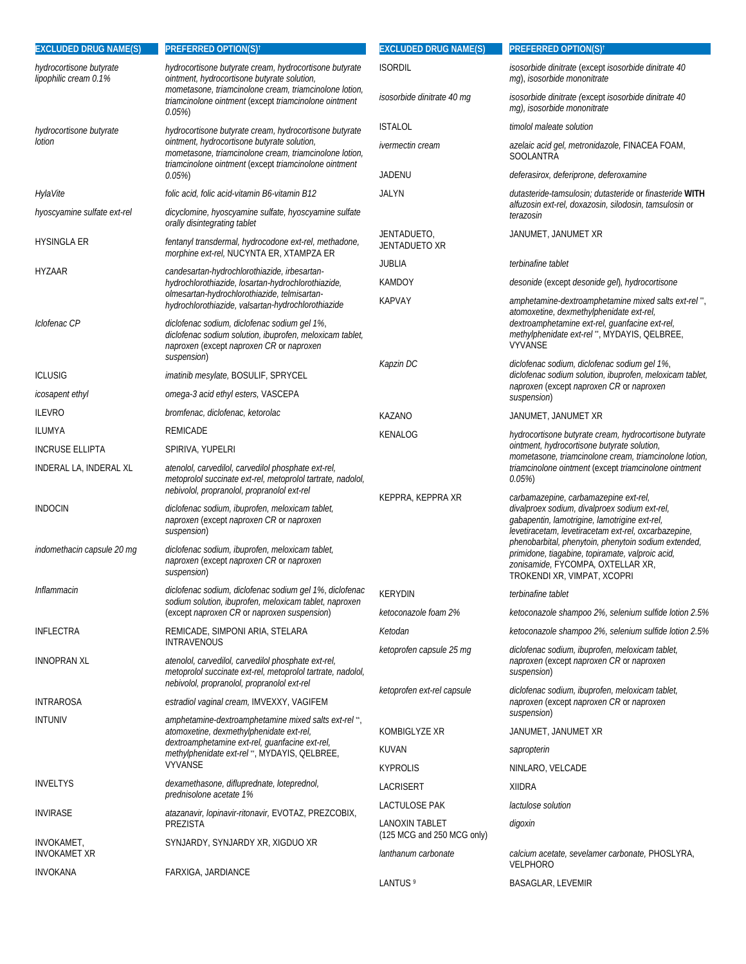| <b>EXCLUDED DRUG NAME(S)</b>                     | <b>PREFERRED OPTION(S)<sup>†</sup></b>                                                                                                                            | <b>EXCLUDED DRUG NAME(S)</b>                 | PREFERRED OPTION(S) <sup>t</sup>                                                                                                                                                                |
|--------------------------------------------------|-------------------------------------------------------------------------------------------------------------------------------------------------------------------|----------------------------------------------|-------------------------------------------------------------------------------------------------------------------------------------------------------------------------------------------------|
| hydrocortisone butyrate<br>lipophilic cream 0.1% | hydrocortisone butyrate cream, hydrocortisone butyrate<br>ointment, hydrocortisone butyrate solution,                                                             | <b>ISORDIL</b>                               | isosorbide dinitrate (except isosorbide dinitrate 40<br>mg), isosorbide mononitrate                                                                                                             |
|                                                  | mometasone, triamcinolone cream, triamcinolone lotion,<br>triamcinolone ointment (except triamcinolone ointment<br>$0.05\%$                                       | isosorbide dinitrate 40 mg                   | isosorbide dinitrate (except isosorbide dinitrate 40<br>mg), isosorbide mononitrate                                                                                                             |
| hydrocortisone butyrate                          | hydrocortisone butyrate cream, hydrocortisone butyrate                                                                                                            | <b>ISTALOL</b>                               | timolol maleate solution                                                                                                                                                                        |
| lotion                                           | ointment, hydrocortisone butyrate solution,<br>mometasone, triamcinolone cream, triamcinolone lotion,<br>triamcinolone ointment (except triamcinolone ointment    | ivermectin cream                             | azelaic acid gel, metronidazole, FINACEA FOAM,<br>SOOLANTRA                                                                                                                                     |
|                                                  | 0.05%                                                                                                                                                             | JADENU                                       | deferasirox, deferiprone, deferoxamine                                                                                                                                                          |
| HylaVite                                         | folic acid, folic acid-vitamin B6-vitamin B12                                                                                                                     | JALYN                                        | dutasteride-tamsulosin; dutasteride or finasteride WITH                                                                                                                                         |
| hyoscyamine sulfate ext-rel                      | dicyclomine, hyoscyamine sulfate, hyoscyamine sulfate<br>orally disintegrating tablet                                                                             |                                              | alfuzosin ext-rel, doxazosin, silodosin, tamsulosin or<br>terazosin                                                                                                                             |
| <b>HYSINGLA ER</b>                               | fentanyl transdermal, hydrocodone ext-rel, methadone,<br>morphine ext-rel, NUCYNTA ER, XTAMPZA ER                                                                 | JENTADUETO,<br>JENTADUETO XR                 | JANUMET, JANUMET XR                                                                                                                                                                             |
| HYZAAR                                           | candesartan-hydrochlorothiazide, irbesartan-                                                                                                                      | <b>JUBLIA</b>                                | terbinafine tablet                                                                                                                                                                              |
|                                                  | hydrochlorothiazide, losartan-hydrochlorothiazide,<br>olmesartan-hydrochlorothiazide, telmisartan-                                                                | KAMDOY                                       | desonide (except desonide gel), hydrocortisone                                                                                                                                                  |
| Iclofenac CP                                     | hydrochlorothiazide, valsartan-hydrochlorothiazide<br>diclofenac sodium, diclofenac sodium gel 1%,                                                                | <b>KAPVAY</b>                                | amphetamine-dextroamphetamine mixed salts ext-rel",<br>atomoxetine, dexmethylphenidate ext-rel,<br>dextroamphetamine ext-rel, guanfacine ext-rel,                                               |
|                                                  | diclofenac sodium solution, ibuprofen, meloxicam tablet,<br>naproxen (except naproxen CR or naproxen<br>suspension)                                               |                                              | methylphenidate ext-rel", MYDAYIS, QELBREE,<br><b>VYVANSE</b>                                                                                                                                   |
| <b>ICLUSIG</b>                                   | imatinib mesylate, BOSULIF, SPRYCEL                                                                                                                               | Kapzin DC                                    | diclofenac sodium, diclofenac sodium gel 1%,<br>diclofenac sodium solution, ibuprofen, meloxicam tablet,                                                                                        |
| icosapent ethyl                                  | omega-3 acid ethyl esters, VASCEPA                                                                                                                                |                                              | naproxen (except naproxen CR or naproxen<br>suspension)                                                                                                                                         |
| <b>ILEVRO</b>                                    | bromfenac, diclofenac, ketorolac                                                                                                                                  | KAZANO                                       | JANUMET, JANUMET XR                                                                                                                                                                             |
| ILUMYA                                           | <b>REMICADE</b>                                                                                                                                                   | KENALOG                                      | hydrocortisone butyrate cream, hydrocortisone butyrate                                                                                                                                          |
| <b>INCRUSE ELLIPTA</b>                           | SPIRIVA, YUPELRI                                                                                                                                                  |                                              | ointment, hydrocortisone butyrate solution,                                                                                                                                                     |
| INDERAL LA, INDERAL XL                           | atenolol, carvedilol, carvedilol phosphate ext-rel,<br>metoprolol succinate ext-rel, metoprolol tartrate, nadolol,<br>nebivolol, propranolol, propranolol ext-rel |                                              | mometasone, triamcinolone cream, triamcinolone lotion,<br>triamcinolone ointment (except triamcinolone ointment<br>$0.05\%$                                                                     |
| <b>INDOCIN</b>                                   | diclofenac sodium, ibuprofen, meloxicam tablet,<br>naproxen (except naproxen CR or naproxen<br>suspension)                                                        | KEPPRA, KEPPRA XR                            | carbamazepine, carbamazepine ext-rel,<br>divalproex sodium, divalproex sodium ext-rel,<br>gabapentin, lamotrigine, lamotrigine ext-rel,<br>levetiracetam, levetiracetam ext-rel, oxcarbazepine, |
| indomethacin capsule 20 mq                       | diclofenac sodium, ibuprofen, meloxicam tablet,<br>naproxen (except naproxen CR or naproxen<br>suspension)                                                        |                                              | phenobarbital, phenytoin, phenytoin sodium extended,<br>primidone, tiagabine, topiramate, valproic acid,<br>zonisamide, FYCOMPA, OXTELLAR XR,<br>TROKENDI XR, VIMPAT, XCOPRI                    |
| Inflammacin                                      | diclofenac sodium, diclofenac sodium gel 1%, diclofenac                                                                                                           | <b>KERYDIN</b>                               | terbinafine tablet                                                                                                                                                                              |
|                                                  | sodium solution, ibuprofen, meloxicam tablet, naproxen<br>(except naproxen CR or naproxen suspension)                                                             | ketoconazole foam 2%                         | ketoconazole shampoo 2%, selenium sulfide lotion 2.5%                                                                                                                                           |
| <b>INFLECTRA</b>                                 | REMICADE, SIMPONI ARIA, STELARA                                                                                                                                   | Ketodan                                      | ketoconazole shampoo 2%, selenium sulfide lotion 2.5%                                                                                                                                           |
|                                                  | <b>INTRAVENOUS</b>                                                                                                                                                | ketoprofen capsule 25 mg                     | diclofenac sodium, ibuprofen, meloxicam tablet,                                                                                                                                                 |
| <b>INNOPRAN XL</b>                               | atenolol, carvedilol, carvedilol phosphate ext-rel,<br>metoprolol succinate ext-rel, metoprolol tartrate, nadolol,<br>nebivolol, propranolol, propranolol ext-rel |                                              | naproxen (except naproxen CR or naproxen<br>suspension)                                                                                                                                         |
| <b>INTRAROSA</b>                                 | estradiol vaginal cream, IMVEXXY, VAGIFEM                                                                                                                         | ketoprofen ext-rel capsule                   | diclofenac sodium, ibuprofen, meloxicam tablet,<br>naproxen (except naproxen CR or naproxen                                                                                                     |
| <b>INTUNIV</b>                                   | amphetamine-dextroamphetamine mixed salts ext-rel".                                                                                                               |                                              | suspension)                                                                                                                                                                                     |
|                                                  | atomoxetine, dexmethylphenidate ext-rel,<br>dextroamphetamine ext-rel, guanfacine ext-rel,                                                                        | KOMBIGLYZE XR                                | JANUMET, JANUMET XR                                                                                                                                                                             |
|                                                  | methylphenidate ext-rel", MYDAYIS, QELBREE,<br><b>VYVANSE</b>                                                                                                     | KUVAN                                        | sapropterin                                                                                                                                                                                     |
| <b>INVELTYS</b>                                  | dexamethasone, difluprednate, loteprednol,                                                                                                                        | <b>KYPROLIS</b>                              | NINLARO, VELCADE                                                                                                                                                                                |
|                                                  | prednisolone acetate 1%                                                                                                                                           | LACRISERT                                    | <b>XIIDRA</b>                                                                                                                                                                                   |
| INVIRASE                                         | atazanavir, lopinavir-ritonavir, EVOTAZ, PREZCOBIX,                                                                                                               | LACTULOSE PAK                                | lactulose solution                                                                                                                                                                              |
| INVOKAMET,                                       | PREZISTA                                                                                                                                                          | LANOXIN TABLET<br>(125 MCG and 250 MCG only) | digoxin                                                                                                                                                                                         |
| <b>INVOKAMET XR</b>                              | SYNJARDY, SYNJARDY XR, XIGDUO XR                                                                                                                                  | lanthanum carbonate                          | calcium acetate, sevelamer carbonate, PHOSLYRA,<br><b>VELPHORO</b>                                                                                                                              |
| <b>INVOKANA</b>                                  | FARXIGA, JARDIANCE                                                                                                                                                | LANTUS <sup>9</sup>                          | <b>BASAGLAR, LEVEMIR</b>                                                                                                                                                                        |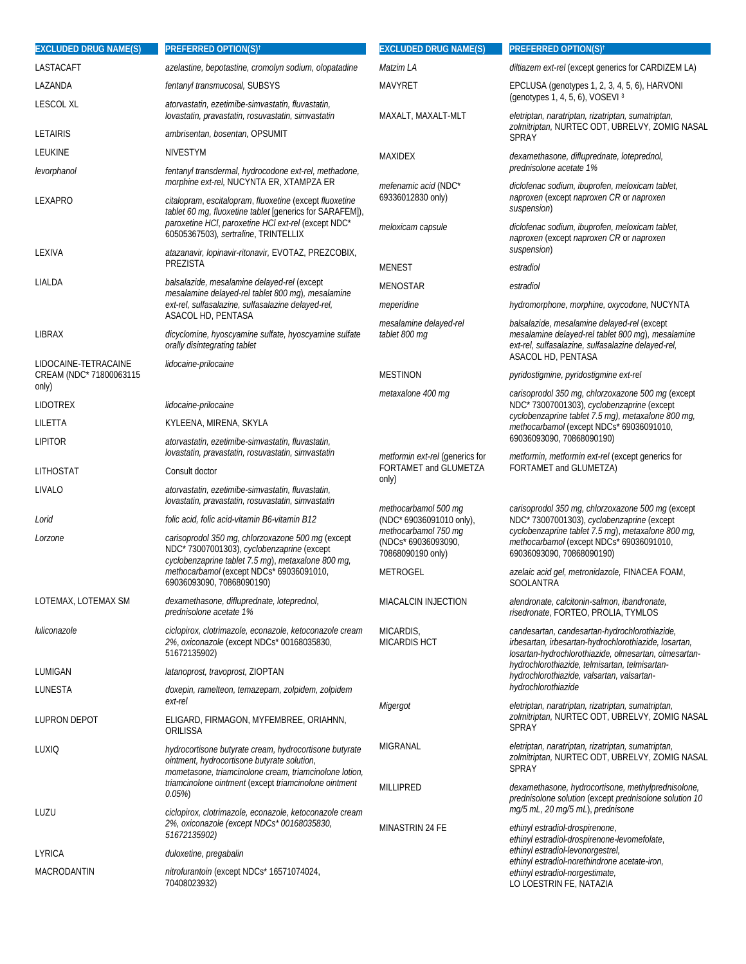| <b>EXCLUDED DRUG NAME(S)</b>                    | <b>PREFERRED OPTION(S)<sup>†</sup></b>                                                                                                                                     | <b>EXCLUDED DRUG NAME(S)</b>                                             | <b>PREFERRED OPTION(S)<sup>†</sup></b>                                                                                                                                                                                                                                                                                                     |
|-------------------------------------------------|----------------------------------------------------------------------------------------------------------------------------------------------------------------------------|--------------------------------------------------------------------------|--------------------------------------------------------------------------------------------------------------------------------------------------------------------------------------------------------------------------------------------------------------------------------------------------------------------------------------------|
| LASTACAFT                                       | azelastine, bepotastine, cromolyn sodium, olopatadine                                                                                                                      | Matzim LA                                                                | diltiazem ext-rel (except generics for CARDIZEM LA)                                                                                                                                                                                                                                                                                        |
| LAZANDA                                         | fentanyl transmucosal, SUBSYS                                                                                                                                              | <b>MAVYRET</b>                                                           | EPCLUSA (genotypes 1, 2, 3, 4, 5, 6), HARVONI<br>(genotypes 1, 4, 5, 6), VOSEVI 3                                                                                                                                                                                                                                                          |
| <b>LESCOL XL</b>                                | atorvastatin, ezetimibe-simvastatin, fluvastatin,<br>lovastatin, pravastatin, rosuvastatin, simvastatin                                                                    | MAXALT, MAXALT-MLT                                                       | eletriptan, naratriptan, rizatriptan, sumatriptan,                                                                                                                                                                                                                                                                                         |
| <b>LETAIRIS</b>                                 | ambrisentan, bosentan, OPSUMIT                                                                                                                                             |                                                                          | zolmitriptan, NURTEC ODT, UBRELVY, ZOMIG NASAL<br><b>SPRAY</b>                                                                                                                                                                                                                                                                             |
| LEUKINE                                         | <b>NIVESTYM</b>                                                                                                                                                            | <b>MAXIDEX</b>                                                           | dexamethasone, difluprednate, loteprednol,<br>prednisolone acetate 1%                                                                                                                                                                                                                                                                      |
| levorphanol                                     | fentanyl transdermal, hydrocodone ext-rel, methadone,<br>morphine ext-rel, NUCYNTA ER, XTAMPZA ER                                                                          | <i>mefenamic acid</i> (NDC*                                              | diclofenac sodium, ibuprofen, meloxicam tablet,                                                                                                                                                                                                                                                                                            |
| LEXAPRO                                         | citalopram, escitalopram, fluoxetine (except fluoxetine<br>tablet 60 mg, fluoxetine tablet [generics for SARAFEM]),<br>paroxetine HCI, paroxetine HCI ext-rel (except NDC* | 69336012830 only)<br>meloxicam capsule                                   | naproxen (except naproxen CR or naproxen<br>suspension)<br>diclofenac sodium, ibuprofen, meloxicam tablet,                                                                                                                                                                                                                                 |
| LEXIVA                                          | 60505367503), sertraline, TRINTELLIX<br>atazanavir, lopinavir-ritonavir, EVOTAZ, PREZCOBIX,                                                                                |                                                                          | naproxen (except naproxen CR or naproxen<br>suspension)                                                                                                                                                                                                                                                                                    |
|                                                 | PREZISTA                                                                                                                                                                   | <b>MENEST</b>                                                            | estradiol                                                                                                                                                                                                                                                                                                                                  |
| LIALDA                                          | balsalazide, mesalamine delayed-rel (except<br>mesalamine delayed-rel tablet 800 mg), mesalamine                                                                           | <b>MENOSTAR</b>                                                          | estradiol                                                                                                                                                                                                                                                                                                                                  |
|                                                 | ext-rel, sulfasalazine, sulfasalazine delayed-rel,                                                                                                                         | meperidine                                                               | hydromorphone, morphine, oxycodone, NUCYNTA                                                                                                                                                                                                                                                                                                |
| LIBRAX                                          | ASACOL HD, PENTASA<br>dicyclomine, hyoscyamine sulfate, hyoscyamine sulfate<br>orally disintegrating tablet                                                                | mesalamine delayed-rel<br>tablet 800 mg                                  | balsalazide, mesalamine delayed-rel (except<br>mesalamine delayed-rel tablet 800 mg), mesalamine<br>ext-rel, sulfasalazine, sulfasalazine delayed-rel,                                                                                                                                                                                     |
| LIDOCAINE-TETRACAINE<br>CREAM (NDC* 71800063115 | lidocaine-prilocaine                                                                                                                                                       | <b>MESTINON</b>                                                          | ASACOL HD, PENTASA<br>pyridostigmine, pyridostigmine ext-rel                                                                                                                                                                                                                                                                               |
| only)                                           |                                                                                                                                                                            | metaxalone 400 mg                                                        | carisoprodol 350 mg, chlorzoxazone 500 mg (except                                                                                                                                                                                                                                                                                          |
| <b>LIDOTREX</b>                                 | lidocaine-prilocaine                                                                                                                                                       |                                                                          | NDC* 73007001303), cyclobenzaprine (except<br>cyclobenzaprine tablet 7.5 mg), metaxalone 800 mg,                                                                                                                                                                                                                                           |
| LILETTA                                         | KYLEENA, MIRENA, SKYLA                                                                                                                                                     |                                                                          | methocarbamol (except NDCs* 69036091010,                                                                                                                                                                                                                                                                                                   |
| <b>LIPITOR</b>                                  | atorvastatin, ezetimibe-simvastatin, fluvastatin,<br>lovastatin, pravastatin, rosuvastatin, simvastatin                                                                    | <i>metformin ext-rel</i> (generics for<br>FORTAMET and GLUMETZA<br>only) | 69036093090, 70868090190)<br>metformin, metformin ext-rel (except generics for<br>FORTAMET and GLUMETZA)<br>carisoprodol 350 mg, chlorzoxazone 500 mg (except<br>NDC* 73007001303), cyclobenzaprine (except<br>cyclobenzaprine tablet 7.5 mg), metaxalone 800 mg,<br>methocarbamol (except NDCs* 69036091010,<br>69036093090, 70868090190) |
| LITHOSTAT                                       | Consult doctor                                                                                                                                                             |                                                                          |                                                                                                                                                                                                                                                                                                                                            |
| LIVALO                                          | atorvastatin, ezetimibe-simvastatin, fluvastatin,<br>lovastatin, pravastatin, rosuvastatin, simvastatin                                                                    |                                                                          |                                                                                                                                                                                                                                                                                                                                            |
| Lorid                                           | folic acid, folic acid-vitamin B6-vitamin B12                                                                                                                              | methocarbamol 500 mg<br>(NDC* 69036091010 only),                         |                                                                                                                                                                                                                                                                                                                                            |
| Lorzone                                         | carisoprodol 350 mg, chlorzoxazone 500 mg (except<br>NDC* 73007001303), cyclobenzaprine (except<br>cyclobenzaprine tablet 7.5 mg), metaxalone 800 mg,                      | methocarbamol 750 mg<br>(NDCs* 69036093090,<br>70868090190 only)         |                                                                                                                                                                                                                                                                                                                                            |
|                                                 | methocarbamol (except NDCs* 69036091010,<br>69036093090, 70868090190)                                                                                                      | METROGEL                                                                 | azelaic acid gel, metronidazole, FINACEA FOAM,<br><b>SOOLANTRA</b>                                                                                                                                                                                                                                                                         |
| LOTEMAX, LOTEMAX SM                             | dexamethasone, difluprednate, loteprednol,<br>prednisolone acetate 1%                                                                                                      | <b>MIACALCIN INJECTION</b>                                               | alendronate, calcitonin-salmon, ibandronate,<br>risedronate, FORTEO, PROLIA, TYMLOS                                                                                                                                                                                                                                                        |
| luliconazole                                    | ciclopirox, clotrimazole, econazole, ketoconazole cream<br>2%, oxiconazole (except NDCs* 00168035830,<br>51672135902)                                                      | MICARDIS,<br><b>MICARDIS HCT</b>                                         | candesartan, candesartan-hydrochlorothiazide,<br>irbesartan, irbesartan-hydrochlorothiazide, losartan,<br>losartan-hydrochlorothiazide, olmesartan, olmesartan-                                                                                                                                                                            |
| LUMIGAN                                         | latanoprost, travoprost, ZIOPTAN                                                                                                                                           |                                                                          | hydrochlorothiazide, telmisartan, telmisartan-<br>hydrochlorothiazide, valsartan, valsartan-                                                                                                                                                                                                                                               |
| LUNESTA                                         | doxepin, ramelteon, temazepam, zolpidem, zolpidem<br>ext-rel                                                                                                               | Migergot                                                                 | hydrochlorothiazide<br>eletriptan, naratriptan, rizatriptan, sumatriptan,                                                                                                                                                                                                                                                                  |
| <b>LUPRON DEPOT</b>                             | ELIGARD, FIRMAGON, MYFEMBREE, ORIAHNN,<br>ORILISSA                                                                                                                         |                                                                          | zolmitriptan, NURTEC ODT, UBRELVY, ZOMIG NASAL<br>SPRAY                                                                                                                                                                                                                                                                                    |
| LUXIQ                                           | hydrocortisone butyrate cream, hydrocortisone butyrate<br>ointment, hydrocortisone butyrate solution,<br>mometasone, triamcinolone cream, triamcinolone lotion,            | MIGRANAL                                                                 | eletriptan, naratriptan, rizatriptan, sumatriptan,<br>zolmitriptan, NURTEC ODT, UBRELVY, ZOMIG NASAL<br><b>SPRAY</b>                                                                                                                                                                                                                       |
|                                                 | triamcinolone ointment (except triamcinolone ointment<br>$0.05\%$                                                                                                          | <b>MILLIPRED</b>                                                         | dexamethasone, hydrocortisone, methylprednisolone,<br>prednisolone solution (except prednisolone solution 10<br>mg/5 mL, 20 mg/5 mL), prednisone                                                                                                                                                                                           |
| LUZU                                            | ciclopirox, clotrimazole, econazole, ketoconazole cream<br>2%, oxiconazole (except NDCs* 00168035830,<br>51672135902)                                                      | MINASTRIN 24 FE                                                          | ethinyl estradiol-drospirenone,<br>ethinyl estradiol-drospirenone-levomefolate,                                                                                                                                                                                                                                                            |
| LYRICA                                          | duloxetine, pregabalin                                                                                                                                                     |                                                                          | ethinyl estradiol-levonorgestrel,<br>ethinyl estradiol-norethindrone acetate-iron,                                                                                                                                                                                                                                                         |
| MACRODANTIN                                     | nitrofurantoin (except NDCs* 16571074024,<br>70408023932)                                                                                                                  |                                                                          | ethinyl estradiol-norgestimate,<br>LO LOESTRIN FE, NATAZIA                                                                                                                                                                                                                                                                                 |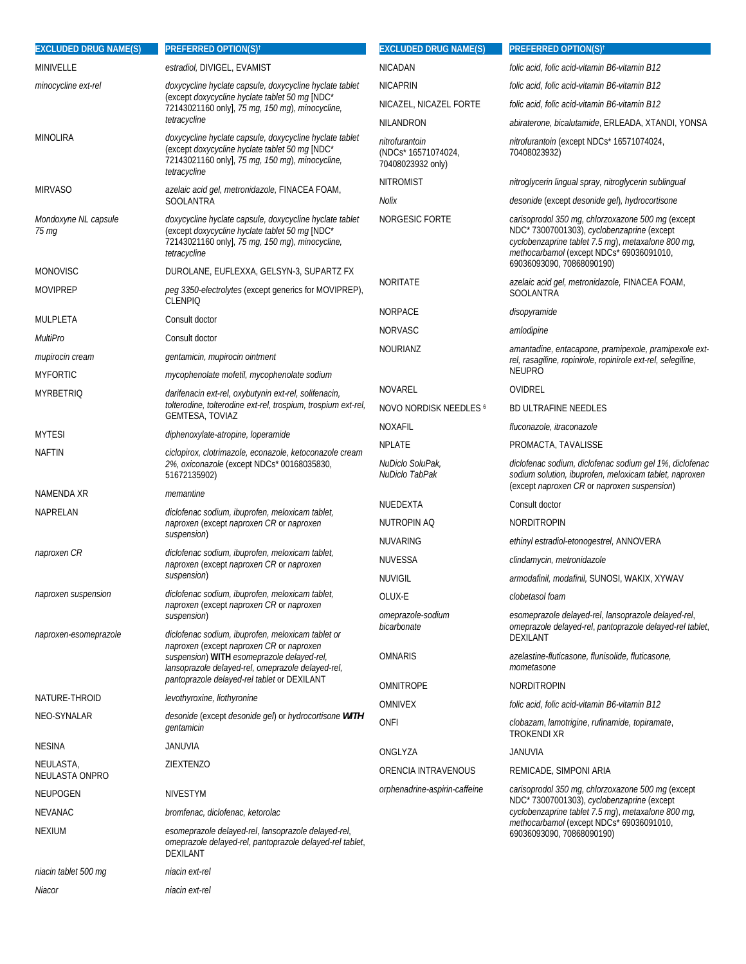| <b>EXCLUDED DRUG NAME(S)</b>  | <b>PREFERRED OPTION(S)<sup>†</sup></b>                                                                                                                                       | <b>EXCLUDED DRUG NAME(S)</b>                               | <b>PREFERRED OPTION(S)<sup>†</sup></b>                                                                                                                                                           |
|-------------------------------|------------------------------------------------------------------------------------------------------------------------------------------------------------------------------|------------------------------------------------------------|--------------------------------------------------------------------------------------------------------------------------------------------------------------------------------------------------|
| MINIVELLE                     | estradiol, DIVIGEL, EVAMIST                                                                                                                                                  | <b>NICADAN</b>                                             | folic acid, folic acid-vitamin B6-vitamin B12                                                                                                                                                    |
| minocycline ext-rel           | doxycycline hyclate capsule, doxycycline hyclate tablet<br>(except doxycycline hyclate tablet 50 mg [NDC*<br>72143021160 only], 75 mg, 150 mg), minocycline,                 | <b>NICAPRIN</b>                                            | folic acid, folic acid-vitamin B6-vitamin B12                                                                                                                                                    |
|                               |                                                                                                                                                                              | NICAZEL, NICAZEL FORTE                                     | folic acid, folic acid-vitamin B6-vitamin B12                                                                                                                                                    |
|                               | tetracycline                                                                                                                                                                 | NILANDRON                                                  | abiraterone, bicalutamide, ERLEADA, XTANDI, YONSA                                                                                                                                                |
| <b>MINOLIRA</b>               | doxycycline hyclate capsule, doxycycline hyclate tablet<br>(except doxycycline hyclate tablet 50 mg [NDC*<br>72143021160 only], 75 mg, 150 mg), minocycline,<br>tetracycline | nitrofurantoin<br>(NDCs* 16571074024,<br>70408023932 only) | nitrofurantoin (except NDCs* 16571074024,<br>70408023932)                                                                                                                                        |
| <b>MIRVASO</b>                | azelaic acid gel, metronidazole, FINACEA FOAM,                                                                                                                               | <b>NITROMIST</b>                                           | nitroglycerin lingual spray, nitroglycerin sublingual                                                                                                                                            |
|                               | <b>SOOLANTRA</b>                                                                                                                                                             | Nolix                                                      | desonide (except desonide gel), hydrocortisone                                                                                                                                                   |
| Mondoxyne NL capsule<br>75 mg | doxycycline hyclate capsule, doxycycline hyclate tablet<br>(except doxycycline hyclate tablet 50 mg [NDC*<br>72143021160 only], 75 mg, 150 mg), minocycline,<br>tetracycline | NORGESIC FORTE                                             | carisoprodol 350 mg, chlorzoxazone 500 mg (except<br>NDC*73007001303), cyclobenzaprine (except<br>cyclobenzaprine tablet 7.5 mg), metaxalone 800 mg,<br>methocarbamol (except NDCs* 69036091010, |
| <b>MONOVISC</b>               | DUROLANE, EUFLEXXA, GELSYN-3, SUPARTZ FX                                                                                                                                     |                                                            | 69036093090, 70868090190)                                                                                                                                                                        |
| <b>MOVIPREP</b>               | peg 3350-electrolytes (except generics for MOVIPREP),<br><b>CLENPIO</b>                                                                                                      | NORITATE                                                   | <i>azelaic acid gel, metronidazole,</i> FINACEA FOAM,<br><b>SOOLANTRA</b>                                                                                                                        |
| MULPLETA                      | Consult doctor                                                                                                                                                               | <b>NORPACE</b>                                             | disopyramide                                                                                                                                                                                     |
| MultiPro                      | Consult doctor                                                                                                                                                               | <b>NORVASC</b>                                             | amlodipine                                                                                                                                                                                       |
| mupirocin cream               | gentamicin, mupirocin ointment                                                                                                                                               | <b>NOURIANZ</b>                                            | amantadine, entacapone, pramipexole, pramipexole ext-<br>rel, rasagiline, ropinirole, ropinirole ext-rel, selegiline,                                                                            |
| <b>MYFORTIC</b>               | mycophenolate mofetil, mycophenolate sodium                                                                                                                                  | <b>NOVAREL</b>                                             | <b>NEUPRO</b><br>OVIDREL                                                                                                                                                                         |
| <b>MYRBETRIQ</b>              | darifenacin ext-rel, oxybutynin ext-rel, solifenacin,<br>tolterodine, tolterodine ext-rel, trospium, trospium ext-rel,                                                       | NOVO NORDISK NEEDLES 6                                     | <b>BD ULTRAFINE NEEDLES</b>                                                                                                                                                                      |
|                               | <b>GEMTESA, TOVIAZ</b>                                                                                                                                                       | NOXAFIL                                                    | fluconazole, itraconazole                                                                                                                                                                        |
| <b>MYTESI</b>                 | diphenoxylate-atropine, loperamide                                                                                                                                           | <b>NPLATE</b>                                              | PROMACTA, TAVALISSE                                                                                                                                                                              |
| NAFTIN                        | ciclopirox, clotrimazole, econazole, ketoconazole cream<br>2%, oxiconazole (except NDCs* 00168035830,                                                                        | NuDiclo SoluPak,                                           | diclofenac sodium, diclofenac sodium gel 1%, diclofenac                                                                                                                                          |
|                               | 51672135902)                                                                                                                                                                 | NuDiclo TabPak                                             | sodium solution, ibuprofen, meloxicam tablet, naproxen<br>(except naproxen CR or naproxen suspension)                                                                                            |
| NAMENDA XR                    | memantine                                                                                                                                                                    | NUEDEXTA                                                   | Consult doctor                                                                                                                                                                                   |
| NAPRELAN                      | diclofenac sodium, ibuprofen, meloxicam tablet,<br>naproxen (except naproxen CR or naproxen                                                                                  | NUTROPIN AQ                                                | <b>NORDITROPIN</b>                                                                                                                                                                               |
|                               | suspension)                                                                                                                                                                  | <b>NUVARING</b>                                            | ethinyl estradiol-etonogestrel, ANNOVERA                                                                                                                                                         |
| naproxen CR                   | diclofenac sodium, ibuprofen, meloxicam tablet,<br>naproxen (except naproxen CR or naproxen                                                                                  | <b>NUVESSA</b>                                             | clindamycin, metronidazole                                                                                                                                                                       |
|                               | suspension)                                                                                                                                                                  | <b>NUVIGIL</b>                                             | armodafinil, modafinil, SUNOSI, WAKIX, XYWAV                                                                                                                                                     |
| naproxen suspension           | diclofenac sodium, ibuprofen, meloxicam tablet,<br>naproxen (except naproxen CR or naproxen                                                                                  | OLUX-E                                                     | clobetasol foam                                                                                                                                                                                  |
| naproxen-esomeprazole         | suspension)<br>diclofenac sodium, ibuprofen, meloxicam tablet or                                                                                                             | omeprazole-sodium<br>bicarbonate                           | esomeprazole delayed-rel, lansoprazole delayed-rel,<br>omeprazole delayed-rel, pantoprazole delayed-rel tablet,<br><b>DEXILANT</b>                                                               |
|                               | naproxen (except naproxen CR or naproxen<br>suspension) WITH esomeprazole delayed-rel,<br>lansoprazole delayed-rel, omeprazole delayed-rel,                                  | <b>OMNARIS</b>                                             | azelastine-fluticasone, flunisolide, fluticasone,<br>mometasone                                                                                                                                  |
|                               | pantoprazole delayed-rel tablet or DEXILANT                                                                                                                                  | OMNITROPE                                                  | <b>NORDITROPIN</b>                                                                                                                                                                               |
| NATURE-THROID                 | levothyroxine, liothyronine                                                                                                                                                  | <b>OMNIVEX</b>                                             | folic acid, folic acid-vitamin B6-vitamin B12                                                                                                                                                    |
| <b>NEO-SYNALAR</b>            | desonide (except desonide gel) or hydrocortisone WITH<br>gentamicin                                                                                                          | <b>ONFI</b>                                                | clobazam, lamotrigine, rufinamide, topiramate,<br>TROKENDI XR                                                                                                                                    |
| <b>NESINA</b>                 | JANUVIA                                                                                                                                                                      | ONGLYZA                                                    | JANUVIA                                                                                                                                                                                          |
| NEULASTA,<br>NEULASTA ONPRO   | ZIEXTENZO                                                                                                                                                                    | ORENCIA INTRAVENOUS                                        | REMICADE, SIMPONI ARIA                                                                                                                                                                           |
| NEUPOGEN                      | <b>NIVESTYM</b>                                                                                                                                                              | orphenadrine-aspirin-caffeine                              | carisoprodol 350 mg, chlorzoxazone 500 mg (except<br>NDC* 73007001303), cyclobenzaprine (except                                                                                                  |
| <b>NEVANAC</b>                | bromfenac, diclofenac, ketorolac                                                                                                                                             |                                                            | cyclobenzaprine tablet 7.5 mg), metaxalone 800 mg,                                                                                                                                               |
| <b>NEXIUM</b>                 | esomeprazole delayed-rel, lansoprazole delayed-rel,<br>omeprazole delayed-rel, pantoprazole delayed-rel tablet,<br>DEXILANT                                                  |                                                            | methocarbamol (except NDCs* 69036091010,<br>69036093090, 70868090190)                                                                                                                            |
| niacin tablet 500 mg          | niacin ext-rel                                                                                                                                                               |                                                            |                                                                                                                                                                                                  |
| Niacor                        | niacin ext-rel                                                                                                                                                               |                                                            |                                                                                                                                                                                                  |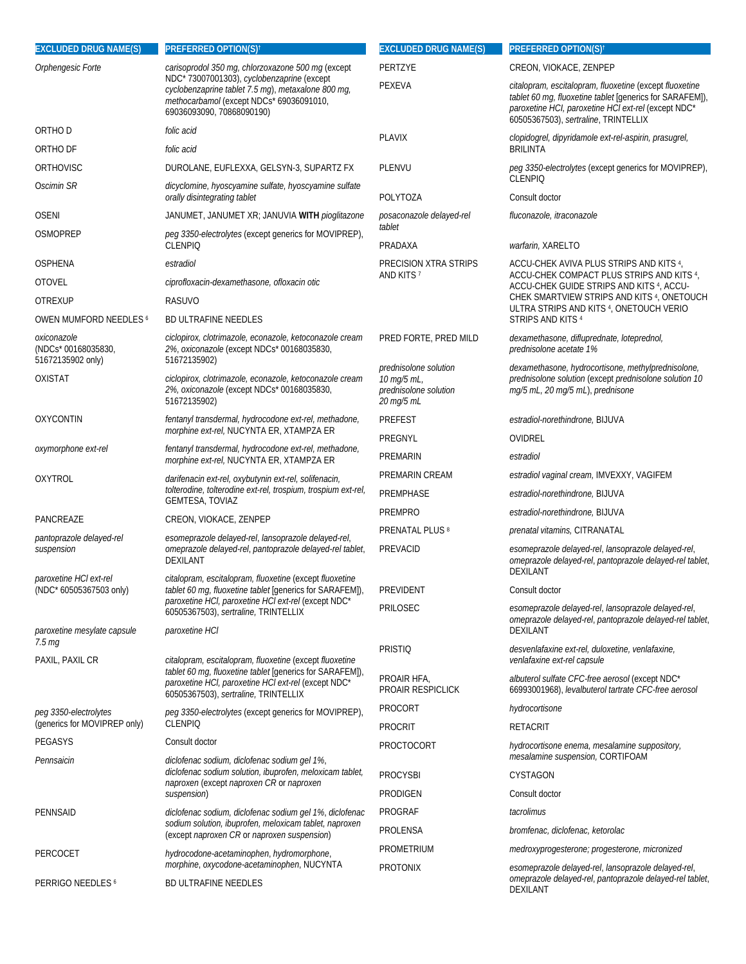| <b>EXCLUDED DRUG NAME(S)</b>                            | <b>PREFERRED OPTION(S)<sup>t</sup></b>                                                                                                                                                                             | <b>EXCLUDED DRUG NAME(S)</b>                                                | <b>PREFERRED OPTION(S)<sup>t</sup></b>                                                                                                                                                                             |
|---------------------------------------------------------|--------------------------------------------------------------------------------------------------------------------------------------------------------------------------------------------------------------------|-----------------------------------------------------------------------------|--------------------------------------------------------------------------------------------------------------------------------------------------------------------------------------------------------------------|
| Orphengesic Forte                                       | carisoprodol 350 mg, chlorzoxazone 500 mg (except                                                                                                                                                                  | PERTZYE                                                                     | CREON, VIOKACE, ZENPEP                                                                                                                                                                                             |
|                                                         | NDC* 73007001303), cyclobenzaprine (except<br>cyclobenzaprine tablet 7.5 mg), metaxalone 800 mg,<br>methocarbamol (except NDCs* 69036091010,<br>69036093090, 70868090190)                                          | PEXEVA                                                                      | citalopram, escitalopram, fluoxetine (except fluoxetine<br>tablet 60 mg, fluoxetine tablet [generics for SARAFEM]),<br>paroxetine HCI, paroxetine HCI ext-rel (except NDC*<br>60505367503), sertraline, TRINTELLIX |
| ORTHO D                                                 | folic acid                                                                                                                                                                                                         | <b>PLAVIX</b>                                                               | clopidogrel, dipyridamole ext-rel-aspirin, prasugrel,                                                                                                                                                              |
| ORTHO DF                                                | folic acid                                                                                                                                                                                                         |                                                                             | <b>BRILINTA</b>                                                                                                                                                                                                    |
| ORTHOVISC                                               | DUROLANE, EUFLEXXA, GELSYN-3, SUPARTZ FX                                                                                                                                                                           | PLENVU                                                                      | peg 3350-electrolytes (except generics for MOVIPREP),                                                                                                                                                              |
| Oscimin SR                                              | dicyclomine, hyoscyamine sulfate, hyoscyamine sulfate<br>orally disintegrating tablet                                                                                                                              | POLYTOZA                                                                    | <b>CLENPIO</b><br>Consult doctor                                                                                                                                                                                   |
| <b>OSENI</b>                                            | JANUMET, JANUMET XR; JANUVIA WITH pioglitazone                                                                                                                                                                     | posaconazole delayed-rel                                                    | fluconazole, itraconazole                                                                                                                                                                                          |
| <b>OSMOPREP</b>                                         | peq 3350-electrolytes (except generics for MOVIPREP),<br><b>CLENPIO</b>                                                                                                                                            | tablet<br>PRADAXA                                                           | warfarin, XARELTO                                                                                                                                                                                                  |
| OSPHENA                                                 | estradiol                                                                                                                                                                                                          | PRECISION XTRA STRIPS                                                       | ACCU-CHEK AVIVA PLUS STRIPS AND KITS 4,                                                                                                                                                                            |
| <b>OTOVEL</b>                                           | ciprofloxacin-dexamethasone, ofloxacin otic                                                                                                                                                                        | AND KITS 7                                                                  | ACCU-CHEK COMPACT PLUS STRIPS AND KITS 4,<br>ACCU-CHEK GUIDE STRIPS AND KITS 4, ACCU-                                                                                                                              |
| <b>OTREXUP</b>                                          | <b>RASUVO</b>                                                                                                                                                                                                      |                                                                             | CHEK SMARTVIEW STRIPS AND KITS 4, ONETOUCH                                                                                                                                                                         |
| OWEN MUMFORD NEEDLES 6                                  | <b>BD ULTRAFINE NEEDLES</b>                                                                                                                                                                                        |                                                                             | ULTRA STRIPS AND KITS 4, ONETOUCH VERIO<br>STRIPS AND KITS 4                                                                                                                                                       |
| oxiconazole<br>(NDCs* 00168035830,<br>51672135902 only) | ciclopirox, clotrimazole, econazole, ketoconazole cream<br>2%, oxiconazole (except NDCs* 00168035830,<br>51672135902)                                                                                              | PRED FORTE, PRED MILD                                                       | dexamethasone, difluprednate, loteprednol,<br>prednisolone acetate 1%                                                                                                                                              |
| <b>OXISTAT</b>                                          | ciclopirox, clotrimazole, econazole, ketoconazole cream<br>2%, oxiconazole (except NDCs* 00168035830,<br>51672135902)                                                                                              | prednisolone solution<br>10 mg/5 mL,<br>prednisolone solution<br>20 mg/5 mL | dexamethasone, hydrocortisone, methylprednisolone,<br>prednisolone solution (except prednisolone solution 10<br>mg/5 mL, 20 mg/5 mL), prednisone                                                                   |
| <b>OXYCONTIN</b>                                        | fentanyl transdermal, hydrocodone ext-rel, methadone,                                                                                                                                                              | <b>PREFEST</b>                                                              | estradiol-norethindrone, BIJUVA                                                                                                                                                                                    |
|                                                         | morphine ext-rel, NUCYNTA ER, XTAMPZA ER                                                                                                                                                                           | PREGNYL                                                                     | OVIDREL                                                                                                                                                                                                            |
| oxymorphone ext-rel                                     | fentanyl transdermal, hydrocodone ext-rel, methadone,<br>morphine ext-rel, NUCYNTA ER, XTAMPZA ER                                                                                                                  | PREMARIN                                                                    | estradiol                                                                                                                                                                                                          |
| <b>OXYTROL</b>                                          | darifenacin ext-rel, oxybutynin ext-rel, solifenacin,<br>tolterodine, tolterodine ext-rel, trospium, trospium ext-rel,<br><b>GEMTESA, TOVIAZ</b>                                                                   | PREMARIN CREAM                                                              | estradiol vaginal cream, IMVEXXY, VAGIFEM                                                                                                                                                                          |
|                                                         |                                                                                                                                                                                                                    | PREMPHASE                                                                   | estradiol-norethindrone, BIJUVA                                                                                                                                                                                    |
| PANCREAZE                                               | CREON, VIOKACE, ZENPEP                                                                                                                                                                                             | <b>PREMPRO</b>                                                              | estradiol-norethindrone, BIJUVA                                                                                                                                                                                    |
| pantoprazole delayed-rel                                | esomeprazole delayed-rel, lansoprazole delayed-rel,                                                                                                                                                                | <b>PRENATAL PLUS 8</b>                                                      | prenatal vitamins, CITRANATAL                                                                                                                                                                                      |
| suspension                                              | omeprazole delayed-rel, pantoprazole delayed-rel tablet,<br>DEXILANT                                                                                                                                               | PREVACID                                                                    | esomeprazole delayed-rel, lansoprazole delayed-rel,<br>omeprazole delayed-rel, pantoprazole delayed-rel tablet,<br>DEXILANT                                                                                        |
| paroxetine HCl ext-rel<br>(NDC* 60505367503 only)       | citalopram, escitalopram, fluoxetine (except fluoxetine<br>tablet 60 mg, fluoxetine tablet [generics for SARAFEM]),<br>paroxetine HCI, paroxetine HCI ext-rel (except NDC*<br>60505367503), sertraline, TRINTELLIX | PREVIDENT                                                                   | Consult doctor                                                                                                                                                                                                     |
|                                                         |                                                                                                                                                                                                                    | PRILOSEC                                                                    | esomeprazole delayed-rel, lansoprazole delayed-rel,                                                                                                                                                                |
| paroxetine mesylate capsule                             | paroxetine HCI                                                                                                                                                                                                     |                                                                             | omeprazole delayed-rel, pantoprazole delayed-rel tablet,<br><b>DEXILANT</b>                                                                                                                                        |
| 7.5 <sub>mg</sub><br>PAXIL, PAXIL CR                    | citalopram, escitalopram, fluoxetine (except fluoxetine<br>tablet 60 mg, fluoxetine tablet [generics for SARAFEM]),<br>paroxetine HCI, paroxetine HCI ext-rel (except NDC*<br>60505367503), sertraline, TRINTELLIX | <b>PRISTIQ</b>                                                              | desvenlafaxine ext-rel, duloxetine, venlafaxine,<br>venlafaxine ext-rel capsule                                                                                                                                    |
|                                                         |                                                                                                                                                                                                                    | PROAIR HFA,<br><b>PROAIR RESPICLICK</b>                                     | albuterol sulfate CFC-free aerosol (except NDC*<br>66993001968), levalbuterol tartrate CFC-free aerosol                                                                                                            |
| peg 3350-electrolytes                                   | peg 3350-electrolytes (except generics for MOVIPREP),                                                                                                                                                              | PROCORT                                                                     | hydrocortisone                                                                                                                                                                                                     |
| (generics for MOVIPREP only)                            | <b>CLENPIQ</b>                                                                                                                                                                                                     | <b>PROCRIT</b>                                                              | <b>RETACRIT</b>                                                                                                                                                                                                    |
| PEGASYS                                                 | Consult doctor                                                                                                                                                                                                     | <b>PROCTOCORT</b>                                                           | hydrocortisone enema, mesalamine suppository,<br>mesalamine suspension, CORTIFOAM                                                                                                                                  |
| Pennsaicin                                              | diclofenac sodium, diclofenac sodium gel 1%,<br>diclofenac sodium solution, ibuprofen, meloxicam tablet,                                                                                                           | <b>PROCYSBI</b>                                                             | <b>CYSTAGON</b>                                                                                                                                                                                                    |
|                                                         | naproxen (except naproxen CR or naproxen<br>suspension)                                                                                                                                                            | PRODIGEN                                                                    | Consult doctor                                                                                                                                                                                                     |
| <b>PENNSAID</b>                                         | diclofenac sodium, diclofenac sodium gel 1%, diclofenac                                                                                                                                                            | PROGRAF                                                                     | tacrolimus                                                                                                                                                                                                         |
|                                                         | sodium solution, ibuprofen, meloxicam tablet, naproxen                                                                                                                                                             | PROLENSA                                                                    | bromfenac, diclofenac, ketorolac                                                                                                                                                                                   |
|                                                         | (except naproxen CR or naproxen suspension)                                                                                                                                                                        | PROMETRIUM                                                                  | medroxyprogesterone; progesterone, micronized                                                                                                                                                                      |
| PERCOCET                                                | hydrocodone-acetaminophen, hydromorphone,<br>morphine, oxycodone-acetaminophen, NUCYNTA                                                                                                                            | <b>PROTONIX</b>                                                             | esomeprazole delayed-rel, lansoprazole delayed-rel,                                                                                                                                                                |
| PERRIGO NEEDLES <sup>6</sup>                            | BD ULTRAFINE NEEDLES                                                                                                                                                                                               |                                                                             | omeprazole delayed-rel, pantoprazole delayed-rel tablet,<br>DEXILANT                                                                                                                                               |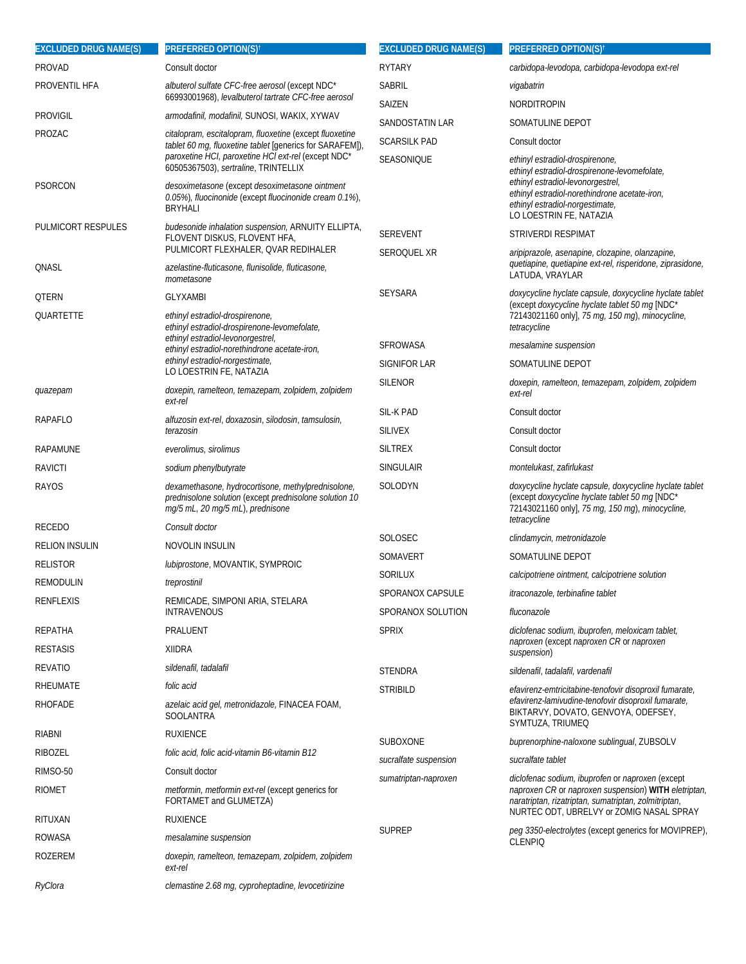| <b>EXCLUDED DRUG NAME(S)</b> | PREFERRED OPTION(S) <sup>†</sup>                                                                                                                                                                        | <b>EXCLUDED DRUG NAME(S)</b> | <b>PREFERRED OPTION(S)<sup>†</sup></b>                                                                                                                                       |
|------------------------------|---------------------------------------------------------------------------------------------------------------------------------------------------------------------------------------------------------|------------------------------|------------------------------------------------------------------------------------------------------------------------------------------------------------------------------|
| PROVAD                       | Consult doctor                                                                                                                                                                                          | <b>RYTARY</b>                | carbidopa-levodopa, carbidopa-levodopa ext-rel                                                                                                                               |
| PROVENTIL HFA                | albuterol sulfate CFC-free aerosol (except NDC*                                                                                                                                                         | <b>SABRIL</b>                | vigabatrin                                                                                                                                                                   |
|                              | 66993001968), levalbuterol tartrate CFC-free aerosol                                                                                                                                                    | SAIZEN                       | NORDITROPIN                                                                                                                                                                  |
| Provigil                     | <i>armodafinil, modafinil,</i> SUNOSI, WAKIX, XYWAV                                                                                                                                                     | SANDOSTATIN LAR              | SOMATULINE DEPOT                                                                                                                                                             |
| PROZAC                       | citalopram, escitalopram, fluoxetine (except fluoxetine<br>tablet 60 mg, fluoxetine tablet [generics for SARAFEM]),                                                                                     | <b>SCARSILK PAD</b>          | Consult doctor                                                                                                                                                               |
| PSORCON                      | paroxetine HCI, paroxetine HCI ext-rel (except NDC*<br>60505367503), sertraline, TRINTELLIX<br>desoximetasone (except desoximetasone ointment<br>0.05%), fluocinonide (except fluocinonide cream 0.1%), | SEASONIQUE                   | ethinyl estradiol-drospirenone,<br>ethinyl estradiol-drospirenone-levomefolate,<br>ethinyl estradiol-levonorgestrel,<br>ethinyl estradiol-norethindrone acetate-iron,        |
|                              | BRYHALI                                                                                                                                                                                                 |                              | ethinyl estradiol-norgestimate,<br>LO LOESTRIN FE, NATAZIA                                                                                                                   |
| PULMICORT RESPULES           | budesonide inhalation suspension, ARNUITY ELLIPTA,<br>FLOVENT DISKUS, FLOVENT HFA,<br>PULMICORT FLEXHALER, QVAR REDIHALER                                                                               | <b>SEREVENT</b>              | <b>STRIVERDI RESPIMAT</b>                                                                                                                                                    |
| QNASL                        | azelastine-fluticasone, flunisolide, fluticasone,<br>mometasone                                                                                                                                         | SEROQUEL XR                  | aripiprazole, asenapine, clozapine, olanzapine,<br>quetiapine, quetiapine ext-rel, risperidone, ziprasidone,<br>LATUDA, VRAYLAR                                              |
| QTERN                        | <b>GLYXAMBI</b>                                                                                                                                                                                         | <b>SEYSARA</b>               | doxycycline hyclate capsule, doxycycline hyclate tablet                                                                                                                      |
| QUARTETTE                    | ethinyl estradiol-drospirenone,<br>ethinyl estradiol-drospirenone-levomefolate,                                                                                                                         |                              | (except doxycycline hyclate tablet 50 mq [NDC*<br>72143021160 only], 75 mg, 150 mg), minocycline,<br>tetracycline                                                            |
|                              | ethinyl estradiol-levonorgestrel,<br>ethinyl estradiol-norethindrone acetate-iron,                                                                                                                      | <b>SFROWASA</b>              | mesalamine suspension                                                                                                                                                        |
|                              | ethinyl estradiol-norgestimate,<br>LO LOESTRIN FE, NATAZIA                                                                                                                                              | SIGNIFOR LAR                 | SOMATULINE DEPOT                                                                                                                                                             |
| quazepam                     | doxepin, ramelteon, temazepam, zolpidem, zolpidem<br>ext-rel                                                                                                                                            | <b>SILENOR</b>               | doxepin, ramelteon, temazepam, zolpidem, zolpidem<br>ext-rel                                                                                                                 |
| RAPAFLO                      | alfuzosin ext-rel, doxazosin, silodosin, tamsulosin,                                                                                                                                                    | SIL-K PAD                    | Consult doctor                                                                                                                                                               |
|                              | terazosin                                                                                                                                                                                               | <b>SILIVEX</b>               | Consult doctor                                                                                                                                                               |
| RAPAMUNE                     | everolimus, sirolimus                                                                                                                                                                                   | <b>SILTREX</b>               | Consult doctor                                                                                                                                                               |
| RAVICTI                      | sodium phenylbutyrate                                                                                                                                                                                   | <b>SINGULAIR</b>             | montelukast, zafirlukast                                                                                                                                                     |
| RAYOS                        | dexamethasone, hydrocortisone, methylprednisolone,<br>prednisolone solution (except prednisolone solution 10<br>mg/5 mL, 20 mg/5 mL), prednisone                                                        | SOLODYN                      | doxycycline hyclate capsule, doxycycline hyclate tablet<br>(except doxycycline hyclate tablet 50 mg [NDC*<br>72143021160 only], 75 mg, 150 mg), minocycline,<br>tetracycline |
| RECEDO                       | Consult doctor                                                                                                                                                                                          | SOLOSEC                      | clindamycin, metronidazole                                                                                                                                                   |
| <b>RELION INSULIN</b>        | NOVOLIN INSULIN                                                                                                                                                                                         | SOMAVERT                     | SOMATULINE DEPOT                                                                                                                                                             |
| <b>RELISTOR</b>              | lubiprostone, MOVANTIK, SYMPROIC                                                                                                                                                                        | SORILUX                      | calcipotriene ointment, calcipotriene solution                                                                                                                               |
| remodulin                    | treprostinil                                                                                                                                                                                            | SPORANOX CAPSULE             | itraconazole, terbinafine tablet                                                                                                                                             |
| RENFLEXIS                    | REMICADE, SIMPONI ARIA, STELARA<br><b>INTRAVENOUS</b>                                                                                                                                                   | SPORANOX SOLUTION            | fluconazole                                                                                                                                                                  |
| REPATHA                      | PRALUENT                                                                                                                                                                                                | <b>SPRIX</b>                 | diclofenac sodium, ibuprofen, meloxicam tablet,                                                                                                                              |
| <b>RESTASIS</b>              | <b>XIIDRA</b>                                                                                                                                                                                           |                              | naproxen (except naproxen CR or naproxen<br>suspension)                                                                                                                      |
| REVATIO                      | sildenafil, tadalafil                                                                                                                                                                                   | <b>STENDRA</b>               | sildenafil, tadalafil, vardenafil                                                                                                                                            |
| <b>RHEUMATE</b>              | folic acid                                                                                                                                                                                              | <b>STRIBILD</b>              | efavirenz-emtricitabine-tenofovir disoproxil fumarate,                                                                                                                       |
| RHOFADE                      | <i>azelaic acid gel, metronidazole,</i> FINACEA FOAM,<br>SOOLANTRA                                                                                                                                      |                              | efavirenz-lamivudine-tenofovir disoproxil fumarate,<br>BIKTARVY, DOVATO, GENVOYA, ODEFSEY,<br>SYMTUZA, TRIUMEQ                                                               |
| RIABNI                       | <b>RUXIENCE</b>                                                                                                                                                                                         | <b>SUBOXONE</b>              | buprenorphine-naloxone sublingual, ZUBSOLV                                                                                                                                   |
| RIBOZEL                      | folic acid, folic acid-vitamin B6-vitamin B12                                                                                                                                                           | sucralfate suspension        | sucralfate tablet                                                                                                                                                            |
| RIMSO-50                     | Consult doctor                                                                                                                                                                                          | sumatriptan-naproxen         | diclofenac sodium, ibuprofen or naproxen (except                                                                                                                             |
| RIOMET                       | metformin, metformin ext-rel (except generics for<br>FORTAMET and GLUMETZA)                                                                                                                             |                              | naproxen CR or naproxen suspension) WITH eletriptan,<br>naratriptan, rizatriptan, sumatriptan, zolmitriptan,<br>NURTEC ODT, UBRELVY or ZOMIG NASAL SPRAY                     |
| RITUXAN                      | <b>RUXIENCE</b>                                                                                                                                                                                         | <b>SUPREP</b>                |                                                                                                                                                                              |
| ROWASA                       | mesalamine suspension                                                                                                                                                                                   |                              | peg 3350-electrolytes (except generics for MOVIPREP),<br><b>CLENPIQ</b>                                                                                                      |
| ROZEREM                      | doxepin, ramelteon, temazepam, zolpidem, zolpidem<br>ext-rel                                                                                                                                            |                              |                                                                                                                                                                              |
| RyClora                      | clemastine 2.68 mg, cyproheptadine, levocetirizine                                                                                                                                                      |                              |                                                                                                                                                                              |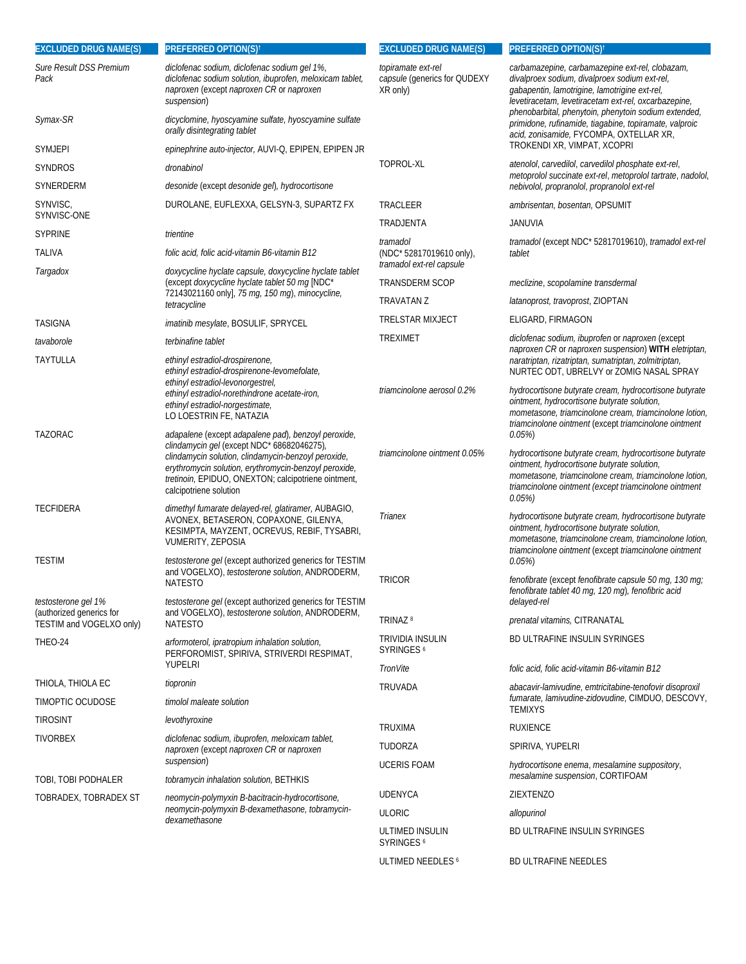| <b>EXCLUDED DRUG NAME(S)</b>                    | <b>PREFERRED OPTION(S)<sup>†</sup></b>                                                                                                                                                                                                                                                             | <b>EXCLUDED DRUG NAME(S)</b>                                   | <b>PREFERRED OPTION(S)<sup>t</sup></b>                                                                                                                                                                                                        |
|-------------------------------------------------|----------------------------------------------------------------------------------------------------------------------------------------------------------------------------------------------------------------------------------------------------------------------------------------------------|----------------------------------------------------------------|-----------------------------------------------------------------------------------------------------------------------------------------------------------------------------------------------------------------------------------------------|
| <b>Sure Result DSS Premium</b><br>Pack          | diclofenac sodium, diclofenac sodium gel 1%,<br>diclofenac sodium solution, ibuprofen, meloxicam tablet,<br>naproxen (except naproxen CR or naproxen<br>suspension)                                                                                                                                | topiramate ext-rel<br>capsule (generics for QUDEXY<br>XR only) | carbamazepine, carbamazepine ext-rel, clobazam,<br>divalproex sodium, divalproex sodium ext-rel,<br>gabapentin, lamotrigine, lamotrigine ext-rel,<br>levetiracetam, levetiracetam ext-rel, oxcarbazepine,                                     |
| Symax-SR                                        | dicyclomine, hyoscyamine sulfate, hyoscyamine sulfate<br>orally disintegrating tablet                                                                                                                                                                                                              |                                                                | phenobarbital, phenytoin, phenytoin sodium extended,<br>primidone, rufinamide, tiagabine, topiramate, valproic<br>acid, zonisamide, FYCOMPA, OXTELLAR XR,                                                                                     |
| Symjepi                                         | epinephrine auto-injector, AUVI-Q, EPIPEN, EPIPEN JR                                                                                                                                                                                                                                               |                                                                | TROKENDI XR, VIMPAT, XCOPRI                                                                                                                                                                                                                   |
| SYNDROS                                         | dronabinol                                                                                                                                                                                                                                                                                         | TOPROL-XL                                                      | atenolol, carvedilol, carvedilol phosphate ext-rel,<br>metoprolol succinate ext-rel, metoprolol tartrate, nadolol,                                                                                                                            |
| SYNERDERM                                       | desonide (except desonide gel), hydrocortisone                                                                                                                                                                                                                                                     |                                                                | nebivolol, propranolol, propranolol ext-rel                                                                                                                                                                                                   |
| SYNVISC,                                        | DUROLANE, EUFLEXXA, GELSYN-3, SUPARTZ FX                                                                                                                                                                                                                                                           | TRACLEER                                                       | ambrisentan, bosentan, OPSUMIT                                                                                                                                                                                                                |
| SYNVISC-ONE<br><b>SYPRINE</b>                   | trientine                                                                                                                                                                                                                                                                                          | TRADJENTA                                                      | <b>JANUVIA</b>                                                                                                                                                                                                                                |
|                                                 |                                                                                                                                                                                                                                                                                                    | tramadol                                                       | tramadol (except NDC* 52817019610), tramadol ext-rel                                                                                                                                                                                          |
| TALIVA<br>Targadox                              | folic acid, folic acid-vitamin B6-vitamin B12<br>doxycycline hyclate capsule, doxycycline hyclate tablet                                                                                                                                                                                           | (NDC* 52817019610 only),<br>tramadol ext-rel capsule           | tablet                                                                                                                                                                                                                                        |
|                                                 | (except doxycycline hyclate tablet 50 mg [NDC*                                                                                                                                                                                                                                                     | <b>TRANSDERM SCOP</b>                                          | meclizine, scopolamine transdermal                                                                                                                                                                                                            |
|                                                 | 72143021160 only], 75 mg, 150 mg), minocycline,<br>tetracycline                                                                                                                                                                                                                                    | <b>TRAVATAN Z</b>                                              | latanoprost, travoprost, ZIOPTAN                                                                                                                                                                                                              |
| TASIGNA                                         | <i>imatinib mesylate</i> , BOSULIF, SPRYCEL                                                                                                                                                                                                                                                        | <b>TRELSTAR MIXJECT</b>                                        | ELIGARD, FIRMAGON                                                                                                                                                                                                                             |
| tavaborole                                      | terbinafine tablet                                                                                                                                                                                                                                                                                 | <b>TREXIMET</b>                                                | diclofenac sodium, ibuprofen or naproxen (except                                                                                                                                                                                              |
| TAYTULLA                                        | ethinyl estradiol-drospirenone,<br>ethinyl estradiol-drospirenone-levomefolate,<br>ethinyl estradiol-levonorgestrel,                                                                                                                                                                               |                                                                | naproxen CR or naproxen suspension) WITH eletriptan,<br>naratriptan, rizatriptan, sumatriptan, zolmitriptan,<br>NURTEC ODT, UBRELVY or ZOMIG NASAL SPRAY                                                                                      |
|                                                 | ethinyl estradiol-norethindrone acetate-iron,<br>ethinyl estradiol-norgestimate,<br>LO LOESTRIN FE, NATAZIA                                                                                                                                                                                        | triamcinolone aerosol 0.2%                                     | hydrocortisone butyrate cream, hydrocortisone butyrate<br>ointment, hydrocortisone butyrate solution,<br>mometasone, triamcinolone cream, triamcinolone lotion,<br>triamcinolone ointment (except triamcinolone ointment                      |
| TAZORAC                                         | adapalene (except adapalene pad), benzoyl peroxide,<br>clindamycin gel (except NDC* 68682046275),<br>clindamycin solution, clindamycin-benzoyl peroxide,<br>erythromycin solution, erythromycin-benzoyl peroxide,<br>tretinoin, EPIDUO, ONEXTON; calcipotriene ointment,<br>calcipotriene solution | triamcinolone ointment 0.05%                                   | 0.05%<br>hydrocortisone butyrate cream, hydrocortisone butyrate<br>ointment, hydrocortisone butyrate solution,<br>mometasone, triamcinolone cream, triamcinolone lotion,<br>triamcinolone ointment (except triamcinolone ointment<br>$0.05\%$ |
| TECFIDERA                                       | dimethyl fumarate delayed-rel, glatiramer, AUBAGIO,<br>AVONEX, BETASERON, COPAXONE, GILENYA,<br>KESIMPTA, MAYZENT, OCREVUS, REBIF, TYSABRI,<br><b>VUMERITY, ZEPOSIA</b>                                                                                                                            | Trianex                                                        | hydrocortisone butyrate cream, hydrocortisone butyrate<br>ointment, hydrocortisone butyrate solution,<br>mometasone, triamcinolone cream, triamcinolone lotion,<br>triamcinolone ointment (except triamcinolone ointment                      |
| TESTIM                                          | testosterone gel (except authorized generics for TESTIM<br>and VOGELXO), testosterone solution, ANDRODERM,<br><b>NATESTO</b>                                                                                                                                                                       | <b>TRICOR</b>                                                  | 0.05%<br>fenofibrate (except fenofibrate capsule 50 mg, 130 mg;                                                                                                                                                                               |
| testosterone gel 1%<br>(authorized generics for | testosterone gel (except authorized generics for TESTIM<br>and VOGELXO), testosterone solution, ANDRODERM,                                                                                                                                                                                         |                                                                | fenofibrate tablet 40 mg, 120 mg), fenofibric acid<br>delayed-rel                                                                                                                                                                             |
| TESTIM and VOGELXO only)                        | <b>NATESTO</b>                                                                                                                                                                                                                                                                                     | TRINAZ <sup>8</sup>                                            | prenatal vitamins, CITRANATAL                                                                                                                                                                                                                 |
| THEO-24                                         | arformoterol, ipratropium inhalation solution,<br>PERFOROMIST, SPIRIVA, STRIVERDI RESPIMAT,<br>YUPELRI                                                                                                                                                                                             | TRIVIDIA INSULIN<br>SYRINGES <sup>6</sup>                      | BD ULTRAFINE INSULIN SYRINGES                                                                                                                                                                                                                 |
|                                                 |                                                                                                                                                                                                                                                                                                    | TronVite                                                       | folic acid, folic acid-vitamin B6-vitamin B12                                                                                                                                                                                                 |
| THIOLA, THIOLA EC<br>TIMOPTIC OCUDOSE           | tiopronin<br>timolol maleate solution                                                                                                                                                                                                                                                              | TRUVADA                                                        | abacavir-lamivudine, emtricitabine-tenofovir disoproxil<br>fumarate, lamivudine-zidovudine, CIMDUO, DESCOVY,                                                                                                                                  |
|                                                 |                                                                                                                                                                                                                                                                                                    |                                                                | <b>TEMIXYS</b>                                                                                                                                                                                                                                |
| tirosint                                        | levothyroxine                                                                                                                                                                                                                                                                                      | <b>TRUXIMA</b>                                                 | <b>RUXIENCE</b>                                                                                                                                                                                                                               |
| <b>TIVORBEX</b>                                 | diclofenac sodium, ibuprofen, meloxicam tablet,<br>naproxen (except naproxen CR or naproxen                                                                                                                                                                                                        | TUDORZA                                                        | SPIRIVA, YUPELRI                                                                                                                                                                                                                              |
|                                                 | suspension)                                                                                                                                                                                                                                                                                        | <b>UCERIS FOAM</b>                                             | hydrocortisone enema, mesalamine suppository,<br>mesalamine suspension, CORTIFOAM                                                                                                                                                             |
| TOBI, TOBI PODHALER                             | tobramycin inhalation solution, BETHKIS                                                                                                                                                                                                                                                            | <b>UDENYCA</b>                                                 | <b>ZIEXTENZO</b>                                                                                                                                                                                                                              |
| TOBRADEX, TOBRADEX ST                           | neomycin-polymyxin B-bacitracin-hydrocortisone,<br>neomycin-polymyxin B-dexamethasone, tobramycin-                                                                                                                                                                                                 | <b>ULORIC</b>                                                  | allopurinol                                                                                                                                                                                                                                   |
|                                                 | dexamethasone                                                                                                                                                                                                                                                                                      | ULTIMED INSULIN<br><b>SYRINGES</b> <sup>6</sup>                | BD ULTRAFINE INSULIN SYRINGES                                                                                                                                                                                                                 |
|                                                 |                                                                                                                                                                                                                                                                                                    | ULTIMED NEEDLES 6                                              | BD ULTRAFINE NEEDLES                                                                                                                                                                                                                          |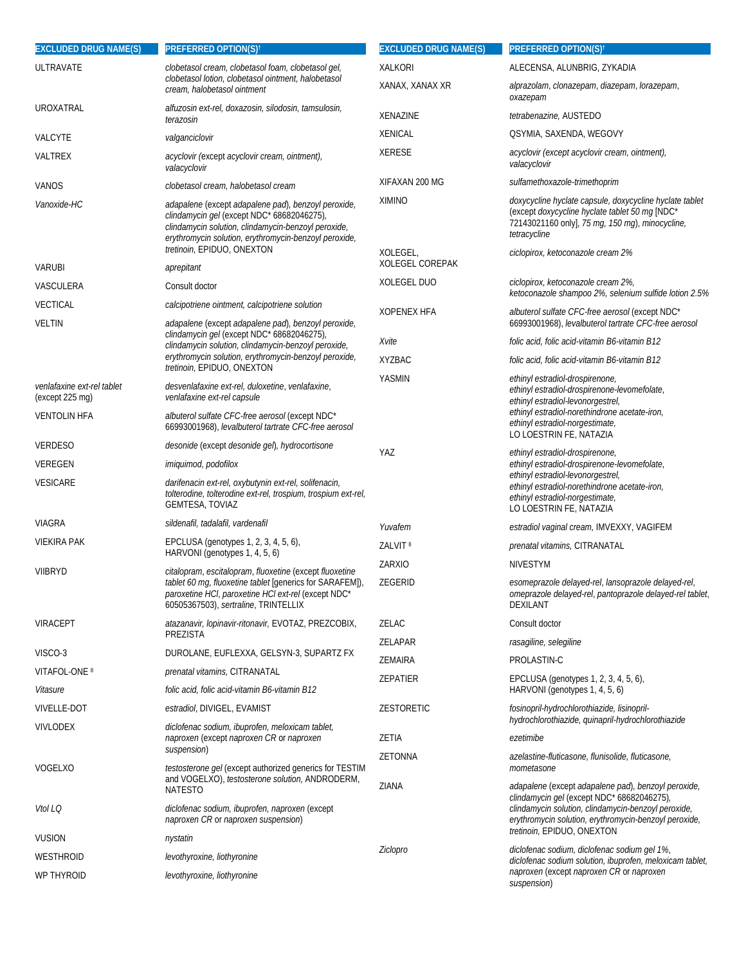| <b>EXCLUDED DRUG NAME(S)</b>                  | <b>PREFERRED OPTION(S)<sup>†</sup></b>                                                                                                                                                                             | <b>EXCLUDED DRUG NAME(S)</b>       | <b>PREFERRED OPTION(S)<sup>t</sup></b>                                                                                                                                                                                                                        |
|-----------------------------------------------|--------------------------------------------------------------------------------------------------------------------------------------------------------------------------------------------------------------------|------------------------------------|---------------------------------------------------------------------------------------------------------------------------------------------------------------------------------------------------------------------------------------------------------------|
| ULTRAVATE                                     | clobetasol cream, clobetasol foam, clobetasol gel,                                                                                                                                                                 | <b>XALKORI</b>                     | ALECENSA, ALUNBRIG, ZYKADIA                                                                                                                                                                                                                                   |
|                                               | clobetasol lotion, clobetasol ointment, halobetasol<br>cream, halobetasol ointment                                                                                                                                 | XANAX, XANAX XR                    | alprazolam, clonazepam, diazepam, lorazepam,<br>oxazepam                                                                                                                                                                                                      |
| UROXATRAL                                     | alfuzosin ext-rel, doxazosin, silodosin, tamsulosin,<br>terazosin                                                                                                                                                  | XENAZINE                           | tetrabenazine, AUSTEDO                                                                                                                                                                                                                                        |
| VALCYTE                                       | valganciclovir                                                                                                                                                                                                     | <b>XENICAL</b>                     | QSYMIA, SAXENDA, WEGOVY                                                                                                                                                                                                                                       |
| VALTREX                                       | acyclovir (except acyclovir cream, ointment),<br>valacyclovir                                                                                                                                                      | <b>XERESE</b>                      | acyclovir (except acyclovir cream, ointment),<br>valacyclovir                                                                                                                                                                                                 |
| VANOS                                         | clobetasol cream, halobetasol cream                                                                                                                                                                                | XIFAXAN 200 MG                     | sulfamethoxazole-trimethoprim                                                                                                                                                                                                                                 |
| Vanoxide-HC                                   | adapalene (except adapalene pad), benzoyl peroxide,                                                                                                                                                                | <b>XIMINO</b>                      | doxycycline hyclate capsule, doxycycline hyclate tablet                                                                                                                                                                                                       |
|                                               | clindamycin gel (except NDC* 68682046275),<br>clindamycin solution, clindamycin-benzoyl peroxide,<br>erythromycin solution, erythromycin-benzoyl peroxide,<br>tretinoin, EPIDUO, ONEXTON                           |                                    | (except doxycycline hyclate tablet 50 mg [NDC*<br>72143021160 only], 75 mg, 150 mg), minocycline,<br>tetracycline                                                                                                                                             |
|                                               |                                                                                                                                                                                                                    | XOLEGEL,<br><b>XOLEGEL COREPAK</b> | ciclopirox, ketoconazole cream 2%                                                                                                                                                                                                                             |
| VARUBI                                        | aprepitant                                                                                                                                                                                                         | XOLEGEL DUO                        | ciclopirox, ketoconazole cream 2%,                                                                                                                                                                                                                            |
| VASCULERA                                     | Consult doctor                                                                                                                                                                                                     |                                    | ketoconazole shampoo 2%, selenium sulfide lotion 2.5%                                                                                                                                                                                                         |
| <b>VECTICAL</b>                               | calcipotriene ointment, calcipotriene solution                                                                                                                                                                     | <b>XOPENEX HFA</b>                 | albuterol sulfate CFC-free aerosol (except NDC*                                                                                                                                                                                                               |
| <b>VELTIN</b>                                 | adapalene (except adapalene pad), benzoyl peroxide,<br>clindamycin gel (except NDC* 68682046275),                                                                                                                  |                                    | 66993001968), levalbuterol tartrate CFC-free aerosol                                                                                                                                                                                                          |
|                                               | clindamycin solution, clindamycin-benzoyl peroxide,                                                                                                                                                                | Xvite                              | folic acid, folic acid-vitamin B6-vitamin B12                                                                                                                                                                                                                 |
|                                               | erythromycin solution, erythromycin-benzoyl peroxide,<br>tretinoin, EPIDUO, ONEXTON                                                                                                                                | <b>XYZBAC</b>                      | folic acid, folic acid-vitamin B6-vitamin B12                                                                                                                                                                                                                 |
| venlafaxine ext-rel tablet<br>(except 225 mg) | desvenlafaxine ext-rel, duloxetine, venlafaxine,<br>venlafaxine ext-rel capsule                                                                                                                                    | YASMIN                             | ethinyl estradiol-drospirenone,<br>ethinyl estradiol-drospirenone-levomefolate,<br>ethinyl estradiol-levonorgestrel,<br>ethinyl estradiol-norethindrone acetate-iron,<br>ethinyl estradiol-norgestimate,<br>LO LOESTRIN FE, NATAZIA                           |
| <b>VENTOLIN HFA</b>                           | albuterol sulfate CFC-free aerosol (except NDC*<br>66993001968), levalbuterol tartrate CFC-free aerosol                                                                                                            |                                    |                                                                                                                                                                                                                                                               |
| <b>VERDESO</b>                                | desonide (except desonide gel), hydrocortisone                                                                                                                                                                     | YAZ                                | ethinyl estradiol-drospirenone,<br>ethinyl estradiol-drospirenone-levomefolate,<br>ethinyl estradiol-levonorgestrel,<br>ethinyl estradiol-norethindrone acetate-iron,<br>ethinyl estradiol-norgestimate,<br>LO LOESTRIN FE, NATAZIA                           |
| VEREGEN                                       | imiquimod, podofilox                                                                                                                                                                                               |                                    |                                                                                                                                                                                                                                                               |
| VESICARE                                      | darifenacin ext-rel, oxybutynin ext-rel, solifenacin,<br>tolterodine, tolterodine ext-rel, trospium, trospium ext-rel,<br>GEMTESA, TOVIAZ                                                                          |                                    |                                                                                                                                                                                                                                                               |
| VIAGRA                                        | sildenafil, tadalafil, vardenafil                                                                                                                                                                                  | Yuvafem                            | estradiol vaginal cream, IMVEXXY, VAGIFEM                                                                                                                                                                                                                     |
| <b>VIEKIRA PAK</b>                            | EPCLUSA (genotypes 1, 2, 3, 4, 5, 6),                                                                                                                                                                              | ZALVIT <sup>8</sup>                | prenatal vitamins, CITRANATAL                                                                                                                                                                                                                                 |
|                                               | HARVONI (genotypes 1, 4, 5, 6)                                                                                                                                                                                     | ZARXIO                             | <b>NIVESTYM</b>                                                                                                                                                                                                                                               |
| VIIBRYD                                       | citalopram, escitalopram, fluoxetine (except fluoxetine<br>tablet 60 mg, fluoxetine tablet [generics for SARAFEM]),<br>paroxetine HCI, paroxetine HCI ext-rel (except NDC*<br>60505367503), sertraline, TRINTELLIX | ZEGERID                            | esomeprazole delayed-rel, lansoprazole delayed-rel,<br>omeprazole delayed-rel, pantoprazole delayed-rel tablet,<br>DEXILANT                                                                                                                                   |
| VIRACEPT                                      | atazanavir, lopinavir-ritonavir, EVOTAZ, PREZCOBIX,                                                                                                                                                                | ZELAC                              | Consult doctor                                                                                                                                                                                                                                                |
|                                               | PREZISTA                                                                                                                                                                                                           | ZELAPAR                            | rasagiline, selegiline                                                                                                                                                                                                                                        |
| VISCO-3                                       | DUROLANE, EUFLEXXA, GELSYN-3, SUPARTZ FX                                                                                                                                                                           | <b>ZEMAIRA</b>                     | PROLASTIN-C                                                                                                                                                                                                                                                   |
| VITAFOL-ONE <sup>8</sup>                      | prenatal vitamins, CITRANATAL                                                                                                                                                                                      | ZEPATIER                           | EPCLUSA (genotypes 1, 2, 3, 4, 5, 6),                                                                                                                                                                                                                         |
| Vitasure                                      | folic acid, folic acid-vitamin B6-vitamin B12                                                                                                                                                                      |                                    | HARVONI (genotypes 1, 4, 5, 6)                                                                                                                                                                                                                                |
| <b>VIVELLE-DOT</b>                            | estradiol, DIVIGEL, EVAMIST                                                                                                                                                                                        | <b>ZESTORETIC</b>                  | fosinopril-hydrochlorothiazide, lisinopril-<br>hydrochlorothiazide, quinapril-hydrochlorothiazide                                                                                                                                                             |
| VIVLODEX                                      | diclofenac sodium, ibuprofen, meloxicam tablet,<br>naproxen (except naproxen CR or naproxen<br>suspension)                                                                                                         | ZETIA                              | ezetimibe                                                                                                                                                                                                                                                     |
|                                               |                                                                                                                                                                                                                    | <b>ZETONNA</b>                     | azelastine-fluticasone, flunisolide, fluticasone,                                                                                                                                                                                                             |
| VOGELXO                                       | testosterone gel (except authorized generics for TESTIM<br>and VOGELXO), testosterone solution, ANDRODERM,<br><b>NATESTO</b>                                                                                       | ZIANA                              | mometasone<br>adapalene (except adapalene pad), benzoyl peroxide,<br>clindamycin gel (except NDC* 68682046275),<br>clindamycin solution, clindamycin-benzoyl peroxide,<br>erythromycin solution, erythromycin-benzoyl peroxide,<br>tretinoin, EPIDUO, ONEXTON |
| Vtol LQ                                       | diclofenac sodium, ibuprofen, naproxen (except<br>naproxen CR or naproxen suspension)                                                                                                                              |                                    |                                                                                                                                                                                                                                                               |
| <b>VUSION</b>                                 | nystatin                                                                                                                                                                                                           |                                    |                                                                                                                                                                                                                                                               |
| WESTHROID                                     | levothyroxine, liothyronine                                                                                                                                                                                        | Ziclopro                           | diclofenac sodium, diclofenac sodium gel 1%,<br>diclofenac sodium solution, ibuprofen, meloxicam tablet,<br>naproxen (except naproxen CR or naproxen<br>suspension)                                                                                           |
| WP THYROID                                    | levothyroxine, liothyronine                                                                                                                                                                                        |                                    |                                                                                                                                                                                                                                                               |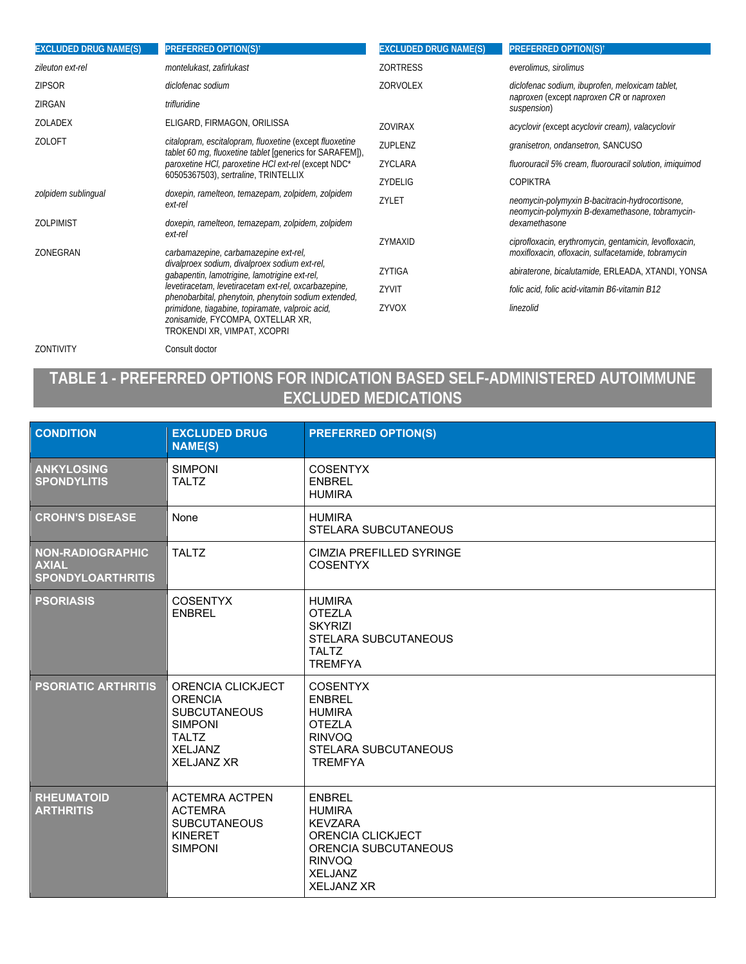| <b>EXCLUDED DRUG NAME(S)</b> | <b>PREFERRED OPTION(S)<sup>†</sup></b>                                                                                                                                                                                                                                                                                                 | <b>EXCLUDED DRUG NAME(S)</b> | <b>PREFERRED OPTION(S)<sup>t</sup></b>                                                                       |
|------------------------------|----------------------------------------------------------------------------------------------------------------------------------------------------------------------------------------------------------------------------------------------------------------------------------------------------------------------------------------|------------------------------|--------------------------------------------------------------------------------------------------------------|
| zileuton ext-rel             | montelukast, zafirlukast                                                                                                                                                                                                                                                                                                               | <b>ZORTRESS</b>              | everolimus, sirolimus                                                                                        |
| <b>ZIPSOR</b>                | diclofenac sodium                                                                                                                                                                                                                                                                                                                      | <b>ZORVOLEX</b>              | diclofenac sodium, ibuprofen, meloxicam tablet,<br>naproxen (except naproxen CR or naproxen<br>suspension)   |
| ZIRGAN                       | trifluridine                                                                                                                                                                                                                                                                                                                           |                              |                                                                                                              |
| ZOLADEX                      | ELIGARD, FIRMAGON, ORILISSA                                                                                                                                                                                                                                                                                                            | <b>ZOVIRAX</b>               | acyclovir (except acyclovir cream), valacyclovir                                                             |
| <b>ZOLOFT</b>                | citalopram, escitalopram, fluoxetine (except fluoxetine<br><i>tablet 60 mg, fluoxetine tablet</i> [generics for SARAFEM]),<br>paroxetine HCI, paroxetine HCI ext-rel (except NDC*<br>60505367503), sertraline, TRINTELLIX                                                                                                              | ZUPLENZ                      | granisetron, ondansetron, SANCUSO                                                                            |
|                              |                                                                                                                                                                                                                                                                                                                                        | ZYCLARA                      | fluorouracil 5% cream, fluorouracil solution, imiquimod                                                      |
|                              |                                                                                                                                                                                                                                                                                                                                        | ZYDELIG                      | <b>COPIKTRA</b>                                                                                              |
| zolpidem sublingual          | doxepin, ramelteon, temazepam, zolpidem, zolpidem<br>ext-rel                                                                                                                                                                                                                                                                           | ZYLET                        | neomycin-polymyxin B-bacitracin-hydrocortisone,<br>neomycin-polymyxin B-dexamethasone, tobramycin-           |
| <b>ZOLPIMIST</b>             | doxepin, ramelteon, temazepam, zolpidem, zolpidem                                                                                                                                                                                                                                                                                      |                              | dexamethasone                                                                                                |
| ZONEGRAN                     | ext-rel<br>carbamazepine, carbamazepine ext-rel,                                                                                                                                                                                                                                                                                       | ZYMAXID                      | ciprofloxacin, erythromycin, gentamicin, levofloxacin,<br>moxifloxacin, ofloxacin, sulfacetamide, tobramycin |
|                              | divalproex sodium, divalproex sodium ext-rel,<br>gabapentin, lamotrigine, lamotrigine ext-rel,<br>levetiracetam, levetiracetam ext-rel, oxcarbazepine,<br>phenobarbital, phenytoin, phenytoin sodium extended,<br>primidone, tiagabine, topiramate, valproic acid,<br>zonisamide, FYCOMPA, OXTELLAR XR,<br>TROKENDI XR, VIMPAT, XCOPRI | ZYTIGA                       | abiraterone, bicalutamide, ERLEADA, XTANDI, YONSA                                                            |
|                              |                                                                                                                                                                                                                                                                                                                                        | ZYVIT                        | folic acid, folic acid-vitamin B6-vitamin B12                                                                |
|                              |                                                                                                                                                                                                                                                                                                                                        | ZYVOX                        | linezolid                                                                                                    |

ZONTIVITY Consult doctor

# **TABLE 1 - PREFERRED OPTIONS FOR INDICATION BASED SELF-ADMINISTERED AUTOIMMUNE EXCLUDED MEDICATIONS**

| <b>CONDITION</b>                                             | <b>EXCLUDED DRUG</b><br><b>NAME(S)</b>                                                                                              | <b>PREFERRED OPTION(S)</b>                                                                                                                            |
|--------------------------------------------------------------|-------------------------------------------------------------------------------------------------------------------------------------|-------------------------------------------------------------------------------------------------------------------------------------------------------|
| <b>ANKYLOSING</b><br><b>SPONDYLITIS</b>                      | <b>SIMPONI</b><br><b>TALTZ</b>                                                                                                      | <b>COSENTYX</b><br><b>ENBREL</b><br><b>HUMIRA</b>                                                                                                     |
| <b>CROHN'S DISEASE</b>                                       | None                                                                                                                                | <b>HUMIRA</b><br><b>STELARA SUBCUTANEOUS</b>                                                                                                          |
| NON-RADIOGRAPHIC<br><b>AXIAL</b><br><b>SPONDYLOARTHRITIS</b> | <b>TALTZ</b>                                                                                                                        | CIMZIA PREFILLED SYRINGE<br><b>COSENTYX</b>                                                                                                           |
| <b>PSORIASIS</b>                                             | <b>COSENTYX</b><br><b>ENBREL</b>                                                                                                    | <b>HUMIRA</b><br><b>OTEZLA</b><br><b>SKYRIZI</b><br>STELARA SUBCUTANEOUS<br><b>TALTZ</b><br><b>TREMFYA</b>                                            |
| <b>PSORIATIC ARTHRITIS</b>                                   | ORENCIA CLICKJECT<br><b>ORENCIA</b><br><b>SUBCUTANEOUS</b><br><b>SIMPONI</b><br><b>TALTZ</b><br><b>XELJANZ</b><br><b>XELJANZ XR</b> | <b>COSENTYX</b><br><b>ENBREL</b><br><b>HUMIRA</b><br><b>OTEZLA</b><br><b>RINVOQ</b><br><b>STELARA SUBCUTANEOUS</b><br><b>TREMFYA</b>                  |
| <b>RHEUMATOID</b><br><b>ARTHRITIS</b>                        | <b>ACTEMRA ACTPEN</b><br><b>ACTEMRA</b><br><b>SUBCUTANEOUS</b><br><b>KINERET</b><br><b>SIMPONI</b>                                  | <b>ENBREL</b><br><b>HUMIRA</b><br><b>KEVZARA</b><br>ORENCIA CLICKJECT<br>ORENCIA SUBCUTANEOUS<br><b>RINVOQ</b><br><b>XELJANZ</b><br><b>XELJANZ XR</b> |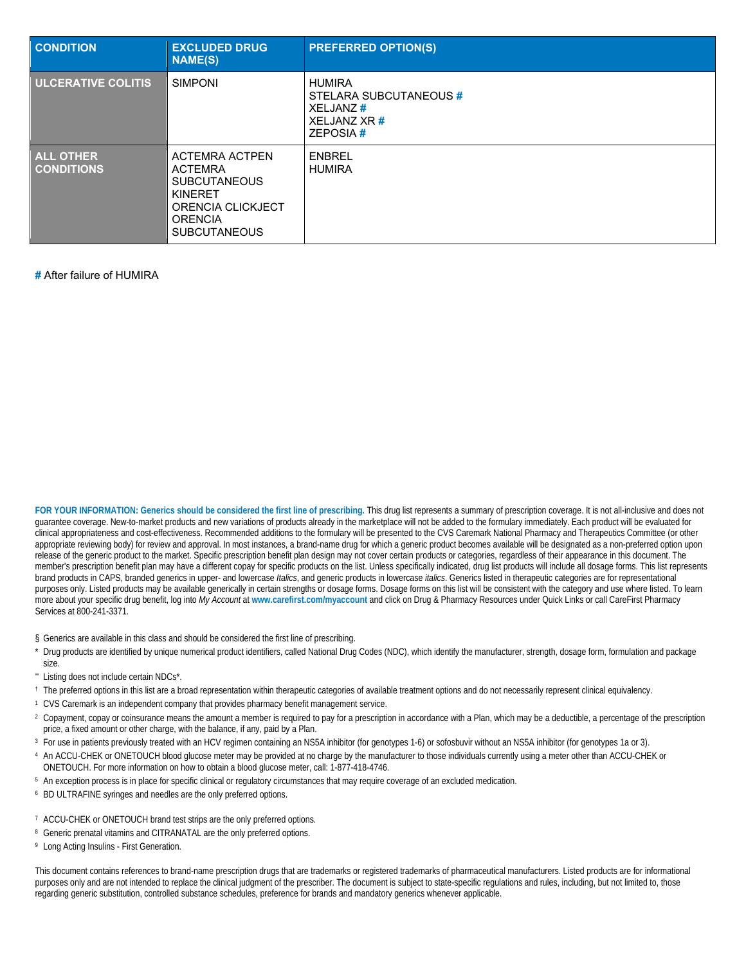| <b>CONDITION</b>                      | <b>EXCLUDED DRUG</b><br><b>NAME(S)</b>                                                                                                  | <b>PREFERRED OPTION(S)</b>                                                                             |
|---------------------------------------|-----------------------------------------------------------------------------------------------------------------------------------------|--------------------------------------------------------------------------------------------------------|
| <b>ULCERATIVE COLITIS</b>             | <b>SIMPONI</b>                                                                                                                          | <b>HUMIRA</b><br>STELARA SUBCUTANEOUS #<br>XELJANZ <sup>#</sup><br>XELJANZ XR <sup>#</sup><br>ZEPOSIA# |
| <b>ALL OTHER</b><br><b>CONDITIONS</b> | ACTEMRA ACTPEN<br><b>ACTEMRA</b><br><b>SUBCUTANEOUS</b><br><b>KINERET</b><br>ORENCIA CLICKJECT<br><b>ORENCIA</b><br><b>SUBCUTANEOUS</b> | <b>ENBREL</b><br><b>HUMIRA</b>                                                                         |

**#** After failure of HUMIRA

**FOR YOUR INFORMATION: Generics should be considered the first line of prescribing.** This drug list represents a summary of prescription coverage. It is not all-inclusive and does not guarantee coverage. New-to-market products and new variations of products already in the marketplace will not be added to the formulary immediately. Each product will be evaluated for clinical appropriateness and cost-effectiveness. Recommended additions to the formulary will be presented to the CVS Caremark National Pharmacy and Therapeutics Committee (or other appropriate reviewing body) for review and approval. In most instances, a brand-name drug for which a generic product becomes available will be designated as a non-preferred option upon release of the generic product to the market. Specific prescription benefit plan design may not cover certain products or categories, regardless of their appearance in this document. The member's prescription benefit plan may have a different copay for specific products on the list. Unless specifically indicated, drug list products will include all dosage forms. This list represents brand products in CAPS, branded generics in upper- and lowercase *Italics*, and generic products in lowercase *italics*. Generics listed in therapeutic categories are for representational purposes only. Listed products may be available generically in certain strengths or dosage forms. Dosage forms on this list will be consistent with the category and use where listed. To learn more about your specific drug benefit, log into *My Account* at **www.carefirst.com/myaccount** and click on Drug & Pharmacy Resources under Quick Links or call CareFirst Pharmacy Services at 800-241-3371.

§ Generics are available in this class and should be considered the first line of prescribing.

- Drug products are identified by unique numerical product identifiers, called National Drug Codes (NDC), which identify the manufacturer, strength, dosage form, formulation and package size.
- Listing does not include certain NDCs\*.
- † The preferred options in this list are a broad representation within therapeutic categories of available treatment options and do not necessarily represent clinical equivalency.
- 1 CVS Caremark is an independent company that provides pharmacy benefit management service.
- <sup>2</sup> Copayment, copay or coinsurance means the amount a member is required to pay for a prescription in accordance with a Plan, which may be a deductible, a percentage of the prescription price, a fixed amount or other charge, with the balance, if any, paid by a Plan.
- <sup>3</sup> For use in patients previously treated with an HCV regimen containing an NS5A inhibitor (for genotypes 1-6) or sofosbuvir without an NS5A inhibitor (for genotypes 1a or 3).
- 4 An ACCU-CHEK or ONETOUCH blood glucose meter may be provided at no charge by the manufacturer to those individuals currently using a meter other than ACCU-CHEK or ONETOUCH. For more information on how to obtain a blood glucose meter, call: 1-877-418-4746.
- <sup>5</sup> An exception process is in place for specific clinical or regulatory circumstances that may require coverage of an excluded medication.
- BD ULTRAFINE syringes and needles are the only preferred options.
- <sup>7</sup> ACCU-CHEK or ONETOUCH brand test strips are the only preferred options.
- 8 Generic prenatal vitamins and CITRANATAL are the only preferred options.
- 9 Long Acting Insulins First Generation.

This document contains references to brand-name prescription drugs that are trademarks or registered trademarks of pharmaceutical manufacturers. Listed products are for informational purposes only and are not intended to replace the clinical judgment of the prescriber. The document is subject to state-specific regulations and rules, including, but not limited to, those regarding generic substitution, controlled substance schedules, preference for brands and mandatory generics whenever applicable.